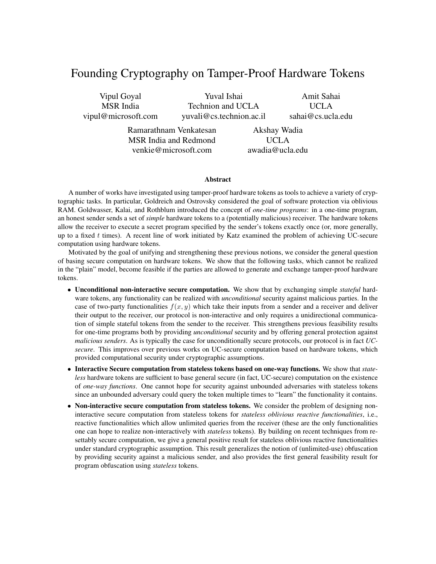# Founding Cryptography on Tamper-Proof Hardware Tokens

Vipul Goyal MSR India vipul@microsoft.com

Yuval Ishai Technion and UCLA yuvali@cs.technion.ac.il

Amit Sahai UCLA sahai@cs.ucla.edu

Ramarathnam Venkatesan MSR India and Redmond venkie@microsoft.com

Akshay Wadia UCLA awadia@ucla.edu

#### Abstract

A number of works have investigated using tamper-proof hardware tokens as tools to achieve a variety of cryptographic tasks. In particular, Goldreich and Ostrovsky considered the goal of software protection via oblivious RAM. Goldwasser, Kalai, and Rothblum introduced the concept of *one-time programs*: in a one-time program, an honest sender sends a set of *simple* hardware tokens to a (potentially malicious) receiver. The hardware tokens allow the receiver to execute a secret program specified by the sender's tokens exactly once (or, more generally, up to a fixed  $t$  times). A recent line of work initiated by Katz examined the problem of achieving UC-secure computation using hardware tokens.

Motivated by the goal of unifying and strengthening these previous notions, we consider the general question of basing secure computation on hardware tokens. We show that the following tasks, which cannot be realized in the "plain" model, become feasible if the parties are allowed to generate and exchange tamper-proof hardware tokens.

- Unconditional non-interactive secure computation. We show that by exchanging simple *stateful* hardware tokens, any functionality can be realized with *unconditional* security against malicious parties. In the case of two-party functionalities  $f(x, y)$  which take their inputs from a sender and a receiver and deliver their output to the receiver, our protocol is non-interactive and only requires a unidirectional communication of simple stateful tokens from the sender to the receiver. This strengthens previous feasibility results for one-time programs both by providing *unconditional* security and by offering general protection against *malicious senders*. As is typically the case for unconditionally secure protocols, our protocol is in fact *UCsecure*. This improves over previous works on UC-secure computation based on hardware tokens, which provided computational security under cryptographic assumptions.
- Interactive Secure computation from stateless tokens based on one-way functions. We show that *stateless* hardware tokens are sufficient to base general secure (in fact, UC-secure) computation on the existence of *one-way functions*. One cannot hope for security against unbounded adversaries with stateless tokens since an unbounded adversary could query the token multiple times to "learn" the functionality it contains.
- Non-interactive secure computation from stateless tokens. We consider the problem of designing noninteractive secure computation from stateless tokens for *stateless oblivious reactive functionalities*, i.e., reactive functionalities which allow unlimited queries from the receiver (these are the only functionalities one can hope to realize non-interactively with *stateless* tokens). By building on recent techniques from resettably secure computation, we give a general positive result for stateless oblivious reactive functionalities under standard cryptographic assumption. This result generalizes the notion of (unlimited-use) obfuscation by providing security against a malicious sender, and also provides the first general feasibility result for program obfuscation using *stateless* tokens.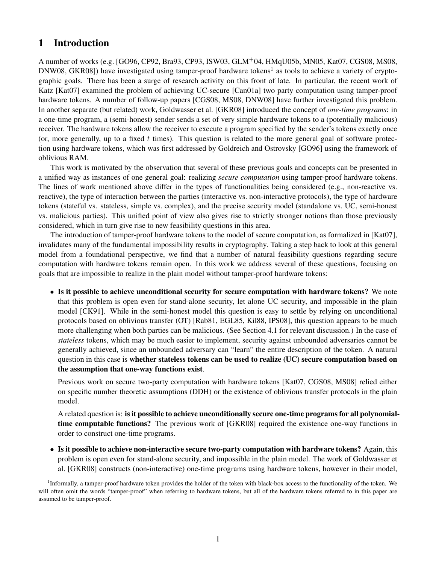# 1 Introduction

A number of works (e.g. [GO96, CP92, Bra93, CP93, ISW03, GLM+04, HMqU05b, MN05, Kat07, CGS08, MS08, DNW08, GKR08]) have investigated using tamper-proof hardware tokens<sup>1</sup> as tools to achieve a variety of cryptographic goals. There has been a surge of research activity on this front of late. In particular, the recent work of Katz [Kat07] examined the problem of achieving UC-secure [Can01a] two party computation using tamper-proof hardware tokens. A number of follow-up papers [CGS08, MS08, DNW08] have further investigated this problem. In another separate (but related) work, Goldwasser et al. [GKR08] introduced the concept of *one-time programs*: in a one-time program, a (semi-honest) sender sends a set of very simple hardware tokens to a (potentially malicious) receiver. The hardware tokens allow the receiver to execute a program specified by the sender's tokens exactly once (or, more generally, up to a fixed t times). This question is related to the more general goal of software protection using hardware tokens, which was first addressed by Goldreich and Ostrovsky [GO96] using the framework of oblivious RAM.

This work is motivated by the observation that several of these previous goals and concepts can be presented in a unified way as instances of one general goal: realizing *secure computation* using tamper-proof hardware tokens. The lines of work mentioned above differ in the types of functionalities being considered (e.g., non-reactive vs. reactive), the type of interaction between the parties (interactive vs. non-interactive protocols), the type of hardware tokens (stateful vs. stateless, simple vs. complex), and the precise security model (standalone vs. UC, semi-honest vs. malicious parties). This unified point of view also gives rise to strictly stronger notions than those previously considered, which in turn give rise to new feasibility questions in this area.

The introduction of tamper-proof hardware tokens to the model of secure computation, as formalized in [Kat07], invalidates many of the fundamental impossibility results in cryptography. Taking a step back to look at this general model from a foundational perspective, we find that a number of natural feasibility questions regarding secure computation with hardware tokens remain open. In this work we address several of these questions, focusing on goals that are impossible to realize in the plain model without tamper-proof hardware tokens:

• Is it possible to achieve unconditional security for secure computation with hardware tokens? We note that this problem is open even for stand-alone security, let alone UC security, and impossible in the plain model [CK91]. While in the semi-honest model this question is easy to settle by relying on unconditional protocols based on oblivious transfer (OT) [Rab81, EGL85, Kil88, IPS08], this question appears to be much more challenging when both parties can be malicious. (See Section 4.1 for relevant discussion.) In the case of *stateless* tokens, which may be much easier to implement, security against unbounded adversaries cannot be generally achieved, since an unbounded adversary can "learn" the entire description of the token. A natural question in this case is whether stateless tokens can be used to realize (UC) secure computation based on the assumption that one-way functions exist.

Previous work on secure two-party computation with hardware tokens [Kat07, CGS08, MS08] relied either on specific number theoretic assumptions (DDH) or the existence of oblivious transfer protocols in the plain model.

A related question is: is it possible to achieve unconditionally secure one-time programs for all polynomialtime computable functions? The previous work of [GKR08] required the existence one-way functions in order to construct one-time programs.

• Is it possible to achieve non-interactive secure two-party computation with hardware tokens? Again, this problem is open even for stand-alone security, and impossible in the plain model. The work of Goldwasser et al. [GKR08] constructs (non-interactive) one-time programs using hardware tokens, however in their model,

<sup>&</sup>lt;sup>1</sup>Informally, a tamper-proof hardware token provides the holder of the token with black-box access to the functionality of the token. We will often omit the words "tamper-proof" when referring to hardware tokens, but all of the hardware tokens referred to in this paper are assumed to be tamper-proof.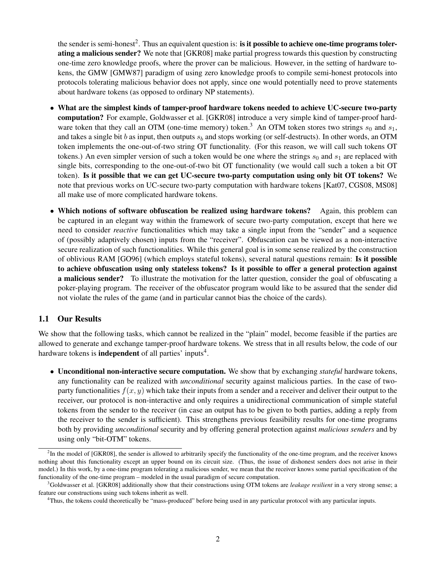the sender is semi-honest<sup>2</sup>. Thus an equivalent question is: **is it possible to achieve one-time programs tolerating a malicious sender?** We note that [GKR08] make partial progress towards this question by constructing one-time zero knowledge proofs, where the prover can be malicious. However, in the setting of hardware tokens, the GMW [GMW87] paradigm of using zero knowledge proofs to compile semi-honest protocols into protocols tolerating malicious behavior does not apply, since one would potentially need to prove statements about hardware tokens (as opposed to ordinary NP statements).

- What are the simplest kinds of tamper-proof hardware tokens needed to achieve UC-secure two-party computation? For example, Goldwasser et al. [GKR08] introduce a very simple kind of tamper-proof hardware token that they call an OTM (one-time memory) token.<sup>3</sup> An OTM token stores two strings  $s_0$  and  $s_1$ , and takes a single bit b as input, then outputs  $s_b$  and stops working (or self-destructs). In other words, an OTM token implements the one-out-of-two string OT functionality. (For this reason, we will call such tokens OT tokens.) An even simpler version of such a token would be one where the strings  $s_0$  and  $s_1$  are replaced with single bits, corresponding to the one-out-of-two bit OT functionality (we would call such a token a bit OT token). Is it possible that we can get UC-secure two-party computation using only bit OT tokens? We note that previous works on UC-secure two-party computation with hardware tokens [Kat07, CGS08, MS08] all make use of more complicated hardware tokens.
- Which notions of software obfuscation be realized using hardware tokens? Again, this problem can be captured in an elegant way within the framework of secure two-party computation, except that here we need to consider *reactive* functionalities which may take a single input from the "sender" and a sequence of (possibly adaptively chosen) inputs from the "receiver". Obfuscation can be viewed as a non-interactive secure realization of such functionalities. While this general goal is in some sense realized by the construction of oblivious RAM [GO96] (which employs stateful tokens), several natural questions remain: Is it possible to achieve obfuscation using only stateless tokens? Is it possible to offer a general protection against **a malicious sender?** To illustrate the motivation for the latter question, consider the goal of obfuscating a poker-playing program. The receiver of the obfuscator program would like to be assured that the sender did not violate the rules of the game (and in particular cannot bias the choice of the cards).

### 1.1 Our Results

We show that the following tasks, which cannot be realized in the "plain" model, become feasible if the parties are allowed to generate and exchange tamper-proof hardware tokens. We stress that in all results below, the code of our hardware tokens is **independent** of all parties' inputs<sup>4</sup>.

• Unconditional non-interactive secure computation. We show that by exchanging *stateful* hardware tokens, any functionality can be realized with *unconditional* security against malicious parties. In the case of twoparty functionalities  $f(x, y)$  which take their inputs from a sender and a receiver and deliver their output to the receiver, our protocol is non-interactive and only requires a unidirectional communication of simple stateful tokens from the sender to the receiver (in case an output has to be given to both parties, adding a reply from the receiver to the sender is sufficient). This strengthens previous feasibility results for one-time programs both by providing *unconditional* security and by offering general protection against *malicious senders* and by using only "bit-OTM" tokens.

 $<sup>2</sup>$ In the model of [GKR08], the sender is allowed to arbitrarily specify the functionality of the one-time program, and the receiver knows</sup> nothing about this functionality except an upper bound on its circuit size. (Thus, the issue of dishonest senders does not arise in their model.) In this work, by a one-time program tolerating a malicious sender, we mean that the receiver knows some partial specification of the functionality of the one-time program – modeled in the usual paradigm of secure computation.

<sup>3</sup>Goldwasser et al. [GKR08] additionally show that their constructions using OTM tokens are *leakage resilient* in a very strong sense; a feature our constructions using such tokens inherit as well.

<sup>4</sup>Thus, the tokens could theoretically be "mass-produced" before being used in any particular protocol with any particular inputs.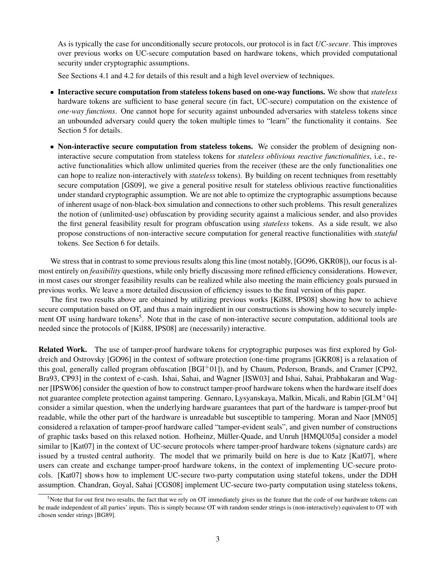As is typically the case for unconditionally secure protocols, our protocol is in fact *UC-secure*. This improves over previous works on UC-secure computation based on hardware tokens, which provided computational security under cryptographic assumptions.

See Sections 4.1 and 4.2 for details of this result and a high level overview of techniques.

- Interactive secure computation from stateless tokens based on one-way functions. We show that *stateless* hardware tokens are sufficient to base general secure (in fact, UC-secure) computation on the existence of *one-way functions*. One cannot hope for security against unbounded adversaries with stateless tokens since an unbounded adversary could query the token multiple times to "learn" the functionality it contains. See Section 5 for details.
- Non-interactive secure computation from stateless tokens. We consider the problem of designing noninteractive secure computation from stateless tokens for *stateless oblivious reactive functionalities*, i.e., reactive functionalities which allow unlimited queries from the receiver (these are the only functionalities one can hope to realize non-interactively with *stateless* tokens). By building on recent techniques from resettably secure computation [GS09], we give a general positive result for stateless oblivious reactive functionalities under standard cryptographic assumption. We are not able to optimize the cryptographic assumptions because of inherent usage of non-black-box simulation and connections to other such problems. This result generalizes the notion of (unlimited-use) obfuscation by providing security against a malicious sender, and also provides the first general feasibility result for program obfuscation using *stateless* tokens. As a side result, we also propose constructions of non-interactive secure computation for general reactive functionalities with *stateful* tokens. See Section 6 for details.

We stress that in contrast to some previous results along this line (most notably, [GO96, GKR08]), our focus is almost entirely on *feasibility* questions, while only briefly discussing more refined efficiency considerations. However, in most cases our stronger feasibility results can be realized while also meeting the main efficiency goals pursued in previous works. We leave a more detailed discussion of efficiency issues to the final version of this paper.

The first two results above are obtained by utilizing previous works [Kil88, IPS08] showing how to achieve secure computation based on OT, and thus a main ingredient in our constructions is showing how to securely implement OT using hardware tokens<sup>5</sup>. Note that in the case of non-interactive secure computation, additional tools are needed since the protocols of [Kil88, IPS08] are (necessarily) interactive.

Related Work. The use of tamper-proof hardware tokens for cryptographic purposes was first explored by Goldreich and Ostrovsky [GO96] in the context of software protection (one-time programs [GKR08] is a relaxation of this goal, generally called program obfuscation  $[BGI^+01]$ , and by Chaum, Pederson, Brands, and Cramer  $[CP92]$ , Bra93, CP93] in the context of e-cash. Ishai, Sahai, and Wagner [ISW03] and Ishai, Sahai, Prabhakaran and Wagner [IPSW06] consider the question of how to construct tamper-proof hardware tokens when the hardware itself does not guarantee complete protection against tampering. Gennaro, Lysyanskaya, Malkin, Micali, and Rabin [GLM+04] consider a similar question, when the underlying hardware guarantees that part of the hardware is tamper-proof but readable, while the other part of the hardware is unreadable but susceptible to tampering. Moran and Naor [MN05] considered a relaxation of tamper-proof hardware called "tamper-evident seals", and given number of constructions of graphic tasks based on this relaxed notion. Hofheinz, Muller-Quade, and Unruh [HMQU05a] consider a model ¨ similar to [Kat07] in the context of UC-secure protocols where tamper-proof hardware tokens (signature cards) are issued by a trusted central authority. The model that we primarily build on here is due to Katz [Kat07], where users can create and exchange tamper-proof hardware tokens, in the context of implementing UC-secure protocols. [Kat07] shows how to implement UC-secure two-party computation using stateful tokens, under the DDH assumption. Chandran, Goyal, Sahai [CGS08] implement UC-secure two-party computation using stateless tokens,

 ${}^{5}$ Note that for out first two results, the fact that we rely on OT immediately gives us the feature that the code of our hardware tokens can be made independent of all parties' inputs. This is simply because OT with random sender strings is (non-interactively) equivalent to OT with chosen sender strings [BG89].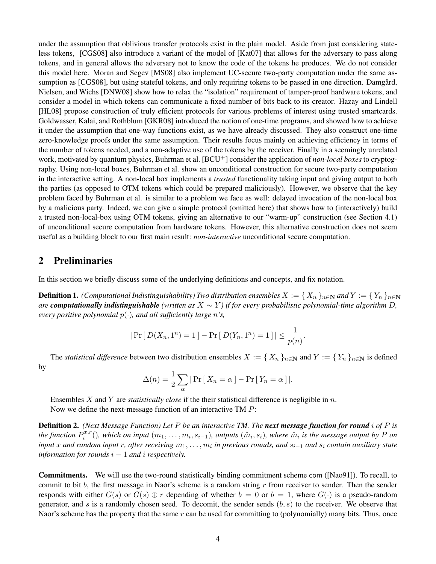under the assumption that oblivious transfer protocols exist in the plain model. Aside from just considering stateless tokens, [CGS08] also introduce a variant of the model of [Kat07] that allows for the adversary to pass along tokens, and in general allows the adversary not to know the code of the tokens he produces. We do not consider this model here. Moran and Segev [MS08] also implement UC-secure two-party computation under the same assumption as [CGS08], but using stateful tokens, and only requiring tokens to be passed in one direction. Damgård, Nielsen, and Wichs [DNW08] show how to relax the "isolation" requirement of tamper-proof hardware tokens, and consider a model in which tokens can communicate a fixed number of bits back to its creator. Hazay and Lindell [HL08] propose construction of truly efficient protocols for various problems of interest using trusted smartcards. Goldwasser, Kalai, and Rothblum [GKR08] introduced the notion of one-time programs, and showed how to achieve it under the assumption that one-way functions exist, as we have already discussed. They also construct one-time zero-knowledge proofs under the same assumption. Their results focus mainly on achieving efficiency in terms of the number of tokens needed, and a non-adaptive use of the tokens by the receiver. Finally in a seemingly unrelated work, motivated by quantum physics, Buhrman et al. [BCU+] consider the application of *non-local boxes* to cryptography. Using non-local boxes, Buhrman et al. show an unconditional construction for secure two-party computation in the interactive setting. A non-local box implements a *trusted* functionality taking input and giving output to both the parties (as opposed to OTM tokens which could be prepared maliciously). However, we observe that the key problem faced by Buhrman et al. is similar to a problem we face as well: delayed invocation of the non-local box by a malicious party. Indeed, we can give a simple protocol (omitted here) that shows how to (interactively) build a trusted non-local-box using OTM tokens, giving an alternative to our "warm-up" construction (see Section 4.1) of unconditional secure computation from hardware tokens. However, this alternative construction does not seem useful as a building block to our first main result: *non-interactive* unconditional secure computation.

## 2 Preliminaries

In this section we briefly discuss some of the underlying definitions and concepts, and fix notation.

**Definition 1.** *(Computational Indistinguishability) Two distribution ensembles*  $X := \{X_n\}_{n\in\mathbb{N}}$  *and*  $Y := \{Y_n\}_{n\in\mathbb{N}}$ *are computationally indistinguishable* (written as  $X \sim Y$ ) if for every probabilistic polynomial-time algorithm D, *every positive polynomial*  $p(\cdot)$ *, and all sufficiently large n's*,

$$
|\Pr[D(X_n, 1^n) = 1] - \Pr[D(Y_n, 1^n) = 1]| \leq \frac{1}{p(n)}.
$$

The *statistical difference* between two distribution ensembles  $X := \{X_n\}_{n\in\mathbb{N}}$  and  $Y := \{Y_n\}_{n\in\mathbb{N}}$  is defined by

$$
\Delta(n) = \frac{1}{2} \sum_{\alpha} | \Pr \left[ \left. X_n = \alpha \right] - \Pr \left[ \left. Y_n = \alpha \right] \right| \right].
$$

Ensembles X and Y are *statistically close* if the their statistical difference is negligible in n. Now we define the next-message function of an interactive TM P:

Definition 2. *(Next Message Function) Let* P *be an interactive TM. The next message function for round* i *of* P *is* the function  $P_i^{x,r}$  $\hat{m}_i^{x,r}$  (), which on input  $(m_1, \ldots, m_i, s_{i-1})$ , outputs  $(\hat{m}_i, s_i)$ , where  $\hat{m}_i$  is the message output by P on *input* x *and random input* r*, after receiving* m1, . . . , m<sup>i</sup> *in previous rounds, and* si−<sup>1</sup> *and* s<sup>i</sup> *contain auxiliary state information for rounds*  $i - 1$  *and*  $i$  *respectively.* 

Commitments. We will use the two-round statistically binding commitment scheme com ([Nao91]). To recall, to commit to bit  $b$ , the first message in Naor's scheme is a random string  $r$  from receiver to sender. Then the sender responds with either  $G(s)$  or  $G(s) \oplus r$  depending of whether  $b = 0$  or  $b = 1$ , where  $G(\cdot)$  is a pseudo-random generator, and s is a randomly chosen seed. To decomit, the sender sends  $(b, s)$  to the receiver. We observe that Naor's scheme has the property that the same  $r$  can be used for committing to (polynomially) many bits. Thus, once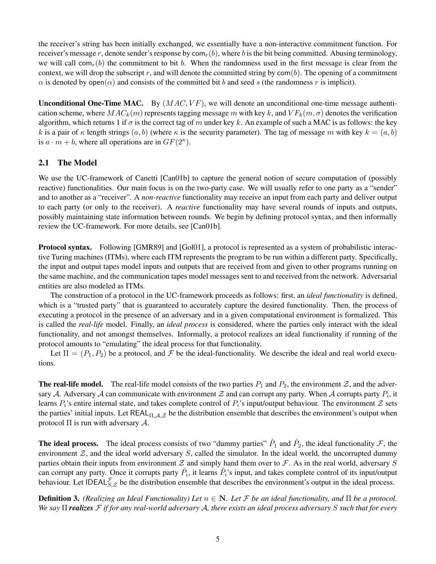the receiver's string has been initially exchanged, we essentially have a non-interactive commitment function. For receiver's message r, denote sender's response by  $com_r(b)$ , where b is the bit being committed. Abusing terminology, we will call com<sub>r</sub>(b) the commitment to bit b. When the randomness used in the first message is clear from the context, we will drop the subscript r, and will denote the committed string by  $com(b)$ . The opening of a commitment  $\alpha$  is denoted by open( $\alpha$ ) and consists of the committed bit b and seed s (the randomness r is implicit).

**Unconditional One-Time MAC.** By  $(MAC, VF)$ , we will denote an unconditional one-time message authentication scheme, where  $MAC_k(m)$  represents tagging message m with key k, and  $VF_k(m, \sigma)$  denotes the verification algorithm, which returns 1 if  $\sigma$  is the correct tag of m under key k. An example of such a MAC is as follows: the key k is a pair of  $\kappa$  length strings  $(a, b)$  (where  $\kappa$  is the security parameter). The tag of message m with key  $k = (a, b)$ is  $a \cdot m + b$ , where all operations are in  $GF(2<sup>\kappa</sup>)$ .

### 2.1 The Model

We use the UC-framework of Canetti [Can01b] to capture the general notion of secure computation of (possibly reactive) functionalities. Our main focus is on the two-party case. We will usually refer to one party as a "sender" and to another as a "receiver". A *non-reactive* functionality may receive an input from each party and deliver output to each party (or only to the receiver). A *reactive* functionality may have several rounds of inputs and outputs, possibly maintaining state information between rounds. We begin by defining protocol syntax, and then informally review the UC-framework. For more details, see [Can01b].

Protocol syntax. Following [GMR89] and [Gol01], a protocol is represented as a system of probabilistic interactive Turing machines (ITMs), where each ITM represents the program to be run within a different party. Specifically, the input and output tapes model inputs and outputs that are received from and given to other programs running on the same machine, and the communication tapes model messages sent to and received from the network. Adversarial entities are also modeled as ITMs.

The construction of a protocol in the UC-framework proceeds as follows: first, an *ideal functionality* is defined, which is a "trusted party" that is guaranteed to accurately capture the desired functionality. Then, the process of executing a protocol in the presence of an adversary and in a given computational environment is formalized. This is called the *real-life* model. Finally, an *ideal process* is considered, where the parties only interact with the ideal functionality, and not amongst themselves. Informally, a protocol realizes an ideal functionality if running of the protocol amounts to "emulating" the ideal process for that functionality.

Let  $\Pi = (P_1, P_2)$  be a protocol, and F be the ideal-functionality. We describe the ideal and real world executions.

The real-life model. The real-life model consists of the two parties  $P_1$  and  $P_2$ , the environment  $Z$ , and the adversary A. Adversary A can communicate with environment  $\mathcal Z$  and can corrupt any party. When A corrupts party  $P_i$ , it learns  $P_i$ 's entire internal state, and takes complete control of  $P_i$ 's input/output behaviour. The environment  $Z$  sets the parties' initial inputs. Let  $REAL_{\Pi,A,\mathcal{Z}}$  be the distribution ensemble that describes the environment's output when protocol  $\Pi$  is run with adversary  $\mathcal{A}$ .

**The ideal process.** The ideal process consists of two "dummy parties"  $\hat{P}_1$  and  $\hat{P}_2$ , the ideal functionality  $\mathcal{F}$ , the environment  $Z$ , and the ideal world adversary  $S$ , called the simulator. In the ideal world, the uncorrupted dummy parties obtain their inputs from environment  $Z$  and simply hand them over to  $\mathcal F$ . As in the real world, adversary  $S$ can corrupt any party. Once it corrupts party  $\hat{P}_i$ , it learns  $\hat{P}_i$ 's input, and takes complete control of its input/output behaviour. Let IDEAL $_{S,Z}^{\mathcal{F}}$  be the distribution ensemble that describes the environment's output in the ideal process.

**Definition 3.** *(Realizing an Ideal Functionality) Let*  $n \in \mathbb{N}$ . Let F be an ideal functionality, and  $\Pi$  be a protocol. *We say* Π *realizes* F *if for any real-world adversary* A*, there exists an ideal process adversary* S *such that for every*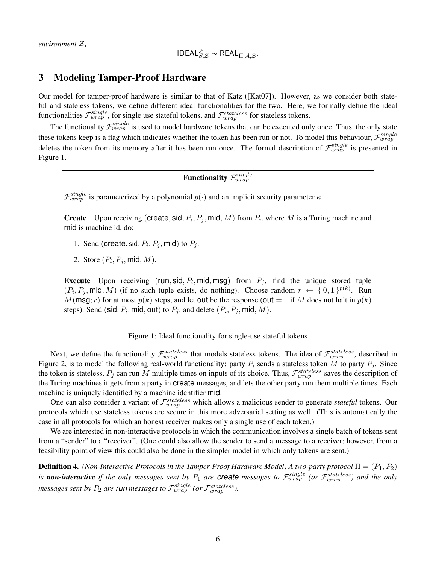*environment* Z*,*

$$
\mathsf{IDEAL}_{S,Z}^{\mathcal{F}} \sim \mathsf{REAL}_{\Pi,\mathcal{A},Z}.
$$

## 3 Modeling Tamper-Proof Hardware

Our model for tamper-proof hardware is similar to that of Katz ([Kat07]). However, as we consider both stateful and stateless tokens, we define different ideal functionalities for the two. Here, we formally define the ideal functionalities  $\mathcal{F}^{single}_{wrap}$ , for single use stateful tokens, and  $\mathcal{F}^{stateless}_{wrap}$  for stateless tokens.

The functionality  $\mathcal{F}^{single}_{wrap}$  is used to model hardware tokens that can be executed only once. Thus, the only state these tokens keep is a flag which indicates whether the token has been run or not. To model this behaviour,  $\mathcal{F}^{single}_{wrap}$ deletes the token from its memory after it has been run once. The formal description of  $\mathcal{F}^{single}_{wrap}$  is presented in Figure 1.

# Functionality  $\mathcal{F}_{wrap}^{single}$

 $\mathcal{F}^{single}_{wrap}$  is parameterized by a polynomial  $p(\cdot)$  and an implicit security parameter  $\kappa$ .

**Create** Upon receiving (create, sid,  $P_i$ ,  $P_j$ , mid, M) from  $P_i$ , where M is a Turing machine and mid is machine id, do:

1. Send (create, sid,  $P_i$ ,  $P_j$ , mid) to  $P_j$ .

2. Store  $(P_i, P_j, \text{mid}, M)$ .

**Execute** Upon receiving (run, sid,  $P_i$ , mid, msg) from  $P_j$ , find the unique stored tuple  $(P_i, P_j, \text{mid}, M)$  (if no such tuple exists, do nothing). Choose random  $r \leftarrow \{0, 1\}^{p(k)}$ . Run  $M(msg; r)$  for at most  $p(k)$  steps, and let out be the response (out  $=\perp$  if M does not halt in  $p(k)$ ) steps). Send (sid,  $P_i$ , mid, out) to  $P_j$ , and delete  $(P_i, P_j, \text{mid}, M)$ .

#### Figure 1: Ideal functionality for single-use stateful tokens

Next, we define the functionality  $\mathcal{F}^{stateless}_{wrap}$  that models stateless tokens. The idea of  $\mathcal{F}^{stateless}_{wrap}$ , described in Figure 2, is to model the following real-world functionality: party  $P_i$  sends a stateless token M to party  $P_j$ . Since the token is stateless,  $P_j$  can run M multiple times on inputs of its choice. Thus,  $\mathcal{F}^{stateless}_{wrap}$  saves the description of the Turing machines it gets from a party in create messages, and lets the other party run them multiple times. Each machine is uniquely identified by a machine identifier mid.

One can also consider a variant of  $\mathcal{F}^{stateless}_{wrap}$  which allows a malicious sender to generate *stateful* tokens. Our protocols which use stateless tokens are secure in this more adversarial setting as well. (This is automatically the case in all protocols for which an honest receiver makes only a single use of each token.)

We are interested in non-interactive protocols in which the communication involves a single batch of tokens sent from a "sender" to a "receiver". (One could also allow the sender to send a message to a receiver; however, from a feasibility point of view this could also be done in the simpler model in which only tokens are sent.)

**Definition 4.** *(Non-Interactive Protocols in the Tamper-Proof Hardware Model) A two-party protocol*  $\Pi = (P_1, P_2)$ is **non-interactive** if the only messages sent by  $P_1$  are **create** messages to  $\mathcal{F}^{single}_{wrap}$  (or  $\mathcal{F}^{stateless}_{wrap}$ ) and the only messages sent by  $P_2$  are **run** messages to  $\mathcal{F}_{wrap}^{single}$  (or  $\mathcal{F}_{wrap}^{stateless}$  ).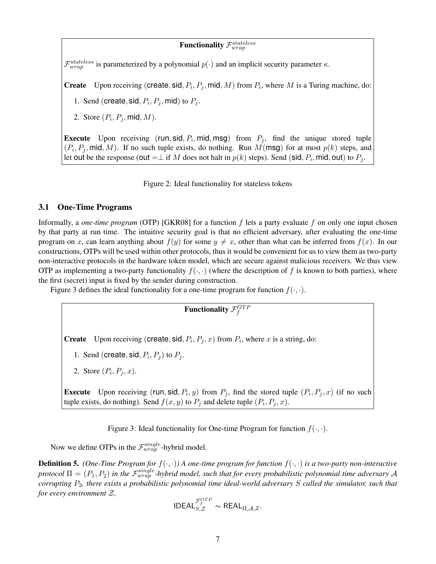# Functionality  $\mathcal{F}^{stateless}_{wrap}$

 $\mathcal{F}^{stateless}_{wrap}$  is parameterized by a polynomial  $p(\cdot)$  and an implicit security parameter  $\kappa$ .

**Create** Upon receiving (create, sid,  $P_i$ ,  $P_j$ , mid, M) from  $P_i$ , where M is a Turing machine, do:

1. Send (create, sid,  $P_i$ ,  $P_j$ , mid) to  $P_j$ .

2. Store  $(P_i, P_j, \text{mid}, M)$ .

**Execute** Upon receiving (run, sid,  $P_i$ , mid, msg) from  $P_j$ , find the unique stored tuple  $(P_i, P_j, \text{mid}, M)$ . If no such tuple exists, do nothing. Run  $M(\text{msg})$  for at most  $p(k)$  steps, and let out be the response (out  $=\perp$  if  $M$  does not halt in  $p(k)$  steps). Send (sid,  $P_i$ , mid, out) to  $P_j$ .

Figure 2: Ideal functionality for stateless tokens

### 3.1 One-Time Programs

Informally, a *one-time program* (OTP) [GKR08] for a function f lets a party evaluate f on only one input chosen by that party at run time. The intuitive security goal is that no efficient adversary, after evaluating the one-time program on x, can learn anything about  $f(y)$  for some  $y \neq x$ , other than what can be inferred from  $f(x)$ . In our constructions, OTPs will be used within other protocols, thus it would be convenient for us to view them as two-party non-interactive protocols in the hardware token model, which are secure against malicious receivers. We thus view OTP as implementing a two-party functionality  $f(\cdot, \cdot)$  (where the description of f is known to both parties), where the first (secret) input is fixed by the sender during construction.

Figure 3 defines the ideal functionality for a one-time program for function  $f(\cdot, \cdot)$ .

# Functionality  $\mathcal{F}^{OTP}_f$

**Create** Upon receiving (create, sid,  $P_i$ ,  $P_j$ , x) from  $P_i$ , where x is a string, do:

1. Send (create, sid,  $P_i$ ,  $P_j$ ) to  $P_j$ .

2. Store  $(P_i, P_j, x)$ .

**Execute** Upon receiving (run, sid,  $P_i$ , y) from  $P_j$ , find the stored tuple  $(P_i, P_j, x)$  (if no such tuple exists, do nothing). Send  $f(x, y)$  to  $P_j$  and delete tuple  $(P_i, P_j, x)$ .

Figure 3: Ideal functionality for One-time Program for function  $f(\cdot, \cdot)$ .

Now we define OTPs in the  $\mathcal{F}^{single}_{wrap}$ -hybrid model.

**Definition 5.** *(One-Time Program for*  $f(\cdot, \cdot)$ ) A one-time program for function  $f(\cdot, \cdot)$  is a two-party non-interactive protocol  $\Pi=(P_1,P_2)$  in the  $\mathcal{F}^{single}_{wrap}$ -hybrid model, such that for every probabilistic polynomial time adversary  ${\cal A}$ *corrupting* P2*, there exists a probabilistic polynomial time ideal-world adversary* S *called the simulator, such that for every environment* Z*,*

$$
\mathsf{IDEAL}_{S,\mathcal{Z}}^{\mathcal{F}^{OTP}} \sim \mathsf{REAL}_{\Pi,\mathcal{A},Z}.
$$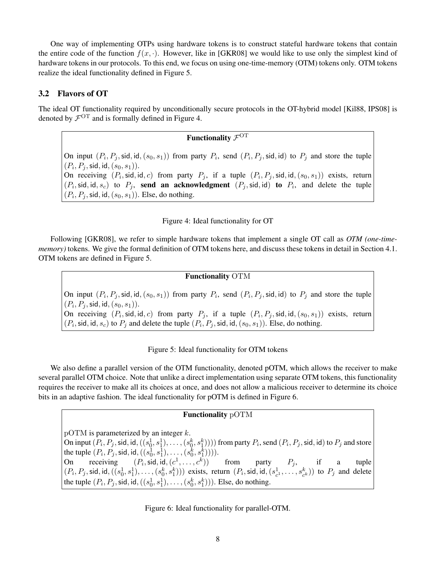One way of implementing OTPs using hardware tokens is to construct stateful hardware tokens that contain the entire code of the function  $f(x, \cdot)$ . However, like in [GKR08] we would like to use only the simplest kind of hardware tokens in our protocols. To this end, we focus on using one-time-memory (OTM) tokens only. OTM tokens realize the ideal functionality defined in Figure 5.

### 3.2 Flavors of OT

The ideal OT functionality required by unconditionally secure protocols in the OT-hybrid model [Kil88, IPS08] is denoted by  $\mathcal{F}^{\mathrm{OT}}$  and is formally defined in Figure 4.

## Functionality  $\mathcal{F}^{\mathrm{OT}}$

On input  $(P_i, P_j, \text{sid}, \text{id}, (s_0, s_1))$  from party  $P_i$ , send  $(P_i, P_j, \text{sid}, \text{id})$  to  $P_j$  and store the tuple  $(P_i, P_j, \text{sid}, \text{id}, (s_0, s_1)).$ On receiving  $(P_i, \text{sid}, \text{id}, c)$  from party  $P_j$ , if a tuple  $(P_i, P_j, \text{sid}, \text{id}, (s_0, s_1))$  exists, return  $(P_i, \text{sid}, \text{id}, s_c)$  to  $P_j$ , send an acknowledgment  $(P_j, \text{sid}, \text{id})$  to  $P_i$ , and delete the tuple  $(P_i, P_j, \text{sid}, \text{id}, (s_0, s_1)).$  Else, do nothing.

Figure 4: Ideal functionality for OT

Following [GKR08], we refer to simple hardware tokens that implement a single OT call as *OTM (one-timememory*) tokens. We give the formal definition of OTM tokens here, and discuss these tokens in detail in Section 4.1. OTM tokens are defined in Figure 5.

#### Functionality OTM

On input  $(P_i, P_j, \text{sid}, \text{id}, (s_0, s_1))$  from party  $P_i$ , send  $(P_i, P_j, \text{sid}, \text{id})$  to  $P_j$  and store the tuple  $(P_i, P_j, \mathsf{sid}, \mathsf{id}, (s_0, s_1)).$ On receiving  $(P_i, \text{sid}, \text{id}, c)$  from party  $P_j$ , if a tuple  $(P_i, P_j, \text{sid}, \text{id}, (s_0, s_1))$  exists, return  $(P_i, \text{sid}, \text{id}, s_c)$  to  $P_j$  and delete the tuple  $(P_i, P_j, \text{sid}, \text{id}, (s_0, s_1))$ . Else, do nothing.

#### Figure 5: Ideal functionality for OTM tokens

We also define a parallel version of the OTM functionality, denoted pOTM, which allows the receiver to make several parallel OTM choice. Note that unlike a direct implementation using separate OTM tokens, this functionality requires the receiver to make all its choices at once, and does not allow a malicious receiver to determine its choice bits in an adaptive fashion. The ideal functionality for pOTM is defined in Figure 6.

#### Functionality pOTM

 $pOTM$  is parameterized by an integer  $k$ . On input  $(P_i,P_j,$  sid, id,  $((s_0^1,s_1^1),\ldots,(s_0^k,s_1^k)))$  from party  $P_i$ , send  $(P_i,P_j,$  sid, id) to  $P_j$  and store the tuple  $(P_i, P_j, \text{sid}, \text{id}, ((s_0^1, s_1^1), \dots, (s_0^k, s_1^k))))$ . On receiving  $(P_i, \text{sid}, \text{id}, (c^1, \dots, c^k))$  from party  $P_j$ , if a tuple , sid, id,  $(c^1, \ldots, c^k)$  $(P_i, P_j, \text{sid}, \text{id}, ((s_0^1, s_1^1), \ldots, (s_0^k, s_1^k)))$  exists, return  $(P_i, \text{sid}, \text{id}, (s_{c^1}^1, \ldots, s_{c^k}^k))$  to  $P_j$  and delete the tuple  $(P_i, P_j, \text{sid}, \text{id}, ((s_0^1, s_1^1), \dots, (s_0^k, s_1^k)))$ . Else, do nothing.

Figure 6: Ideal functionality for parallel-OTM.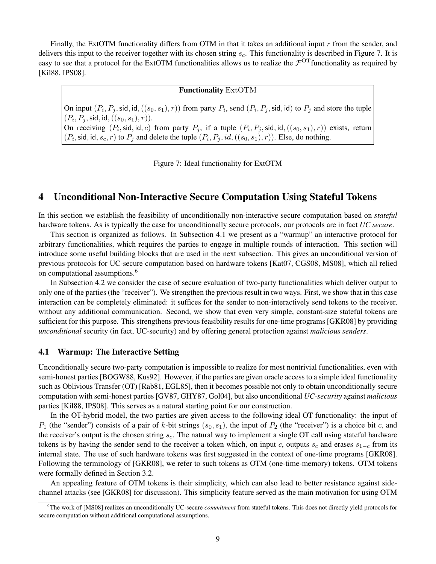Finally, the ExtOTM functionality differs from OTM in that it takes an additional input r from the sender, and delivers this input to the receiver together with its chosen string  $s_c$ . This functionality is described in Figure 7. It is easy to see that a protocol for the ExtOTM functionalities allows us to realize the  $\mathcal{F}^{\rm OT}$ functionality as required by [Kil88, IPS08].

#### Functionality ExtOTM

On input  $(P_i, P_j, \text{sid}, \text{id}, ((s_0, s_1), r))$  from party  $P_i$ , send  $(P_i, P_j, \text{sid}, \text{id})$  to  $P_j$  and store the tuple  $(P_i, P_j, \text{sid}, \text{id}, ((s_0, s_1), r)).$ 

On receiving  $(P_i, \text{sid}, \text{id}, c)$  from party  $P_j$ , if a tuple  $(P_i, P_j, \text{sid}, \text{id}, ((s_0, s_1), r))$  exists, return  $(P_i, \text{sid}, \text{id}, s_c, r)$  to  $P_j$  and delete the tuple  $(P_i, P_j, id, ((s_0, s_1), r))$ . Else, do nothing.

Figure 7: Ideal functionality for ExtOTM

## 4 Unconditional Non-Interactive Secure Computation Using Stateful Tokens

In this section we establish the feasibility of unconditionally non-interactive secure computation based on *stateful* hardware tokens. As is typically the case for unconditionally secure protocols, our protocols are in fact *UC secure*.

This section is organized as follows. In Subsection 4.1 we present as a "warmup" an interactive protocol for arbitrary functionalities, which requires the parties to engage in multiple rounds of interaction. This section will introduce some useful building blocks that are used in the next subsection. This gives an unconditional version of previous protocols for UC-secure computation based on hardware tokens [Kat07, CGS08, MS08], which all relied on computational assumptions.<sup>6</sup>

In Subsection 4.2 we consider the case of secure evaluation of two-party functionalities which deliver output to only one of the parties (the "receiver"). We strengthen the previous result in two ways. First, we show that in this case interaction can be completely eliminated: it suffices for the sender to non-interactively send tokens to the receiver, without any additional communication. Second, we show that even very simple, constant-size stateful tokens are sufficient for this purpose. This strengthens previous feasibility results for one-time programs [GKR08] by providing *unconditional* security (in fact, UC-security) and by offering general protection against *malicious senders*.

### 4.1 Warmup: The Interactive Setting

Unconditionally secure two-party computation is impossible to realize for most nontrivial functionalities, even with semi-honest parties [BOGW88, Kus92]. However, if the parties are given oracle access to a simple ideal functionality such as Oblivious Transfer (OT) [Rab81, EGL85], then it becomes possible not only to obtain unconditionally secure computation with semi-honest parties [GV87, GHY87, Gol04], but also unconditional *UC-security* against *malicious* parties [Kil88, IPS08]. This serves as a natural starting point for our construction.

In the OT-hybrid model, the two parties are given access to the following ideal OT functionality: the input of  $P_1$  (the "sender") consists of a pair of k-bit strings  $(s_0, s_1)$ , the input of  $P_2$  (the "receiver") is a choice bit c, and the receiver's output is the chosen string  $s_c$ . The natural way to implement a single OT call using stateful hardware tokens is by having the sender send to the receiver a token which, on input c, outputs  $s_c$  and erases  $s_{1-c}$  from its internal state. The use of such hardware tokens was first suggested in the context of one-time programs [GKR08]. Following the terminology of [GKR08], we refer to such tokens as OTM (one-time-memory) tokens. OTM tokens were formally defined in Section 3.2.

An appealing feature of OTM tokens is their simplicity, which can also lead to better resistance against sidechannel attacks (see [GKR08] for discussion). This simplicity feature served as the main motivation for using OTM

<sup>6</sup>The work of [MS08] realizes an unconditionally UC-secure *commitment* from stateful tokens. This does not directly yield protocols for secure computation without additional computational assumptions.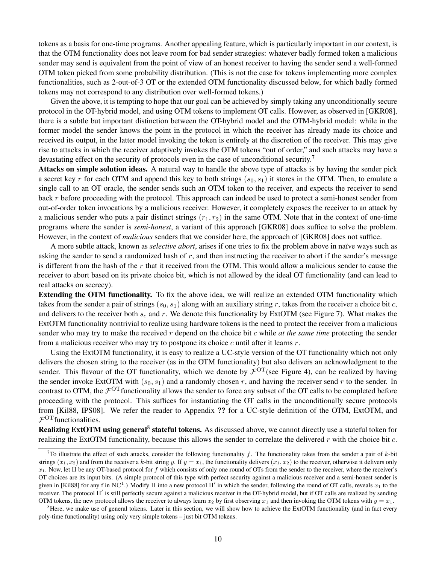tokens as a basis for one-time programs. Another appealing feature, which is particularly important in our context, is that the OTM functionality does not leave room for bad sender strategies: whatever badly formed token a malicious sender may send is equivalent from the point of view of an honest receiver to having the sender send a well-formed OTM token picked from some probability distribution. (This is not the case for tokens implementing more complex functionalities, such as 2-out-of-3 OT or the extended OTM functionality discussed below, for which badly formed tokens may not correspond to any distribution over well-formed tokens.)

Given the above, it is tempting to hope that our goal can be achieved by simply taking any unconditionally secure protocol in the OT-hybrid model, and using OTM tokens to implement OT calls. However, as observed in [GKR08], there is a subtle but important distinction between the OT-hybrid model and the OTM-hybrid model: while in the former model the sender knows the point in the protocol in which the receiver has already made its choice and received its output, in the latter model invoking the token is entirely at the discretion of the receiver. This may give rise to attacks in which the receiver adaptively invokes the OTM tokens "out of order," and such attacks may have a devastating effect on the security of protocols even in the case of unconditional security.<sup>7</sup>

Attacks on simple solution ideas. A natural way to handle the above type of attacks is by having the sender pick a secret key r for each OTM and append this key to both strings  $(s_0, s_1)$  it stores in the OTM. Then, to emulate a single call to an OT oracle, the sender sends such an OTM token to the receiver, and expects the receiver to send back r before proceeding with the protocol. This approach can indeed be used to protect a semi-honest sender from out-of-order token invocations by a malicious receiver. However, it completely exposes the receiver to an attack by a malicious sender who puts a pair distinct strings  $(r_1, r_2)$  in the same OTM. Note that in the context of one-time programs where the sender is *semi-honest*, a variant of this approach [GKR08] does suffice to solve the problem. However, in the context of *malicious* senders that we consider here, the approach of [GKR08] does not suffice.

A more subtle attack, known as *selective abort*, arises if one tries to fix the problem above in naïve ways such as asking the sender to send a randomized hash of  $r$ , and then instructing the receiver to abort if the sender's message is different from the hash of the  $r$  that it received from the OTM. This would allow a malicious sender to cause the receiver to abort based on its private choice bit, which is not allowed by the ideal OT functionality (and can lead to real attacks on secrecy).

Extending the OTM functionality. To fix the above idea, we will realize an extended OTM functionality which takes from the sender a pair of strings  $(s_0, s_1)$  along with an auxiliary string r, takes from the receiver a choice bit c, and delivers to the receiver both  $s_c$  and r. We denote this functionality by ExtOTM (see Figure 7). What makes the ExtOTM functionality nontrivial to realize using hardware tokens is the need to protect the receiver from a malicious sender who may try to make the received r depend on the choice bit c while *at the same time* protecting the sender from a malicious receiver who may try to postpone its choice  $c$  until after it learns  $r$ .

Using the ExtOTM functionality, it is easy to realize a UC-style version of the OT functionality which not only delivers the chosen string to the receiver (as in the OTM functionality) but also delivers an acknowledgment to the sender. This flavour of the OT functionality, which we denote by  $\mathcal{F}^{\{O\}}$  (see Figure 4), can be realized by having the sender invoke ExtOTM with  $(s_0, s_1)$  and a randomly chosen r, and having the receiver send r to the sender. In contrast to OTM, the  $\mathcal{F}^{\rm OT}$  functionality allows the sender to force any subset of the OT calls to be completed before proceeding with the protocol. This suffices for instantiating the OT calls in the unconditionally secure protocols from [Kil88, IPS08]. We refer the reader to Appendix ?? for a UC-style definition of the OTM, ExtOTM, and  $\mathcal{F}^{\mathrm{OT}}$ functionalities.

Realizing ExtOTM using general<sup>8</sup> stateful tokens. As discussed above, we cannot directly use a stateful token for realizing the ExtOTM functionality, because this allows the sender to correlate the delivered  $r$  with the choice bit  $c$ .

<sup>&</sup>lt;sup>7</sup>To illustrate the effect of such attacks, consider the following functionality f. The functionality takes from the sender a pair of  $k$ -bit strings  $(x_1, x_2)$  and from the receiver a k-bit string y. If  $y = x_1$ , the functionality delivers  $(x_1, x_2)$  to the receiver, otherwise it delivers only  $x_1$ . Now, let  $\Pi$  be any OT-based protocol for f which consists of only one round of OTs from the sender to the receiver, where the receiver's OT choices are its input bits. (A simple protocol of this type with perfect security against a malicious receiver and a semi-honest sender is given in [Kil88] for any f in NC<sup>1</sup>.) Modify  $\Pi$  into a new protocol  $\Pi'$  in which the sender, following the round of OT calls, reveals  $x_1$  to the receiver. The protocol Π' is still perfectly secure against a malicious receiver in the OT-hybrid model, but if OT calls are realized by sending OTM tokens, the new protocol allows the receiver to always learn  $x_2$  by first observing  $x_1$  and then invoking the OTM tokens with  $y = x_1$ .

<sup>&</sup>lt;sup>8</sup>Here, we make use of general tokens. Later in this section, we will show how to achieve the ExtOTM functionality (and in fact every poly-time functionality) using only very simple tokens – just bit OTM tokens.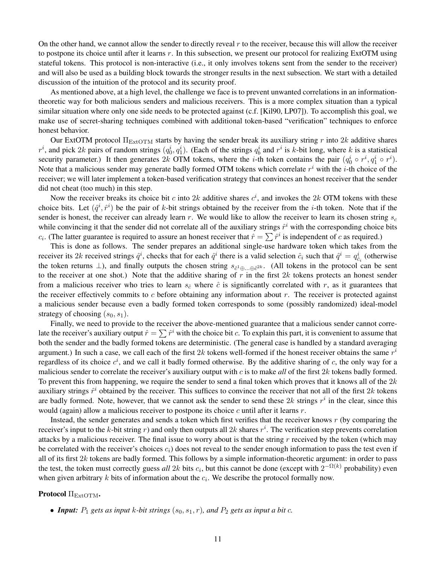On the other hand, we cannot allow the sender to directly reveal  $r$  to the receiver, because this will allow the receiver to postpone its choice until after it learns r. In this subsection, we present our protocol for realizing ExtOTM using stateful tokens. This protocol is non-interactive (i.e., it only involves tokens sent from the sender to the receiver) and will also be used as a building block towards the stronger results in the next subsection. We start with a detailed discussion of the intuition of the protocol and its security proof.

As mentioned above, at a high level, the challenge we face is to prevent unwanted correlations in an informationtheoretic way for both malicious senders and malicious receivers. This is a more complex situation than a typical similar situation where only one side needs to be protected against (c.f. [Kil90, LP07]). To accomplish this goal, we make use of secret-sharing techniques combined with additional token-based "verification" techniques to enforce honest behavior.

Our ExtOTM protocol  $\Pi_{\rm ExtOTH}$  starts by having the sender break its auxiliary string r into 2k additive shares  $r^i$ , and pick 2k pairs of random strings  $(q_0^i, q_1^i)$ . (Each of the strings  $q_b^i$  and  $r^i$  is k-bit long, where k is a statistical security parameter.) It then generates 2k OTM tokens, where the *i*-th token contains the pair  $(q_0^i \circ r^i, q_1^i \circ r^i)$ . Note that a malicious sender may generate badly formed OTM tokens which correlate  $r^i$  with the *i*-th choice of the receiver; we will later implement a token-based verification strategy that convinces an honest receiver that the sender did not cheat (too much) in this step.

Now the receiver breaks its choice bit c into 2k additive shares  $c^i$ , and invokes the 2k OTM tokens with these choice bits. Let  $(\hat{q}^i, \hat{r}^i)$  be the pair of k-bit strings obtained by the receiver from the *i*-th token. Note that if the sender is honest, the receiver can already learn r. We would like to allow the receiver to learn its chosen string  $s_c$ while convincing it that the sender did not correlate all of the auxiliary strings  $\hat{r}^i$  with the corresponding choice bits  $c_i$ . (The latter guarantee is required to assure an honest receiver that  $\hat{r} = \sum \hat{r}^i$  is independent of c as required.)

This is done as follows. The sender prepares an additional single-use hardware token which takes from the receiver its 2k received strings  $\hat{q}^i$ , checks that for each  $\hat{q}^i$  there is a valid selection  $\hat{c}_i$  such that  $\hat{q}^i = q^i_{\hat{c}_i}$  (otherwise the token returns  $\perp$ ), and finally outputs the chosen string  $s_{\hat{c}^1\oplus...\oplus\hat{c}^{2k}}$ . (All tokens in the protocol can be sent to the receiver at one shot.) Note that the additive sharing of  $r$  in the first  $2k$  tokens protects an honest sender from a malicious receiver who tries to learn  $s_{\hat{c}}$  where  $\hat{c}$  is significantly correlated with r, as it guarantees that the receiver effectively commits to  $c$  before obtaining any information about  $r$ . The receiver is protected against a malicious sender because even a badly formed token corresponds to some (possibly randomized) ideal-model strategy of choosing  $(s_0, s_1)$ .

Finally, we need to provide to the receiver the above-mentioned guarantee that a malicious sender cannot correlate the receiver's auxiliary output  $\hat{r} = \sum \hat{r}^i$  with the choice bit c. To explain this part, it is convenient to assume that both the sender and the badly formed tokens are deterministic. (The general case is handled by a standard averaging argument.) In such a case, we call each of the first  $2k$  tokens well-formed if the honest receiver obtains the same  $r^i$ regardless of its choice  $c^i$ , and we call it badly formed otherwise. By the additive sharing of c, the only way for a malicious sender to correlate the receiver's auxiliary output with  $c$  is to make *all* of the first  $2k$  tokens badly formed. To prevent this from happening, we require the sender to send a final token which proves that it knows all of the  $2k$ auxiliary strings  $\hat{r}^i$  obtained by the receiver. This suffices to convince the receiver that not all of the first  $2k$  tokens are badly formed. Note, however, that we cannot ask the sender to send these  $2k$  strings  $r^i$  in the clear, since this would (again) allow a malicious receiver to postpone its choice  $c$  until after it learns  $r$ .

Instead, the sender generates and sends a token which first verifies that the receiver knows r (by comparing the receiver's input to the k-bit string r) and only then outputs all  $2k$  shares  $r^i$ . The verification step prevents correlation attacks by a malicious receiver. The final issue to worry about is that the string  $r$  received by the token (which may be correlated with the receiver's choices  $c_i$ ) does not reveal to the sender enough information to pass the test even if all of its first  $2k$  tokens are badly formed. This follows by a simple information-theoretic argument: in order to pass the test, the token must correctly guess all 2k bits  $c_i$ , but this cannot be done (except with  $2^{-\Omega(k)}$  probability) even when given arbitrary  $k$  bits of information about the  $c_i$ . We describe the protocol formally now.

#### **Protocol**  $\Pi_{\text{ExtOTM}}$ .

• **Input:**  $P_1$  *gets as input k-bit strings*  $(s_0, s_1, r)$ *, and*  $P_2$  *gets as input a bit* c.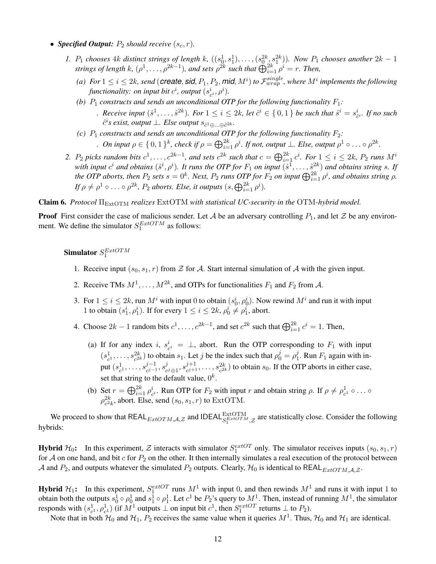- *Specified Output:*  $P_2$  *should receive*  $(s_c, r)$ *.* 
	- 1.  $P_1$  *chooses* 4k *distinct strings of length* k,  $((s_0^1, s_1^1), \ldots, (s_0^2, s_1^{2k}))$ . Now  $P_1$  *chooses another*  $2k 1$ *strings of length*  $k$ ,  $(\rho^1, \ldots, \rho^{2k-1})$ , and sets  $\rho^{2k}$  such that  $\bigoplus_{i=1}^{2k} \rho^i = r$ . Then,
		- (a) For  $1 \le i \le 2k$ , send (**create**, **sid**,  $P_1, P_2$ , **mid**,  $M^i$ ) to  $\mathcal{F}^{single}_{wrap}$ , where  $M^i$  implements the following functionality: on input bit  $c^i$ , output  $(s^i_{c^i}, \rho^i)$ .
		- *(b)*  $P_1$  *constructs and sends an unconditional OTP for the following functionality*  $F_1$ *:* 
			- *Receive input*  $(\hat{s}^1, \ldots, \hat{s}^{2k})$ *. For*  $1 \leq i \leq 2k$ *, let*  $\hat{c}^i \in \{0, 1\}$  *be such that*  $\hat{s}^i = s^i_{\hat{c}^i}$ *. If no such*  $\hat{c}^i$ s exist, output ⊥*. Else output* s<sub> $\hat{c}^1 \oplus ... \oplus \hat{c}^{2k}$ *.*</sub>
		- *(c)*  $P_1$  *constructs and sends an unconditional OTP for the following functionality*  $F_2$ *: .* On input  $\rho \in \{0,1\}^k$ , check if  $\rho = \bigoplus_{i=1}^{2k} \rho^i$ . If not, output  $\perp$ . Else, output  $\rho^1 \circ \ldots \circ \rho^{2k}$ .
	- 2.  $P_2$  picks random bits  $c^1, \ldots, c^{2k-1}$ , and sets  $c^{2k}$  such that  $c = \bigoplus_{i=1}^{2k} c^i$ . For  $1 \le i \le 2k$ ,  $P_2$  runs  $M^i$ with input  $c^i$  and obtains  $(\hat{s}^i, \rho^i)$ . It runs the OTP for  $F_1$  on input  $(\hat{s}^1, \ldots, \hat{s}^{2k})$  and obtains string s. If *the OTP aborts, then*  $P_2$  *sets*  $s = 0^k$ *. Next,*  $P_2$  *runs OTP for*  $F_2$  *on input*  $\bigoplus_{i=1}^{2k} \rho^i$ *, and obtains string*  $\rho$ *. If*  $\rho \neq \rho^1 \circ \ldots \circ \rho^{2k}$ ,  $P_2$  *aborts. Else, it outputs*  $(s, \bigoplus_{i=1}^{2k} \rho^i)$ .

Claim 6. *Protocol* ΠExtOTM *realizes* ExtOTM *with statistical UC-security in the* OTM*-hybrid model.*

**Proof** First consider the case of malicious sender. Let A be an adversary controlling  $P_1$ , and let Z be any environment. We define the simulator  $S_1^{ExtOTM}$  as follows:

Simulator  $S_1^{ExtOTM}$ 

- 1. Receive input  $(s_0, s_1, r)$  from  $\mathcal Z$  for  $\mathcal A$ . Start internal simulation of  $\mathcal A$  with the given input.
- 2. Receive TMs  $M^1, \ldots, M^{2k}$ , and OTPs for functionalities  $F_1$  and  $F_2$  from A.
- 3. For  $1 \le i \le 2k$ , run  $M^i$  with input 0 to obtain  $(s_0^i, \rho_0^i)$ . Now rewind  $M^i$  and run it with input 1 to obtain  $(s_1^i, \rho_1^i)$ . If for every  $1 \le i \le 2k$ ,  $\rho_0^i \ne \rho_1^i$ , abort.
- 4. Choose  $2k 1$  random bits  $c^1, \ldots, c^{2k-1}$ , and set  $c^{2k}$  such that  $\bigoplus_{i=1}^{2k} c^i = 1$ . Then,
	- (a) If for any index i,  $s_{c^i}^i = \perp$ , abort. Run the OTP corresponding to  $F_1$  with input  $(s_{c}^1, \ldots, s_{c^{2k}}^2)$  to obtain  $s_1$ . Let j be the index such that  $\rho_0^j = \rho_1^j$  $j<sub>1</sub>$ . Run  $F<sub>1</sub>$  again with input  $(s^1_{c^1}, \ldots, s^{j-1}_{c^{j-1}})$  $_{c^{j-1}},s_{c}^{j}$  $_{c^j\oplus 1}^j,s_{c^{j+1}}^{j+1}$  $c_{c}^{j+1}, \ldots, s_{c^{2k}}^{2k}$  to obtain  $s_0$ . If the OTP aborts in either case, set that string to the default value,  $0^k$ .
	- (b) Set  $r = \bigoplus_{i=1}^{2k} \rho_{c^i}^i$ . Run OTP for  $F_2$  with input r and obtain string  $\rho$ . If  $\rho \neq \rho_{c^1}^1 \circ \ldots \circ$  $\rho_{c^2k}^{2k}$ , abort. Else, send  $(s_0, s_1, r)$  to ExtOTM.

We proceed to show that  $REAL_{ExtOTM, A, Z}$  and IDEAL  $_{S_1^{ExtOTM}, Z}^{ExtOTM}$  are statistically close. Consider the following hybrids:

**Hybrid**  $H_0$ : In this experiment, Z interacts with simulator  $S_1^{extOT}$  only. The simulator receives inputs  $(s_0, s_1, r)$ for  $A$  on one hand, and bit  $c$  for  $P_2$  on the other. It then internally simulates a real execution of the protocol between A and  $P_2$ , and outputs whatever the simulated  $P_2$  outputs. Clearly,  $\mathcal{H}_0$  is identical to REAL $_{ExtOTM,A,Z}$ .

**Hybrid**  $\mathcal{H}_1$ : In this experiment,  $S_1^{extOT}$  runs  $M^1$  with input 0, and then rewinds  $M^1$  and runs it with input 1 to obtain both the outputs  $s_0^1 \circ \rho_0^1$  and  $s_1^1 \circ \rho_1^1$ . Let  $c^1$  be  $P_2$ 's query to  $M^1$ . Then, instead of running  $M^1$ , the simulator responds with  $(s_{c}^1, \rho_{c}^1)$  (if  $M^1$  outputs  $\perp$  on input bit  $c^1$ , then  $S_1^{extOT}$  returns  $\perp$  to  $P_2$ ).

Note that in both  $\mathcal{H}_0$  and  $\mathcal{H}_1$ ,  $P_2$  receives the same value when it queries  $M^1$ . Thus,  $\mathcal{H}_0$  and  $\mathcal{H}_1$  are identical.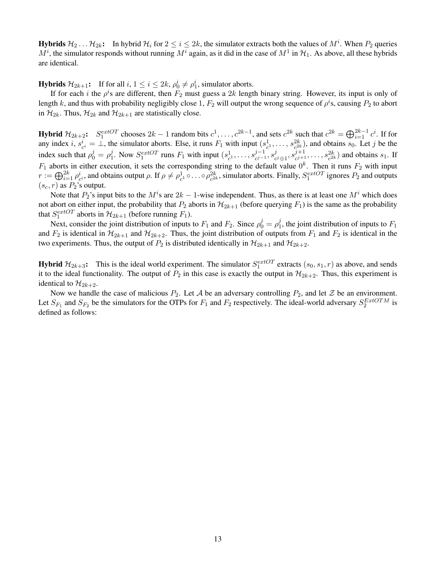**Hybrids**  $\mathcal{H}_2 \dots \mathcal{H}_{2k}$ : In hybrid  $\mathcal{H}_i$  for  $2 \leq i \leq 2k$ , the simulator extracts both the values of  $M^i$ . When  $P_2$  queries  $M^i$ , the simulator responds without running  $M^i$  again, as it did in the case of  $M^1$  in  $H_1$ . As above, all these hybrids are identical.

**Hybrids**  $\mathcal{H}_{2k+1}$ : If for all  $i, 1 \leq i \leq 2k$ ,  $\rho_0^i \neq \rho_1^i$ , simulator aborts.

If for each *i* the  $\rho$ <sup>*i*</sup>s are different, then  $F_2$  must guess a 2k length binary string. However, its input is only of length k, and thus with probability negligibly close 1,  $F_2$  will output the wrong sequence of  $\rho^i$ s, causing  $P_2$  to abort in  $\mathcal{H}_{2k}$ . Thus,  $\mathcal{H}_{2k}$  and  $\mathcal{H}_{2k+1}$  are statistically close.

**Hybrid**  $\mathcal{H}_{2k+2}$ :  $S_1^{extOT}$  chooses  $2k-1$  random bits  $c^1, \ldots, c^{2k-1}$ , and sets  $c^{2k}$  such that  $c^{2k} = \bigoplus_{i=1}^{2k-1} c^i$ . If for any index  $i, s_{c^i}^i = \bot$ , the simulator aborts. Else, it runs  $F_1$  with input  $(s_{c^1}^1, \ldots, s_{c^{2k}}^2)$ , and obtains  $s_0$ . Let j be the index such that  $\rho_0^j = \rho_1^j$ <sup>j</sup><sub>1</sub>. Now  $S_1^{extOT}$  runs  $F_1$  with input  $(s_{c1}^1, \ldots, s_{c^{j-1}}^{j-1})$  $_{c^{j-1}}^{j-1},s_{c}^{j}$  $_{c^{j}\oplus 1}^{j},s_{c^{j+1}}^{j+1}$  $\frac{j+1}{c^{j+1}}, \ldots, s_{c^{2k}}^{2k}$  and obtains  $s_1$ . If  $F_1$  aborts in either execution, it sets the corresponding string to the default value  $0^k$ . Then it runs  $F_2$  with input  $r:=\bigoplus_{i=1}^{2k} \rho^i_{c^i}$ , and obtains output  $\rho$ . If  $\rho\neq\rho^1_{c^1}\circ\ldots\circ\rho^{2k}_{c^{2k}}$  $c_{c^{2k}}^{2k}$ , simulator aborts. Finally,  $S_1^{extOT}$  ignores  $P_2$  and outputs  $(s_c, r)$  as  $P_2$ 's output.

Note that  $P_2$ 's input bits to the  $M^i$ s are  $2k - 1$ -wise independent. Thus, as there is at least one  $M^i$  which does not abort on either input, the probability that  $P_2$  aborts in  $\mathcal{H}_{2k+1}$  (before querying  $F_1$ ) is the same as the probability that  $S_1^{extOT}$  aborts in  $\mathcal{H}_{2k+1}$  (before running  $F_1$ ).

Next, consider the joint distribution of inputs to  $F_1$  and  $F_2$ . Since  $\rho_0^j = \rho_1^j$  $1<sub>1</sub>$ , the joint distribution of inputs to  $F_1$ and  $F_2$  is identical in  $\mathcal{H}_{2k+1}$  and  $\mathcal{H}_{2k+2}$ . Thus, the joint distribution of outputs from  $F_1$  and  $F_2$  is identical in the two experiments. Thus, the output of  $P_2$  is distributed identically in  $\mathcal{H}_{2k+1}$  and  $\mathcal{H}_{2k+2}$ .

**Hybrid**  $\mathcal{H}_{2k+3}$ : This is the ideal world experiment. The simulator  $S_1^{extOT}$  extracts  $(s_0, s_1, r)$  as above, and sends it to the ideal functionality. The output of  $P_2$  in this case is exactly the output in  $\mathcal{H}_{2k+2}$ . Thus, this experiment is identical to  $\mathcal{H}_{2k+2}$ .

Now we handle the case of malicious  $P_2$ . Let A be an adversary controlling  $P_2$ , and let  $\mathcal Z$  be an environment. Let  $S_{F_1}$  and  $S_{F_2}$  be the simulators for the OTPs for  $F_1$  and  $F_2$  respectively. The ideal-world adversary  $S_2^{ExtOTM}$  is defined as follows: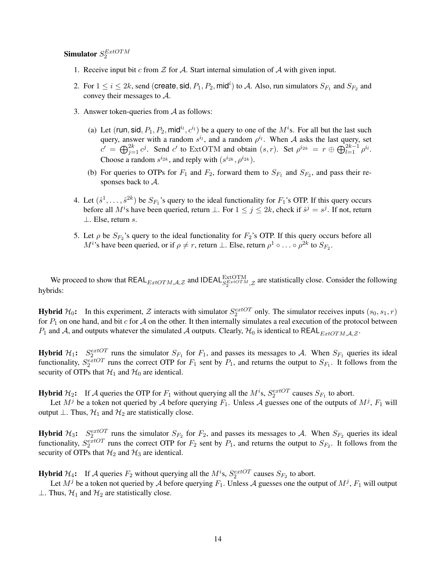# Simulator  $S_2^{ExtOTM}$

- 1. Receive input bit c from  $\mathcal Z$  for  $\mathcal A$ . Start internal simulation of  $\mathcal A$  with given input.
- 2. For  $1 \le i \le 2k$ , send (create, sid,  $P_1, P_2$ , mid<sup>i</sup>) to A. Also, run simulators  $S_{F_1}$  and  $S_{F_2}$  and convey their messages to A.
- 3. Answer token-queries from  $A$  as follows:
	- (a) Let (run, sid,  $P_1, P_2$ , mid<sup>i<sub>i</sup></sub>,  $c^{i_l}$ ) be a query to one of the  $M<sup>i</sup>$ s. For all but the last such</sup> query, answer with a random  $s^{i_l}$ , and a random  $\rho^{i_l}$ . When A asks the last query, set  $c' = \bigoplus_{j=1}^{2k} c^j$ . Send  $c'$  to ExtOTM and obtain  $(s, r)$ . Set  $\rho^{i_{2k}} = r \oplus \bigoplus_{l=1}^{2k-1} \rho^{i_l}$ . Choose a random  $s^{i_{2k}}$ , and reply with  $(s^{i_{2k}}, \rho^{i_{2k}})$ .
	- (b) For queries to OTPs for  $F_1$  and  $F_2$ , forward them to  $S_{F_1}$  and  $S_{F_2}$ , and pass their responses back to A.
- 4. Let  $(\hat{s}^1, \ldots, \hat{s}^{2k})$  be  $S_{F_1}$ 's query to the ideal functionality for  $F_1$ 's OTP. If this query occurs before all  $M^i$ s have been queried, return  $\bot$ . For  $1 \leq j \leq 2k$ , check if  $\hat{s}^j = s^j$ . If not, return  $\perp$ . Else, return s.
- 5. Let  $\rho$  be  $S_{F_2}$ 's query to the ideal functionality for  $F_2$ 's OTP. If this query occurs before all  $M^i$ 's have been queried, or if  $\rho \neq r$ , return  $\perp$ . Else, return  $\rho^1 \circ \ldots \circ \rho^{2k}$  to  $S_{F_2}$ .

We proceed to show that  $REAL_{ExtOTM, A, Z}$  and IDEAL  $_{S_2^{ExtOTM}, Z}^{ExtOTM}$  are statistically close. Consider the following hybrids:

**Hybrid**  $H_0$ : In this experiment,  $Z$  interacts with simulator  $S_2^{extOT}$  only. The simulator receives inputs  $(s_0, s_1, r)$ for  $P_1$  on one hand, and bit c for A on the other. It then internally simulates a real execution of the protocol between  $P_1$  and A, and outputs whatever the simulated A outputs. Clearly,  $\mathcal{H}_0$  is identical to REAL $_{ExtOTMA,Z}$ .

**Hybrid**  $\mathcal{H}_1$ :  $S_2^{extOT}$  runs the simulator  $S_{F_1}$  for  $F_1$ , and passes its messages to A. When  $S_{F_1}$  queries its ideal functionality,  $S_2^{extOT}$  runs the correct OTP for  $F_1$  sent by  $P_1$ , and returns the output to  $S_{F_1}$ . It follows from the security of OTPs that  $\mathcal{H}_1$  and  $\mathcal{H}_0$  are identical.

**Hybrid**  $\mathcal{H}_2$ : If A queries the OTP for  $F_1$  without querying all the  $M^i$ s,  $S_2^{ext}$ <sup>OT</sup> causes  $S_{F_1}$  to abort.

Let  $M^j$  be a token not queried by A before querying  $F_1$ . Unless A guesses one of the outputs of  $M^j$ ,  $F_1$  will output ⊥. Thus,  $H_1$  and  $H_2$  are statistically close.

**Hybrid**  $\mathcal{H}_3$ :  $S_2^{extOT}$  runs the simulator  $S_{F_2}$  for  $F_2$ , and passes its messages to A. When  $S_{F_2}$  queries its ideal functionality,  $S_2^{extOT}$  runs the correct OTP for  $F_2$  sent by  $P_1$ , and returns the output to  $S_{F_2}$ . It follows from the security of OTPs that  $\mathcal{H}_2$  and  $\mathcal{H}_3$  are identical.

**Hybrid**  $\mathcal{H}_4$ : If A queries  $F_2$  without querying all the  $M^i$ s,  $S_2^{ext}$  $CT$  causes  $S_{F_2}$  to abort.

Let  $M^j$  be a token not queried by  $\cal A$  before querying  $F_1$ . Unless  $\cal A$  guesses one the output of  $M^j$ ,  $F_1$  will output ⊥. Thus,  $H_1$  and  $H_2$  are statistically close.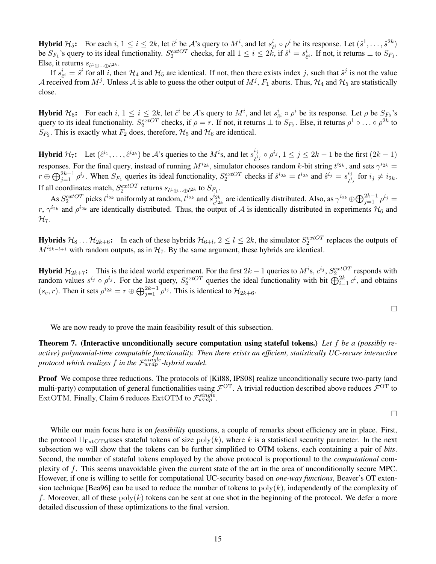**Hybrid**  $\mathcal{H}_5$ : For each  $i, 1 \le i \le 2k$ , let  $\hat{c}^i$  be  $\mathcal{A}$ 's query to  $M^i$ , and let  $s_{\hat{c}^i}^i \circ \rho^i$  be its response. Let  $(\hat{s}^1, \dots, \hat{s}^{2k})$ be  $S_{F_1}$ 's query to its ideal functionality.  $S_2^{extOT}$  checks, for all  $1 \le i \le 2k$ , if  $\hat{s}^i = s_{\hat{c}^i}^i$ . If not, it returns  $\perp$  to  $S_{F_1}$ . Else, it returns  $s_{\hat{c}^1 \oplus ... \oplus \hat{c}^{2k}}$ .

If  $s_{\hat{c}^i}^i = \hat{s}^i$  for all i, then  $H_4$  and  $H_5$  are identical. If not, then there exists index j, such that  $\hat{s}^j$  is not the value A received from  $M^j$ . Unless A is able to guess the other output of  $M^j$ ,  $F_1$  aborts. Thus,  $H_4$  and  $H_5$  are statistically close.

**Hybrid**  $\mathcal{H}_6$ : For each i,  $1 \leq i \leq 2k$ , let  $\hat{c}^i$  be  $\mathcal{A}$ 's query to  $M^i$ , and let  $s^i_{\hat{c}^i} \circ \rho^i$  be its response. Let  $\rho$  be  $S_{F_2}$ 's query to its ideal functionality.  $S_2^{extOT}$  checks, if  $\rho = r$ . If not, it returns  $\perp$  to  $S_{F_2}$ . Else, it returns  $\rho^1 \circ \ldots \circ \rho^{2k}$  to  $S_{F_2}$ . This is exactly what  $F_2$  does, therefore,  $H_5$  and  $H_6$  are identical.

**Hybrid**  $\mathcal{H}_7$ : Let  $(\hat{c}^{i_1}, \dots, \hat{c}^{i_{2k}})$  be  $\mathcal{A}$ 's queries to the  $M^i$ s, and let  $s_{st}^{i_j}$  $e^{i_j}$   $\circ \rho^{i_j}$ ,  $1 \le j \le 2k - 1$  be the first  $(2k - 1)$ responses. For the final query, instead of running  $M^{i_{2k}}$ , simulator chooses random k-bit string  $t^{i_{2k}}$ , and sets  $\gamma^{i_{2k}} =$  $r \oplus \bigoplus_{j=1}^{2k-1} \rho^{i_j}$ . When  $S_{F_1}$  queries its ideal functionality,  $S_2^{extOT}$  checks if  $\hat{s}^{i_{2k}} = t^{i_{2k}}$  and  $\hat{s}^{i_j} = s^{i_j}_{\hat{s}^{i_j}}$  $\sum_{i=1}^{i_j}$  for  $i_j \neq i_{2k}$ . If all coordinates match,  $S_2^{extOT}$  returns  $s_{\hat{c}^1 \oplus ... \oplus \hat{c}^{2k}}$  to  $S_{F_1}$ .

As  $S_2^{extOT}$  picks  $t^{i_{2k}}$  uniformly at random,  $t^{i_{2k}}$  and  $s_{c^{i_2}}^{i_{2k}}$  $i_{2k}^{i_{2k}}$  are identically distributed. Also, as  $\gamma^{i_{2k}} \oplus \bigoplus_{j=1}^{2k-1} \rho^{i_j} =$ r,  $\gamma^{i_{2k}}$  and  $\rho^{i_{2k}}$  are identically distributed. Thus, the output of A is identically distributed in experiments  $H_6$  and  $\mathcal{H}_7$ .

**Hybrids**  $\mathcal{H}_8 \dots \mathcal{H}_{2k+6}$ : In each of these hybrids  $\mathcal{H}_{6+l}$ ,  $2 \le l \le 2k$ , the simulator  $S_2^{extOT}$  replaces the outputs of  $M^{i_{2k-l+1}}$  with random outputs, as in  $\mathcal{H}_7$ . By the same argument, these hybrids are identical.

Hybrid  $\mathcal{H}_{2k+7}$ : This is the ideal world experiment. For the first  $2k-1$  queries to  $M^i$ s,  $c^{ij}$ ,  $S_2^{ext}OT$  responds with random values  $s^{i_j} \circ \rho^{i_j}$ . For the last query,  $S_2^{extOT}$  queries the ideal functionality with bit  $\widehat{\bigoplus}^2_{i=1} c^i$ , and obtains  $(s_c, r)$ . Then it sets  $\rho^{i_{2k}} = r \oplus \bigoplus_{j=1}^{2k-1} \rho^{i_j}$ . This is identical to  $\mathcal{H}_{2k+6}$ .

 $\Box$ 

We are now ready to prove the main feasibility result of this subsection.

Theorem 7. (Interactive unconditionally secure computation using stateful tokens.) *Let* f *be a (possibly reactive) polynomial-time computable functionality. Then there exists an efficient, statistically UC-secure interactive* protocol which realizes f in the  $\mathcal{F}_{wrap}^{single}$ -hybrid model.

**Proof** We compose three reductions. The protocols of [Kil88, IPS08] realize unconditionally secure two-party (and multi-party) computation of general functionalities using  $\mathcal{F}^{OT}$ . A trivial reduction described above reduces  $\mathcal{F}^{OT}$  to ExtOTM. Finally, Claim 6 reduces ExtOTM to  $\mathcal{F}^{single}_{wrap}$ .

 $\Box$ 

While our main focus here is on *feasibility* questions, a couple of remarks about efficiency are in place. First, the protocol  $\Pi_{\text{ExtOTM}}$ uses stateful tokens of size  $\text{poly}(k)$ , where k is a statistical security parameter. In the next subsection we will show that the tokens can be further simplified to OTM tokens, each containing a pair of *bits*. Second, the number of stateful tokens employed by the above protocol is proportional to the *computational* complexity of f. This seems unavoidable given the current state of the art in the area of unconditionally secure MPC. However, if one is willing to settle for computational UC-security based on *one-way functions*, Beaver's OT extension technique [Bea96] can be used to reduce the number of tokens to  $poly(k)$ , independently of the complexity of f. Moreover, all of these  $poly(k)$  tokens can be sent at one shot in the beginning of the protocol. We defer a more detailed discussion of these optimizations to the final version.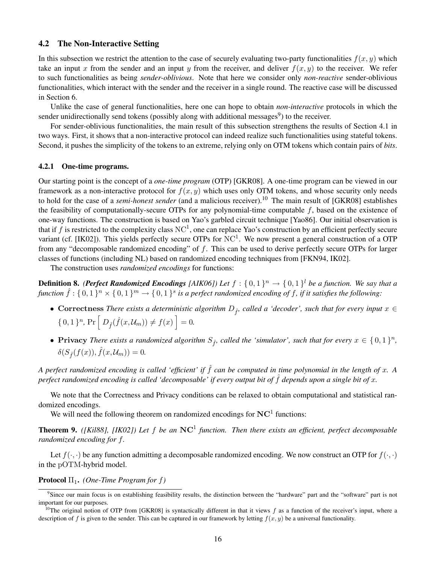### 4.2 The Non-Interactive Setting

In this subsection we restrict the attention to the case of securely evaluating two-party functionalities  $f(x, y)$  which take an input x from the sender and an input y from the receiver, and deliver  $f(x, y)$  to the receiver. We refer to such functionalities as being *sender-oblivious*. Note that here we consider only *non-reactive* sender-oblivious functionalities, which interact with the sender and the receiver in a single round. The reactive case will be discussed in Section 6.

Unlike the case of general functionalities, here one can hope to obtain *non-interactive* protocols in which the sender unidirectionally send tokens (possibly along with additional messages<sup>9</sup>) to the receiver.

For sender-oblivious functionalities, the main result of this subsection strengthens the results of Section 4.1 in two ways. First, it shows that a non-interactive protocol can indeed realize such functionalities using stateful tokens. Second, it pushes the simplicity of the tokens to an extreme, relying only on OTM tokens which contain pairs of *bits*.

#### 4.2.1 One-time programs.

Our starting point is the concept of a *one-time program* (OTP) [GKR08]. A one-time program can be viewed in our framework as a non-interactive protocol for  $f(x, y)$  which uses only OTM tokens, and whose security only needs to hold for the case of a *semi-honest sender* (and a malicious receiver).<sup>10</sup> The main result of [GKR08] establishes the feasibility of computationally-secure OTPs for any polynomial-time computable f, based on the existence of one-way functions. The construction is based on Yao's garbled circuit technique [Yao86]. Our initial observation is that if f is restricted to the complexity class NC<sup>1</sup>, one can replace Yao's construction by an efficient perfectly secure variant (cf. [IK02]). This yields perfectly secure OTPs for  $NC<sup>1</sup>$ . We now present a general construction of a OTP from any "decomposable randomized encoding" of f. This can be used to derive perfectly secure OTPs for larger classes of functions (including NL) based on randomized encoding techniques from [FKN94, IK02].

The construction uses *randomized encodings* for functions:

**Definition 8.** (Perfect Randomized Encodings [AIK06]) Let  $f : \{0,1\}^n \to \{0,1\}^l$  be a function. We say that a function  $\hat{f}: \{0,1\}^n \times \{0,1\}^m \to \{0,1\}^s$  is a perfect randomized encoding of f, if it satisfies the following:

- Correctness *There exists a deterministic algorithm*  $D_f$ *, called a 'decoder', such that for every input*  $x \in$  $\{0,1\}^n$ , Pr  $\left[D_{\hat{f}}(\hat{f}(x,\mathcal{U}_m)) \neq f(x)\right] = 0.$
- Privacy *There exists a randomized algorithm*  $S_{\hat{f}}$ *, called the 'simulator', such that for every*  $x \in \{0,1\}^n$ *,*  $\delta(S_{\hat{f}}(f(x)), \hat{f}(x, \mathcal{U}_m)) = 0.$

*A perfect randomized encoding is called 'efficient' if* ˆf *can be computed in time polynomial in the length of* x*. A perfect randomized encoding is called 'decomposable' if every output bit of* ˆf *depends upon a single bit of* x*.*

We note that the Correctness and Privacy conditions can be relaxed to obtain computational and statistical randomized encodings.

We will need the following theorem on randomized encodings for  $NC<sup>1</sup>$  functions:

Theorem 9. *([Kil88], [IK02]) Let* f *be an* NC<sup>1</sup> *function. Then there exists an efficient, perfect decomposable randomized encoding for* f*.*

Let  $f(\cdot, \cdot)$  be any function admitting a decomposable randomized encoding. We now construct an OTP for  $f(\cdot, \cdot)$ in the pOTM-hybrid model.

Protocol Π1. *(One-Time Program for* f*)*

<sup>&</sup>lt;sup>9</sup>Since our main focus is on establishing feasibility results, the distinction between the "hardware" part and the "software" part is not important for our purposes.

<sup>&</sup>lt;sup>10</sup>The original notion of OTP from [GKR08] is syntactically different in that it views f as a function of the receiver's input, where a description of f is given to the sender. This can be captured in our framework by letting  $f(x, y)$  be a universal functionality.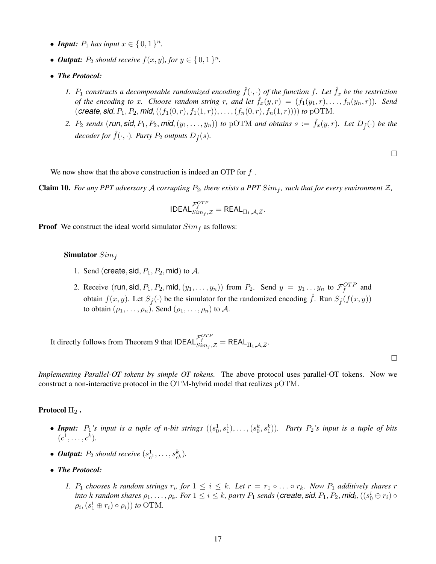- **Input:**  $P_1$  has input  $x \in \{0, 1\}^n$ .
- *Output:*  $P_2$  *should receive*  $f(x, y)$ *, for*  $y \in \{0, 1\}^n$ *.*
- *The Protocol:*
	- 1.  $P_1$  *constructs a decomposable randomized encoding*  $\hat{f}(\cdot, \cdot)$  *of the function f. Let*  $\hat{f}_x$  *be the restriction of the encoding to* x. Choose random string r, and let  $\hat{f}_x(y,r) = (f_1(y_1,r), \ldots, f_n(y_n,r))$ . Send  $(\textit{create}, \textit{sid}, P_1, P_2, \textit{mid}, ((f_1(0, r), f_1(1, r)), \ldots, (f_n(0, r), f_n(1, r))))$  *to* pOTM.
	- 2.  $P_2$  *sends* (*run*, *sid*,  $P_1$ ,  $P_2$ , *mid*,  $(y_1, \ldots, y_n)$ ) *to* pOTM *and obtains*  $s := \hat{f}_x(y, r)$ *. Let*  $D_f(\cdot)$  *be the decoder for*  $\hat{f}(\cdot, \cdot)$ *. Party*  $P_2$  *outputs*  $D_{\hat{f}}(s)$ *.*

 $\Box$ 

 $\Box$ 

We now show that the above construction is indeed an OTP for  $f$ .

**Claim 10.** For any PPT adversary A corrupting  $P_2$ , there exists a PPT  $Sim_f$ , such that for every environment  $Z$ ,

$$
\mathsf{IDEAL}^{\mathcal{F}^{OTP}}_{Sim_f,\mathcal{Z}} = \mathsf{REAL}_{\Pi_1,\mathcal{A},Z}.
$$

**Proof** We construct the ideal world simulator  $Sim_f$  as follows:

#### Simulator  $Sim<sub>f</sub>$

- 1. Send (create, sid,  $P_1$ ,  $P_2$ , mid) to A.
- 2. Receive (run, sid,  $P_1, P_2$ , mid,  $(y_1, \ldots, y_n)$ ) from  $P_2$ . Send  $y = y_1 \ldots y_n$  to  $\mathcal{F}_f^{OTP}$  and obtain  $f(x, y)$ . Let  $S_f(\cdot)$  be the simulator for the randomized encoding  $\hat{f}$ . Run  $S_f(f(x, y))$ to obtain  $(\rho_1, \ldots, \rho_n)$ . Send  $(\rho_1, \ldots, \rho_n)$  to A.

It directly follows from Theorem 9 that  $\mathsf{IDEAL}_{Sim_f, \mathcal{Z}}^{\mathcal{F}^{OTP}} = \mathsf{REAL}_{\Pi_1, \mathcal{A}, \mathcal{Z}}$ .

*Implementing Parallel-OT tokens by simple OT tokens.* The above protocol uses parallel-OT tokens. Now we construct a non-interactive protocol in the OTM-hybrid model that realizes pOTM.

#### **Protocol**  $\Pi_2$ .

- **Input:**  $P_1$ 's input is a tuple of n-bit strings  $((s_0^1, s_1^1), \ldots, (s_0^k, s_1^k))$ . Party  $P_2$ 's input is a tuple of bits  $(c^1, \ldots, c^k)$ .
- *Output:*  $P_2$  should receive  $(s_{c}^1, \ldots, s_{c^k}^k)$ .
- *The Protocol:*
	- 1.  $P_1$  *chooses* k random strings  $r_i$ , for  $1 \leq i \leq k$ . Let  $r = r_1 \circ \ldots \circ r_k$ . Now  $P_1$  additively shares r *into* k random shares  $\rho_1, \ldots, \rho_k$ . For  $1 \leq i \leq k$ , party  $P_1$  sends (**create**, **sid**,  $P_1, P_2$ , **mid**<sub>i</sub>,  $((s_0^i \oplus r_i) \circ$  $\rho_i$ ,  $(s_1^i \oplus r_i) \circ \rho_i)$ ) to OTM.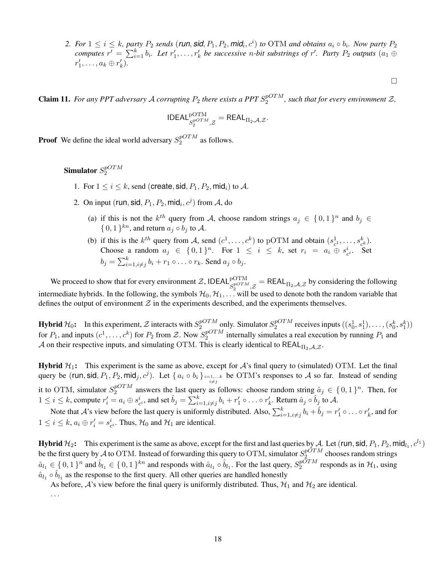2. For  $1 \le i \le k$ , party  $P_2$  sends (run, sid,  $P_1, P_2$ , mid<sub>i</sub>,  $c^i$ ) to OTM and obtains  $a_i \circ b_i$ . Now party  $P_2$ *computes*  $r' = \sum_{i=1}^{k} b_i$ . Let  $r'_1, \ldots, r'_k$  be successive *n*-bit substrings of  $r'$ . Party  $P_2$  outputs  $(a_1 \oplus b_1)$  $r'_1, \ldots, a_k \oplus r'_k$ ).

 $\Box$ 

**Claim 11.** For any PPT adversary A corrupting  $P_2$  there exists a PPT  $S_2^{pOTM}$  $2^{pOIM}$ , such that for every environment  $\mathcal{Z}$ ,

$$
\mathsf{IDEAL}_{S_2^{pOTM}, \mathcal{Z}}^{\mathsf{DCTM}} = \mathsf{REAL}_{\Pi_2, \mathcal{A}, \mathcal{Z}}.
$$

**Proof** We define the ideal world adversary  $S_2^{pOTM}$  $_2^{pO I M}$  as follows.

> Simulator  $S_2^{pOTM}$ 2

- 1. For  $1 \leq i \leq k$ , send (create, sid,  $P_1, P_2$ , mid<sub>i</sub>) to A.
- 2. On input (run, sid,  $P_1, P_2$ , mid $_i, c^j$ ) from A, do
	- (a) if this is not the  $k^{th}$  query from A, choose random strings  $a_j \in \{0,1\}^n$  and  $b_j \in$  $\{0,1\}^{kn}$ , and return  $a_j \circ b_j$  to A.
	- (b) if this is the  $k^{th}$  query from A, send  $(c^1, \ldots, c^k)$  to pOTM and obtain  $(s^1_{c^1}, \ldots, s^k_{c^k})$ . Choose a random  $a_j \in \{0,1\}^n$ . For  $1 \leq i \leq k$ , set  $r_i = a_i \oplus s_{c_i}^i$ . Set  $b_j = \sum_{i=1, i \neq j}^k b_i + r_1 \circ \dots \circ r_k$ . Send  $a_j \circ b_j$ .

We proceed to show that for every environment Z, IDEAL  $_{S_2^{pOTM}, \mathcal{Z}}^{pOTM}$  = REAL  $_{\Pi_2, \mathcal{A}, \mathcal{Z}}$  by considering the following intermediate hybrids. In the following, the symbols  $H_0, H_1, \ldots$  will be used to denote both the random variable that defines the output of environment  $\mathcal Z$  in the experiments described, and the experiments themselves.

**Hybrid**  $\mathcal{H}_0$ : In this experiment,  $\mathcal{Z}$  interacts with  $S_2^{pOTM}$  $_2^{pOTM}$  only. Simulator  $S_2^{pOTM}$  $\mathbb{P}_2^{O T M}$  receives inputs  $((s_0^1, s_1^1), \ldots, (s_0^k, s_1^k))$ for  $P_1$ , and inputs  $(c^1, \ldots, c^k)$  for  $P_2$  from  $\mathcal{Z}$ . Now  $S_2^{pOTM}$  $i_2^{pQIM}$  internally simulates a real execution by running  $P_1$  and A on their respective inputs, and simulating OTM. This is clearly identical to REAL $_{\text{II}_{2},A,Z}$ .

**Hybrid**  $H_1$ : This experiment is the same as above, except for  $A$ 's final query to (simulated) OTM. Let the final query be (run, sid,  $P_1, P_2$ , mid $_j, c^j$ ). Let  $\{a_i \circ b_i\}_{i=1,\dots,k}$  be OTM's responses to A so far. Instead of sending it to OTM, simulator  $S_2^{pOTM}$  $p^{OTM}$  answers the last query as follows: choose random string  $\hat{a}_j \in \{0,1\}^n$ . Then, for  $1 \leq i \leq k$ , compute  $r'_i = a_i \oplus s_{c^i}^i$ , and set  $\hat{b}_j = \sum_{i=1, i \neq j}^k b_i + r'_1 \circ \dots \circ r'_k$ . Return  $\hat{a}_j \circ \hat{b}_j$  to A.

Note that A's view before the last query is uniformly distributed. Also,  $\sum_{i=1,i\neq j}^{k} b_i + \hat{b}_j = r'_1 \circ \dots \circ r'_k$ , and for  $1 \leq i \leq k$ ,  $a_i \oplus r'_i = s^i_{c^i}$ . Thus,  $\mathcal{H}_0$  and  $\mathcal{H}_1$  are identical.

**Hybrid**  $\mathcal{H}_2$ : This experiment is the same as above, except for the first and last queries by A. Let (run, sid,  $P_1, P_2$ , mid $_{l_1}, c^{l_1}$ ) be the first query by  $\mathcal A$  to OTM. Instead of forwarding this query to OTM, simulator  $S_2^{pOTM}$  $\frac{2}{2}$ <sub>2</sub>  $\hat{a}_{l_1} \in \{0,1\}^n$  and  $\hat{b}_{l_1} \in \{0,1\}^{kn}$  and responds with  $\hat{a}_{l_1} \circ \hat{b}_{l_1}$ . For the last query,  $S_2^{pOTM}$  $\frac{pO T M}{2}$  responds as in  $\mathcal{H}_1$ , using  $\hat{a}_{l_1} \circ \hat{b}_{l_1}$  as the response to the first query. All other queries are handled honestly

As before, A's view before the final query is uniformly distributed. Thus,  $H_1$  and  $H_2$  are identical.

<sup>. . .</sup>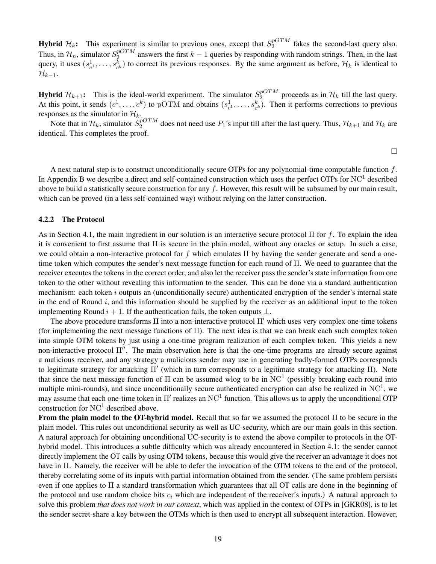**Hybrid**  $\mathcal{H}_k$ : This experiment is similar to previous ones, except that  $S_2^{pOTM}$  $l_2^{pOIM}$  fakes the second-last query also. Thus, in  $\mathcal{H}_n$ , simulator  $S_2^{pOTM}$  $2^{pQIM}$  answers the first  $k-1$  queries by responding with random strings. Then, in the last query, it uses  $(s_{c}^1, \ldots, s_{c^k}^k)$  to correct its previous responses. By the same argument as before,  $\mathcal{H}_k$  is identical to  $\mathcal{H}_{k-1}$ .

**Hybrid**  $\mathcal{H}_{k+1}$ : This is the ideal-world experiment. The simulator  $S_2^{pOTM}$  $p^{OIM}$  proceeds as in  $\mathcal{H}_k$  till the last query. At this point, it sends  $(c^1, \ldots, c^k)$  to pOTM and obtains  $(s^1_{c^1}, \ldots, s^k_{c^k})$ . Then it performs corrections to previous responses as the simulator in  $\mathcal{H}_k$ .

Note that in  $\mathcal{H}_k$ , simulator  $S_2^{pOTM}$  $l_2^{pQIM}$  does not need use  $P_1$ 's input till after the last query. Thus,  $\mathcal{H}_{k+1}$  and  $\mathcal{H}_k$  are identical. This completes the proof.

 $\Box$ 

A next natural step is to construct unconditionally secure OTPs for any polynomial-time computable function f. In Appendix B we describe a direct and self-contained construction which uses the perfect OTPs for  $NC<sup>1</sup>$  described above to build a statistically secure construction for any  $f$ . However, this result will be subsumed by our main result, which can be proved (in a less self-contained way) without relying on the latter construction.

#### 4.2.2 The Protocol

As in Section 4.1, the main ingredient in our solution is an interactive secure protocol  $\Pi$  for f. To explain the idea it is convenient to first assume that Π is secure in the plain model, without any oracles or setup. In such a case, we could obtain a non-interactive protocol for f which emulates  $\Pi$  by having the sender generate and send a onetime token which computes the sender's next message function for each round of Π. We need to guarantee that the receiver executes the tokens in the correct order, and also let the receiver pass the sender's state information from one token to the other without revealing this information to the sender. This can be done via a standard authentication mechanism: each token i outputs an (unconditionally secure) authenticated encryption of the sender's internal state in the end of Round  $i$ , and this information should be supplied by the receiver as an additional input to the token implementing Round  $i + 1$ . If the authentication fails, the token outputs  $\perp$ .

The above procedure transforms  $\Pi$  into a non-interactive protocol  $\Pi'$  which uses very complex one-time tokens (for implementing the next message functions of  $\Pi$ ). The next idea is that we can break each such complex token into simple OTM tokens by just using a one-time program realization of each complex token. This yields a new non-interactive protocol  $\Pi''$ . The main observation here is that the one-time programs are already secure against a malicious receiver, and any strategy a malicious sender may use in generating badly-formed OTPs corresponds to legitimate strategy for attacking  $\Pi'$  (which in turn corresponds to a legitimate strategy for attacking  $\Pi$ ). Note that since the next message function of  $\Pi$  can be assumed wlog to be in NC<sup>1</sup> (possibly breaking each round into multiple mini-rounds), and since unconditionally secure authenticated encryption can also be realized in  $NC<sup>1</sup>$ , we may assume that each one-time token in  $\Pi'$  realizes an  $NC^1$  function. This allows us to apply the unconditional OTP construction for  $NC<sup>1</sup>$  described above.

From the plain model to the OT-hybrid model. Recall that so far we assumed the protocol  $\Pi$  to be secure in the plain model. This rules out unconditional security as well as UC-security, which are our main goals in this section. A natural approach for obtaining unconditional UC-security is to extend the above compiler to protocols in the OThybrid model. This introduces a subtle difficulty which was already encountered in Section 4.1: the sender cannot directly implement the OT calls by using OTM tokens, because this would give the receiver an advantage it does not have in Π. Namely, the receiver will be able to defer the invocation of the OTM tokens to the end of the protocol, thereby correlating some of its inputs with partial information obtained from the sender. (The same problem persists even if one applies to Π a standard transformation which guarantees that all OT calls are done in the beginning of the protocol and use random choice bits  $c_i$  which are independent of the receiver's inputs.) A natural approach to solve this problem *that does not work in our context*, which was applied in the context of OTPs in [GKR08], is to let the sender secret-share a key between the OTMs which is then used to encrypt all subsequent interaction. However,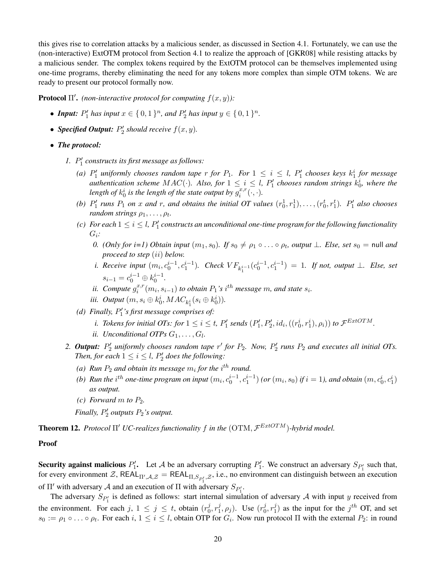this gives rise to correlation attacks by a malicious sender, as discussed in Section 4.1. Fortunately, we can use the (non-interactive) ExtOTM protocol from Section 4.1 to realize the approach of [GKR08] while resisting attacks by a malicious sender. The complex tokens required by the ExtOTM protocol can be themselves implemented using one-time programs, thereby eliminating the need for any tokens more complex than simple OTM tokens. We are ready to present our protocol formally now.

**Protocol**  $\Pi'$ . *(non-interactive protocol for computing*  $f(x, y)$ *)*:

- **Input:**  $P'_1$  has input  $x \in \{0, 1\}^n$ , and  $P'_2$  has input  $y \in \{0, 1\}^n$ .
- **Specified Output:**  $P'_2$  should receive  $f(x, y)$ .
- *The protocol:*
	- 1. P<sub>1</sub><sup>*c*</sup> constructs its first message as follows:
		- (a)  $P'_1$  uniformly chooses random tape r for  $P_1$ . For  $1 \leq i \leq l$ ,  $P'_1$  chooses keys  $k_1^i$  for message *authentication scheme*  $MAC(\cdot)$ . Also, for  $1 \leq i \leq l$ ,  $P'_1$  chooses random strings  $k_0^i$ , where the length of  $k_0^i$  is the length of the state output by  $g_i^{x,r}$  $i^{x,r}(\cdot,\cdot).$
		- (b)  $P'_1$  *runs*  $P_1$  *on* x *and* r, *and obtains the initial OT values*  $(r_0^1, r_1^1), \ldots, (r_0^t, r_1^t)$ .  $P'_1$  *also chooses random strings*  $\rho_1, \ldots, \rho_t$ .
		- (c) For each  $1 \leq i \leq l$ ,  $P'_1$  constructs an unconditional one-time program for the following functionality Gi*:*
			- *0.* (Only for i=1) Obtain input  $(m_1, s_0)$ . If  $s_0 \neq \rho_1 \circ \ldots \circ \rho_t$ , output  $\perp$ . Else, set  $s_0 =$  null and *proceed to step* (ii) *below.*
			- *i. Receive input*  $(m_i, c_0^{i-1}, c_1^{i-1})$ *. Check*  $VF_{k_1^{i-1}}(c_0^{i-1}, c_1^{i-1}) = 1$ *. If not, output*  $\perp$ *. Else, set*  $s_{i-1} = c_0^{i-1} \oplus k_0^{i-1}.$
			- ii. Compute  $g_i^{x,r}$  $i^{x,r}(m_i, s_{i-1})$  to obtain  $P_1$ 's i<sup>th</sup> message m, and state  $s_i$ .
			- *iii.* Output  $(m, s_i \oplus k_0^i, MAC_{k_1^i}(s_i \oplus k_0^i)).$
		- (*d*) Finally,  $P'_1$ 's first message comprises of:
			- *i.* Tokens for initial OTs: for  $1 \leq i \leq t$ ,  $P'_1$  sends  $(P'_1, P'_2, id_i, ((r_0^i, r_1^i), \rho_i))$  to  $\mathcal{F}^{ExtOTM}$ .
			- *ii.* Unconditional OTPs  $G_1, \ldots, G_l$ .
	- 2. *Output:*  $P'_2$  uniformly chooses random tape  $r'$  for  $P_2$ . Now,  $P'_2$  runs  $P_2$  and executes all initial OTs. *Then, for each*  $1 \leq i \leq l$ ,  $P'_2$  *does the following:* 
		- (a) Run  $P_2$  and obtain its message  $m_i$  for the  $i^{th}$  round.
		- (b) Run the  $i^{th}$  one-time program on input  $(m_i, c_0^{i-1}, c_1^{i-1})$  (or  $(m_i, s_0)$  if  $i = 1$ ), and obtain  $(m, c_0^i, c_1^i)$ *as output.*
		- *(c)* Forward m to  $P_2$ .

*Finally,*  $P'_2$  *outputs*  $P_2$ *'s output.* 

**Theorem 12.** *Protocol*  $\Pi'$  *UC-realizes functionality* f *in the*  $(OTM, \mathcal{F}^{ExtOTM})$ *-hybrid model.* 

#### Proof

Security against malicious  $P'_1$ . Let A be an adversary corrupting  $P'_1$ . We construct an adversary  $S_{P'_1}$  such that, for every environment Z,  $REAL_{\Pi', A, \mathcal{Z}} = REAL_{\Pi, S_{P'_1}, \mathcal{Z}}$ , i.e., no environment can distinguish between an execution of  $\Pi'$  with adversary A and an execution of  $\Pi$  with adversary  $S_{P_1'}$ .

The adversary  $S_{P'_1}$  is defined as follows: start internal simulation of adversary A with input y received from the environment. For each j,  $1 \leq j \leq t$ , obtain  $(r_0^j)$  $\frac{j}{0}, r_1^j$  $j<sub>1</sub>, \rho<sub>j</sub>$ ). Use  $(r<sub>0</sub><sup>j</sup>$  $j\overline{0}, r_1^j$  $j<sub>1</sub>$ ) as the input for the  $j<sup>th</sup>$  OT, and set  $s_0 := \rho_1 \circ \ldots \circ \rho_t$ . For each  $i, 1 \le i \le l$ , obtain OTP for  $G_i$ . Now run protocol  $\Pi$  with the external  $P_2$ : in round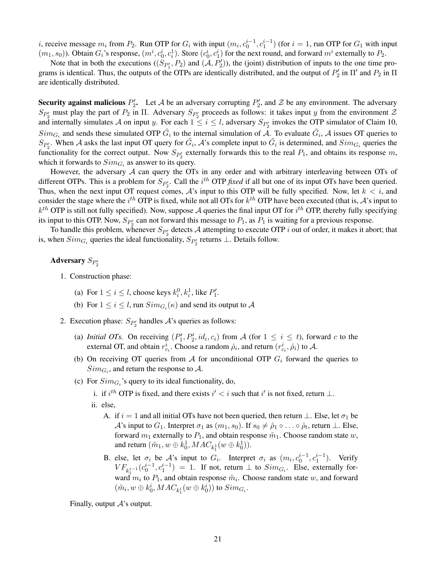*i*, receive message  $m_i$  from  $P_2$ . Run OTP for  $G_i$  with input  $(m_i, c_0^{i-1}, c_1^{i-1})$  (for  $i = 1$ , run OTP for  $G_1$  with input  $(m_1, s_0)$ ). Obtain  $G_i$ 's response,  $(m^i, c_0^i, c_1^1)$ . Store  $(c_0^i, c_1^i)$  for the next round, and forward  $m^i$  externally to  $P_2$ .

Note that in both the executions  $((S_{P'_1}, P_2)$  and  $(A, P'_2))$ , the (joint) distribution of inputs to the one time programs is identical. Thus, the outputs of the OTPs are identically distributed, and the output of  $P'_2$  in  $\Pi'$  and  $P_2$  in  $\Pi$ are identically distributed.

Security against malicious  $P'_2$ . Let A be an adversary corrupting  $P'_2$ , and Z be any environment. The adversary  $S_{P_2'}$  must play the part of  $P_2$  in  $\Pi$ . Adversary  $S_{P_2'}$  proceeds as follows: it takes input y from the environment  $\mathcal Z$ and internally simulates A on input y. For each  $1 \le i \le l$ , adversary  $S_{P_2}$  invokes the OTP simulator of Claim 10,  $Sim_{G_i}$  and sends these simulated OTP  $\tilde{G}_i$  to the internal simulation of  $\tilde{A}$ . To evaluate  $\tilde{G}_i$ ,  $\tilde{A}$  issues OT queries to  $S_{P_2'}$ . When A asks the last input OT query for  $\tilde{G}_i$ , A's complete input to  $\tilde{G}_i$  is determined, and  $Sim_{G_i}$  queries the functionality for the correct output. Now  $S_{P'_2}$  externally forwards this to the real  $P_1$ , and obtains its response m, which it forwards to  $Sim_{G_i}$  as answer to its query.

However, the adversary  $A$  can query the OTs in any order and with arbitrary interleaving between OTs of different OTPs. This is a problem for  $S_{P_2'}$ . Call the *i*<sup>th</sup> OTP *fixed* if all but one of its input OTs have been queried. Thus, when the next input OT request comes, A's input to this OTP will be fully specified. Now, let  $k < i$ , and consider the stage where the  $i^{th}$  OTP is fixed, while not all OTs for  $k^{th}$  OTP have been executed (that is,  $A$ 's input to  $k^{th}$  OTP is still not fully specified). Now, suppose A queries the final input OT for  $i^{th}$  OTP, thereby fully specifying its input to this OTP. Now,  $S_{P_2'}$  can not forward this message to  $P_1$ , as  $P_1$  is waiting for a previous response.

To handle this problem, whenever  $S_{P_2'}$  detects A attempting to execute OTP i out of order, it makes it abort; that is, when  $Sim_{G_i}$  queries the ideal functionality,  $S_{P'_2}$  returns  $\perp$ . Details follow.

# Adversary  $S_{P_2^\prime}$

- 1. Construction phase:
	- (a) For  $1 \leq i \leq l$ , choose keys  $k_i^0, k_i^1$ , like  $P'_1$ .
	- (b) For  $1 \leq i \leq l$ , run  $Sim_{G_i}(\kappa)$  and send its output to  $\mathcal A$
- 2. Execution phase:  $S_{P_2'}$  handles  $\mathcal{A}$ 's queries as follows:
	- (a) *Initial OTs*. On receiving  $(P'_1, P'_2, id_i, c_i)$  from A (for  $1 \le i \le t$ ), forward c to the external OT, and obtain  $r_{c_i}^i$ . Choose a random  $\hat{\rho}_i$ , and return  $(r_{c_i}^i, \hat{\rho}_i)$  to A.
	- (b) On receiving OT queries from A for unconditional OTP  $G_i$  forward the queries to  $Sim_{G_i}$ , and return the response to A.
	- (c) For  $Sim_{G_i}$ 's query to its ideal functionality, do,
		- i. if  $i^{th}$  OTP is fixed, and there exists  $i' < i$  such that  $i'$  is not fixed, return  $\perp$ .
		- ii. else,
			- A. if  $i = 1$  and all initial OTs have not been queried, then return  $\perp$ . Else, let  $\sigma_1$  be A's input to  $G_1$ . Interpret  $\sigma_1$  as  $(m_1, s_0)$ . If  $s_0 \neq \hat{\rho}_1 \circ \dots \circ \hat{\rho}_t$ , return  $\perp$ . Else, forward  $m_1$  externally to  $P_1$ , and obtain response  $\tilde{m}_1$ . Choose random state w, and return  $(\tilde{m}_1, w \oplus k_0^1, MAC_{k_1^1}(w \oplus k_0^1)).$
			- B. else, let  $\sigma_i$  be A's input to  $G_i$ . Interpret  $\sigma_i$  as  $(m_i, c_0^{i-1}, c_1^{i-1})$ . Verify  $VF_{k_1^{i-1}}(c_0^{i-1}, c_1^{i-1}) = 1$ . If not, return  $\perp$  to  $Sim_{G_i}$ . Else, externally forward  $m_i$  to  $P_1$ , and obtain response  $\tilde{m}_i$ . Choose random state w, and forward  $(\tilde m_i, w\oplus k_0^i, MAC_{k_1^i}(w\oplus k_0^i))$  to  $Sim_{G_i}.$

Finally, output  $A$ 's output.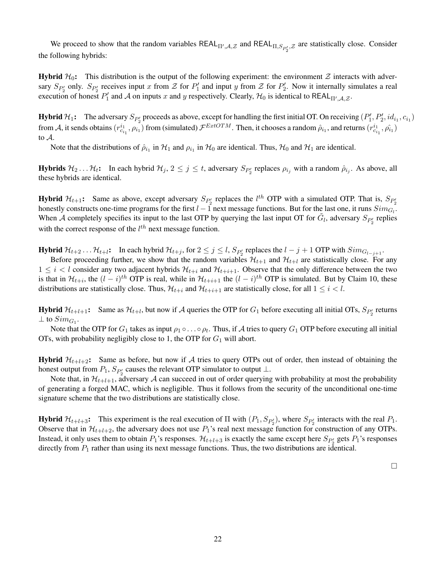We proceed to show that the random variables  $REAL_{\Pi',A,\mathcal{Z}}$  and  $REAL_{\Pi,S_{P'_2},\mathcal{Z}}$  are statistically close. Consider the following hybrids:

**Hybrid**  $H_0$ : This distribution is the output of the following experiment: the environment  $Z$  interacts with adversary  $S_{P_2'}$  only.  $S_{P_2'}$  receives input x from  $\mathcal Z$  for  $P_1'$  and input y from  $\mathcal Z$  for  $P_2'$ . Now it internally simulates a real execution of honest  $P'_1$  and A on inputs x and y respectively. Clearly,  $\mathcal{H}_0$  is identical to REAL<sub>II',A,Z</sub>.

**Hybrid**  $\mathcal{H}_1$ : The adversary  $S_{P'_2}$  proceeds as above, except for handling the first initial OT. On receiving  $(P'_1, P'_2, id_{i_1}, c_{i_1})$ from A, it sends obtains  $(r^{i_1}_{c_{i_1}}, \rho_{i_1})$  from (simulated)  $\mathcal{F}^{ExtOTM}$ . Then, it chooses a random  $\hat{\rho}_{i_1}$ , and returns  $(r^{i_1}_{c_{i_1}}, \hat{\rho}_{i_1})$ to A.

Note that the distributions of  $\hat{\rho}_{i_1}$  in  $\mathcal{H}_1$  and  $\rho_{i_1}$  in  $\mathcal{H}_0$  are identical. Thus,  $\mathcal{H}_0$  and  $\mathcal{H}_1$  are identical.

**Hybrids**  $\mathcal{H}_2 \dots \mathcal{H}_t$ : In each hybrid  $\mathcal{H}_j$ ,  $2 \le j \le t$ , adversary  $S_{P'_2}$  replaces  $\rho_{i_j}$  with a random  $\hat{\rho}_{i_j}$ . As above, all these hybrids are identical.

**Hybrid**  $\mathcal{H}_{t+1}$ : Same as above, except adversary  $S_{P_2'}$  replaces the  $l^{th}$  OTP with a simulated OTP. That is,  $S_{P_2'}$ honestly constructs one-time programs for the first  $l-1$  next message functions. But for the last one, it runs  $Sim_{G_l}$ . When A completely specifies its input to the last OTP by querying the last input OT for  $\tilde{G}_l$ , adversary  $S_{P'_2}$  replies with the correct response of the  $l^{th}$  next message function.

**Hybrid**  $\mathcal{H}_{t+2}$ ...  $\mathcal{H}_{t+l}$ : In each hybrid  $\mathcal{H}_{t+j}$ , for  $2 \leq j \leq l$ ,  $S_{P'_2}$  replaces the  $l-j+1$  OTP with  $Sim_{G_{l-j+1}}$ .

Before proceeding further, we show that the random variables  $\mathcal{H}_{t+1}$  and  $\mathcal{H}_{t+l}$  are statistically close. For any  $1 \leq i < l$  consider any two adjacent hybrids  $\mathcal{H}_{t+i}$  and  $\mathcal{H}_{t+i+1}$ . Observe that the only difference between the two is that in  $\mathcal{H}_{t+i}$ , the  $(l-i)^{th}$  OTP is real, while in  $\mathcal{H}_{t+i+1}$  the  $(l-i)^{th}$  OTP is simulated. But by Claim 10, these distributions are statistically close. Thus,  $\mathcal{H}_{t+i}$  and  $\mathcal{H}_{t+i+1}$  are statistically close, for all  $1 \leq i < l$ .

**Hybrid**  $\mathcal{H}_{t+l+1}$ : Same as  $\mathcal{H}_{t+l}$ , but now if A queries the OTP for  $G_1$  before executing all initial OTs,  $S_{P'_2}$  returns  $\perp$  to  $Sim_{G_1}$ .

Note that the OTP for  $G_1$  takes as input  $\rho_1 \circ \ldots \circ \rho_t$ . Thus, if  $\cal A$  tries to query  $G_1$  OTP before executing all initial OTs, with probability negligibly close to 1, the OTP for  $G_1$  will abort.

**Hybrid**  $\mathcal{H}_{t+l+2}$ : Same as before, but now if A tries to query OTPs out of order, then instead of obtaining the honest output from  $P_1$ ,  $S_{P'_2}$  causes the relevant OTP simulator to output  $\perp$ .

Note that, in  $\mathcal{H}_{t+l+1}$ , adversary  $\mathcal A$  can succeed in out of order querying with probability at most the probability of generating a forged MAC, which is negligible. Thus it follows from the security of the unconditional one-time signature scheme that the two distributions are statistically close.

**Hybrid**  $\mathcal{H}_{t+l+3}$ : This experiment is the real execution of  $\Pi$  with  $(P_1, S_{P'_2})$ , where  $S_{P'_2}$  interacts with the real  $P_1$ . Observe that in  $\mathcal{H}_{t+l+2}$ , the adversary does not use  $P_1$ 's real next message function for construction of any OTPs. Instead, it only uses them to obtain  $P_1$ 's responses.  $\mathcal{H}_{t+l+3}$  is exactly the same except here  $S_{P'_2}$  gets  $P_1$ 's responses directly from  $P_1$  rather than using its next message functions. Thus, the two distributions are identical.

 $\Box$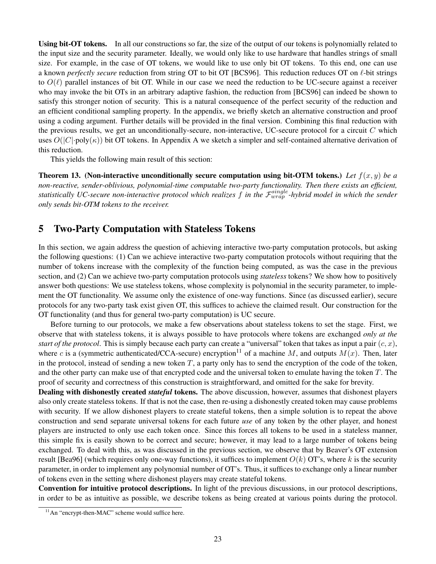Using bit-OT tokens. In all our constructions so far, the size of the output of our tokens is polynomially related to the input size and the security parameter. Ideally, we would only like to use hardware that handles strings of small size. For example, in the case of OT tokens, we would like to use only bit OT tokens. To this end, one can use a known *perfectly secure* reduction from string OT to bit OT [BCS96]. This reduction reduces OT on  $\ell$ -bit strings to  $O(\ell)$  parallel instances of bit OT. While in our case we need the reduction to be UC-secure against a receiver who may invoke the bit OTs in an arbitrary adaptive fashion, the reduction from [BCS96] can indeed be shown to satisfy this stronger notion of security. This is a natural consequence of the perfect security of the reduction and an efficient conditional sampling property. In the appendix, we briefly sketch an alternative construction and proof using a coding argument. Further details will be provided in the final version. Combining this final reduction with the previous results, we get an unconditionally-secure, non-interactive, UC-secure protocol for a circuit  $C$  which uses  $O(|C|\cdot \text{poly}(\kappa))$  bit OT tokens. In Appendix A we sketch a simpler and self-contained alternative derivation of this reduction.

This yields the following main result of this section:

Theorem 13. (Non-interactive unconditionally secure computation using bit-OTM tokens.) Let  $f(x, y)$  be a *non-reactive, sender-oblivious, polynomial-time computable two-party functionality. Then there exists an efficient,* statistically UC-secure non-interactive protocol which realizes f in the  $\mathcal{F}^{single}_{wrap}$ -hybrid model in which the sender *only sends bit-OTM tokens to the receiver.*

## 5 Two-Party Computation with Stateless Tokens

In this section, we again address the question of achieving interactive two-party computation protocols, but asking the following questions: (1) Can we achieve interactive two-party computation protocols without requiring that the number of tokens increase with the complexity of the function being computed, as was the case in the previous section, and (2) Can we achieve two-party computation protocols using *stateless* tokens? We show how to positively answer both questions: We use stateless tokens, whose complexity is polynomial in the security parameter, to implement the OT functionality. We assume only the existence of one-way functions. Since (as discussed earlier), secure protocols for any two-party task exist given OT, this suffices to achieve the claimed result. Our construction for the OT functionality (and thus for general two-party computation) is UC secure.

Before turning to our protocols, we make a few observations about stateless tokens to set the stage. First, we observe that with stateless tokens, it is always possible to have protocols where tokens are exchanged *only at the start of the protocol*. This is simply because each party can create a "universal" token that takes as input a pair  $(c, x)$ , where c is a (symmetric authenticated/CCA-secure) encryption<sup>11</sup> of a machine M, and outputs  $M(x)$ . Then, later in the protocol, instead of sending a new token  $T$ , a party only has to send the encryption of the code of the token, and the other party can make use of that encrypted code and the universal token to emulate having the token  $T$ . The proof of security and correctness of this construction is straightforward, and omitted for the sake for brevity.

Dealing with dishonestly created *stateful* tokens. The above discussion, however, assumes that dishonest players also only create stateless tokens. If that is not the case, then re-using a dishonestly created token may cause problems with security. If we allow dishonest players to create stateful tokens, then a simple solution is to repeat the above construction and send separate universal tokens for each future *use* of any token by the other player, and honest players are instructed to only use each token once. Since this forces all tokens to be used in a stateless manner, this simple fix is easily shown to be correct and secure; however, it may lead to a large number of tokens being exchanged. To deal with this, as was discussed in the previous section, we observe that by Beaver's OT extension result [Bea96] (which requires only one-way functions), it suffices to implement  $O(k)$  OT's, where k is the security parameter, in order to implement any polynomial number of OT's. Thus, it suffices to exchange only a linear number of tokens even in the setting where dishonest players may create stateful tokens.

Convention for intuitive protocol descriptions. In light of the previous discussions, in our protocol descriptions, in order to be as intuitive as possible, we describe tokens as being created at various points during the protocol.

<sup>&</sup>lt;sup>11</sup>An "encrypt-then-MAC" scheme would suffice here.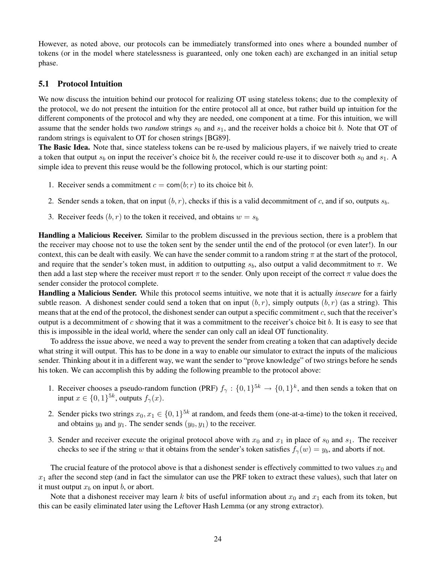However, as noted above, our protocols can be immediately transformed into ones where a bounded number of tokens (or in the model where statelessness is guaranteed, only one token each) are exchanged in an initial setup phase.

### 5.1 Protocol Intuition

We now discuss the intuition behind our protocol for realizing OT using stateless tokens; due to the complexity of the protocol, we do not present the intuition for the entire protocol all at once, but rather build up intuition for the different components of the protocol and why they are needed, one component at a time. For this intuition, we will assume that the sender holds two *random* strings  $s_0$  and  $s_1$ , and the receiver holds a choice bit b. Note that OT of random strings is equivalent to OT for chosen strings [BG89].

The Basic Idea. Note that, since stateless tokens can be re-used by malicious players, if we naively tried to create a token that output  $s_b$  on input the receiver's choice bit b, the receiver could re-use it to discover both  $s_0$  and  $s_1$ . A simple idea to prevent this reuse would be the following protocol, which is our starting point:

- 1. Receiver sends a commitment  $c = \text{com}(b; r)$  to its choice bit b.
- 2. Sender sends a token, that on input  $(b, r)$ , checks if this is a valid decommitment of c, and if so, outputs  $s<sub>b</sub>$ .
- 3. Receiver feeds  $(b, r)$  to the token it received, and obtains  $w = s_b$

Handling a Malicious Receiver. Similar to the problem discussed in the previous section, there is a problem that the receiver may choose not to use the token sent by the sender until the end of the protocol (or even later!). In our context, this can be dealt with easily. We can have the sender commit to a random string  $\pi$  at the start of the protocol, and require that the sender's token must, in addition to outputting  $s<sub>b</sub>$ , also output a valid decommitment to  $\pi$ . We then add a last step where the receiver must report  $\pi$  to the sender. Only upon receipt of the correct  $\pi$  value does the sender consider the protocol complete.

Handling a Malicious Sender. While this protocol seems intuitive, we note that it is actually *insecure* for a fairly subtle reason. A dishonest sender could send a token that on input  $(b, r)$ , simply outputs  $(b, r)$  (as a string). This means that at the end of the protocol, the dishonest sender can output a specific commitment  $c$ , such that the receiver's output is a decommitment of c showing that it was a commitment to the receiver's choice bit  $b$ . It is easy to see that this is impossible in the ideal world, where the sender can only call an ideal OT functionality.

To address the issue above, we need a way to prevent the sender from creating a token that can adaptively decide what string it will output. This has to be done in a way to enable our simulator to extract the inputs of the malicious sender. Thinking about it in a different way, we want the sender to "prove knowledge" of two strings before he sends his token. We can accomplish this by adding the following preamble to the protocol above:

- 1. Receiver chooses a pseudo-random function (PRF)  $f_\gamma : \{0,1\}^{5k} \to \{0,1\}^k$ , and then sends a token that on input  $x \in \{0,1\}^{5k}$ , outputs  $f_{\gamma}(x)$ .
- 2. Sender picks two strings  $x_0, x_1 \in \{0, 1\}^{5k}$  at random, and feeds them (one-at-a-time) to the token it received, and obtains  $y_0$  and  $y_1$ . The sender sends  $(y_0, y_1)$  to the receiver.
- 3. Sender and receiver execute the original protocol above with  $x_0$  and  $x_1$  in place of  $s_0$  and  $s_1$ . The receiver checks to see if the string w that it obtains from the sender's token satisfies  $f_{\gamma}(w) = y_b$ , and aborts if not.

The crucial feature of the protocol above is that a dishonest sender is effectively committed to two values  $x_0$  and  $x_1$  after the second step (and in fact the simulator can use the PRF token to extract these values), such that later on it must output  $x_b$  on input b, or abort.

Note that a dishonest receiver may learn k bits of useful information about  $x_0$  and  $x_1$  each from its token, but this can be easily eliminated later using the Leftover Hash Lemma (or any strong extractor).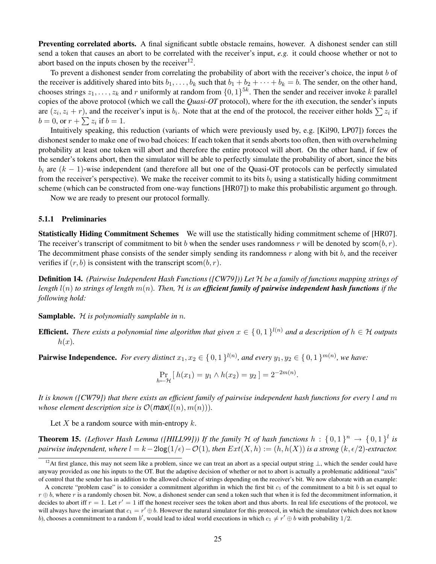Preventing correlated aborts. A final significant subtle obstacle remains, however. A dishonest sender can still send a token that causes an abort to be correlated with the receiver's input, *e.g.* it could choose whether or not to abort based on the inputs chosen by the receiver $^{12}$ .

To prevent a dishonest sender from correlating the probability of abort with the receiver's choice, the input b of the receiver is additively shared into bits  $b_1, \ldots, b_k$  such that  $b_1 + b_2 + \cdots + b_k = b$ . The sender, on the other hand, chooses strings  $z_1, \ldots, z_k$  and r uniformly at random from  $\{0, 1\}^{5k}$ . Then the sender and receiver invoke k parallel copies of the above protocol (which we call the *Quasi-OT* protocol), where for the ith execution, the sender's inputs are  $(z_i, z_i + r)$ , and the receiver's input is  $b_i$ . Note that at the end of the protocol, the receiver either holds  $\sum z_i$  if  $b = 0$ , or  $r + \sum z_i$  if  $b = 1$ .

Intuitively speaking, this reduction (variants of which were previously used by, e.g. [Kil90, LP07]) forces the dishonest sender to make one of two bad choices: If each token that it sends aborts too often, then with overwhelming probability at least one token will abort and therefore the entire protocol will abort. On the other hand, if few of the sender's tokens abort, then the simulator will be able to perfectly simulate the probability of abort, since the bits  $b_i$  are  $(k - 1)$ -wise independent (and therefore all but one of the Quasi-OT protocols can be perfectly simulated from the receiver's perspective). We make the receiver commit to its bits  $b_i$  using a statistically hiding commitment scheme (which can be constructed from one-way functions [HR07]) to make this probabilistic argument go through.

Now we are ready to present our protocol formally.

#### 5.1.1 Preliminaries

Statistically Hiding Commitment Schemes We will use the statistically hiding commitment scheme of [HR07]. The receiver's transcript of commitment to bit b when the sender uses randomness r will be denoted by scom $(b, r)$ . The decommitment phase consists of the sender simply sending its randomness r along with bit  $b$ , and the receiver verifies if  $(r, b)$  is consistent with the transcript scom $(b, r)$ .

Definition 14. *(Pairwise Independent Hash Functions ([CW79])) Let* H *be a family of functions mapping strings of length*  $l(n)$  *to strings of length*  $m(n)$ *. Then,* H *is an efficient family of pairwise independent hash functions if the following hold:*

Samplable. H *is polynomially samplable in* n*.*

**Efficient.** There exists a polynomial time algorithm that given  $x \in \{0,1\}^{l(n)}$  and a description of  $h \in H$  outputs  $h(x)$ .

**Pairwise Independence.** For every distinct  $x_1, x_2 \in \{0, 1\}^{l(n)}$ , and every  $y_1, y_2 \in \{0, 1\}^{m(n)}$ , we have:

$$
\Pr_{h \leftarrow \mathcal{H}} [h(x_1) = y_1 \land h(x_2) = y_2] = 2^{-2m(n)}.
$$

*It is known ([CW79]) that there exists an efficient family of pairwise independent hash functions for every* l *and* m *whose element description size is*  $\mathcal{O}(\max(l(n), m(n)))$ *.* 

Let  $X$  be a random source with min-entropy  $k$ .

**Theorem 15.** (Leftover Hash Lemma ([HILL99])) If the family H of hash functions  $h: \{0,1\}^n \to \{0,1\}^l$  is *pairwise independent, where*  $l = k - 2\log(1/\epsilon) - \mathcal{O}(1)$ *, then*  $Ext(X, h) := (h, h(X))$  *is a strong*  $(k, \epsilon/2)$ *-extractor.* 

<sup>&</sup>lt;sup>12</sup>At first glance, this may not seem like a problem, since we can treat an abort as a special output string  $\perp$ , which the sender could have anyway provided as one his inputs to the OT. But the adaptive decision of whether or not to abort is actually a problematic additional "axis" of control that the sender has in addition to the allowed choice of strings depending on the receiver's bit. We now elaborate with an example:

A concrete "problem case" is to consider a commitment algorithm in which the first bit  $c_1$  of the commitment to a bit b is set equal to  $r \oplus b$ , where r is a randomly chosen bit. Now, a dishonest sender can send a token such that when it is fed the decommitment information, it decides to abort iff  $r = 1$ . Let  $r' = 1$  iff the honest receiver sees the token abort and thus aborts. In real life executions of the protocol, we will always have the invariant that  $c_1 = r' \oplus b$ . However the natural simulator for this protocol, in which the simulator (which does not know b), chooses a commitment to a random b', would lead to ideal world executions in which  $c_1 \neq r' \oplus b$  with probability 1/2.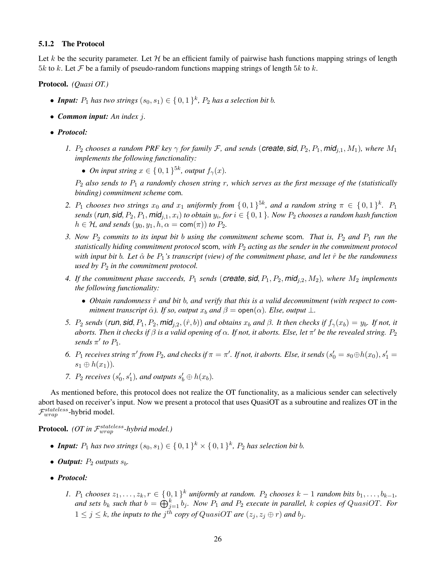#### 5.1.2 The Protocol

Let k be the security parameter. Let  $H$  be an efficient family of pairwise hash functions mapping strings of length 5k to k. Let  $\mathcal F$  be a family of pseudo-random functions mapping strings of length 5k to k.

Protocol. *(Quasi OT.)*

- **Input:**  $P_1$  *has two strings*  $(s_0, s_1) \in \{0, 1\}^k$ ,  $P_2$  *has a selection bit b.*
- *Common input: An index* j*.*
- *Protocol:*
	- *1.*  $P_2$  *chooses a random PRF key*  $\gamma$  *for family* F, *and sends* (*create*, *sid*,  $P_2$ ,  $P_1$ , *mid*<sub>*i*,1</sub>,  $M_1$ ), *where*  $M_1$ *implements the following functionality:*
		- *On input string*  $x \in \{0, 1\}^{5k}$ , *output*  $f_{\gamma}(x)$ .

P<sup>2</sup> *also sends to* P<sup>1</sup> *a randomly chosen string* r*, which serves as the first message of the (statistically binding) commitment scheme* com*.*

- 2.  $P_1$  *chooses two strings*  $x_0$  *and*  $x_1$  *uniformly from*  $\{0,1\}^{5k}$ *, and a random string*  $\pi \in \{0,1\}^k$ *.*  $P_1$  $sends$  ( $run,$   $sid, P_2, P_1, mid_{j,1}, x_i)$  *to obtain*  $y_i$ *, for*  $i \in \{0,1\}$ *. Now*  $P_2$  *chooses a random hash function*  $h \in \mathcal{H}$ , and sends  $(y_0, y_1, h, \alpha = \text{com}(\pi))$  to  $P_2$ .
- *3. Now*  $P_2$  *commits to its input bit b using the commitment scheme* scom. That is,  $P_2$  and  $P_1$  *run the statistically hiding commitment protocol* scom*, with* P<sup>2</sup> *acting as the sender in the commitment protocol with input bit b. Let*  $\hat{\alpha}$  *be*  $P_1$ 's transcript (view) of the commitment phase, and let  $\hat{r}$  be the randomness *used by*  $P_2$  *in the commitment protocol.*
- 4. If the commitment phase succeeds,  $P_1$  sends (create, sid,  $P_1$ ,  $P_2$ , mid<sub>i,2</sub>,  $M_2$ ), where  $M_2$  implements *the following functionality:*
	- Obtain randomness  $\hat{r}$  and bit b, and verify that this is a valid decommitment (with respect to com*mitment transcript*  $\hat{\alpha}$ *). If so, output*  $x_b$  *and*  $\beta =$  open $(\alpha)$ *. Else, output*  $\bot$ *.*
- *5.*  $P_2$  *sends* (*run, sid,*  $P_1$ ,  $P_2$ *, mid*<sub>i,2</sub>*,* ( $\hat{r}$ *,b*)) *and obtains*  $x_b$  *and*  $\beta$ *. It then checks if*  $f_\gamma(x_b) = y_b$ *. If not, it* aborts. Then it checks if  $\beta$  is a valid opening of  $\alpha$ . If not, it aborts. Else, let  $\pi'$  be the revealed string.  $P_2$ *sends*  $\pi'$  *to*  $P_1$ *.*
- 6.  $P_1$  *receives string*  $\pi'$  *from*  $P_2$ *, and checks if*  $\pi = \pi'$ *. If not, it aborts. Else, it sends*  $(s'_0 = s_0 \oplus h(x_0), s'_1 =$  $s_1 \oplus h(x_1)$ ).
- *7.*  $P_2$  *receives*  $(s'_0, s'_1)$ *, and outputs*  $s'_b \oplus h(x_b)$ *.*

As mentioned before, this protocol does not realize the OT functionality, as a malicious sender can selectively abort based on receiver's input. Now we present a protocol that uses QuasiOT as a subroutine and realizes OT in the  $\mathcal{F}^{stateless}_{wrap}$ -hybrid model.

Protocol. *(OT in F*<sup>stateless</sup>-hybrid model.)

- **Input:**  $P_1$  *has two strings*  $(s_0, s_1) \in \{0, 1\}^k \times \{0, 1\}^k$ ,  $P_2$  *has selection bit b.*
- *Output:*  $P_2$  *outputs*  $s_b$ *.*
- *Protocol:*
	- *1.*  $P_1$  *chooses*  $z_1, \ldots, z_k, r \in \{0, 1\}^k$  *uniformly at random.*  $P_2$  *chooses*  $k − 1$  *random bits*  $b_1, \ldots, b_{k-1}$ *,* and sets  $b_k$  such that  $b = \bigoplus_{j=1}^k b_j$ . Now  $P_1$  and  $P_2$  execute in parallel, k copies of QuasiOT. For  $1 \leq j \leq k$ , the inputs to the j<sup>th</sup> copy of QuasiOT are  $(z_j, z_j \oplus r)$  and  $b_j$ .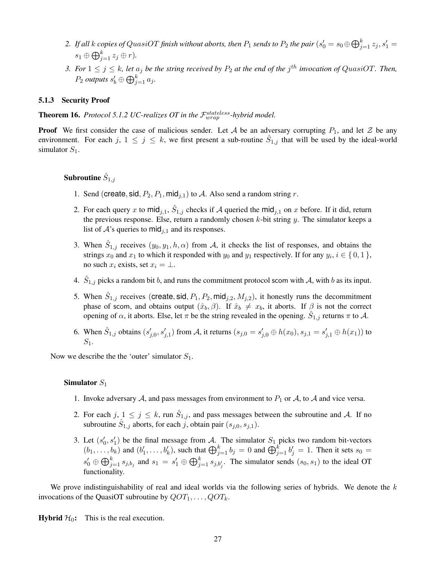- 2. If all  $k$  copies of  $QuasiOT$  finish without aborts, then  $P_1$  sends to  $P_2$  the pair  $(s_0'=s_0\oplus\bigoplus_{j=1}^k z_j,s_1'=0)$  $s_1 \oplus \bigoplus_{j=1}^k z_j \oplus r$ ).
- *3. For*  $1 \leq j \leq k$ , let  $a_j$  be the string received by  $P_2$  at the end of the  $j^{th}$  invocation of QuasiOT. Then,  $P_2$  *outputs*  $s'_b \oplus \bigoplus_{j=1}^k a_j$ .

#### 5.1.3 Security Proof

**Theorem 16.** *Protocol* 5.1.2 UC-realizes OT in the  $\mathcal{F}^{stateless}_{wrap}$ -hybrid model.

**Proof** We first consider the case of malicious sender. Let A be an adversary corrupting  $P_1$ , and let Z be any environment. For each j,  $1 \leq j \leq k$ , we first present a sub-routine  $\hat{S}_{1,j}$  that will be used by the ideal-world simulator  $S_1$ .

Subroutine  $\hat{S}_{1,j}$ 

- 1. Send (create, sid,  $P_2, P_1, \text{mid}_{i,1}$ ) to A. Also send a random string r.
- 2. For each query x to mid<sub>j,1</sub>,  $\hat{S}_{1,j}$  checks if A queried the mid<sub>j,1</sub> on x before. If it did, return the previous response. Else, return a randomly chosen  $k$ -bit string y. The simulator keeps a list of  $A$ 's queries to mid<sub>j,1</sub> and its responses.
- 3. When  $\hat{S}_{1,j}$  receives  $(y_0, y_1, h, \alpha)$  from A, it checks the list of responses, and obtains the strings  $x_0$  and  $x_1$  to which it responded with  $y_0$  and  $y_1$  respectively. If for any  $y_i$ ,  $i \in \{0,1\}$ , no such  $x_i$  exists, set  $x_i = \perp$ .
- 4.  $\hat{S}_{1,j}$  picks a random bit b, and runs the commitment protocol scom with A, with b as its input.
- 5. When  $\hat{S}_{1,j}$  receives (create, sid,  $P_1, P_2, \text{mid}_{j,2}, M_{j,2}$ ), it honestly runs the decommitment phase of scom, and obtains output  $(\hat{x}_b, \beta)$ . If  $\hat{x}_b \neq x_b$ , it aborts. If  $\beta$  is not the correct opening of  $\alpha$ , it aborts. Else, let  $\pi$  be the string revealed in the opening.  $\hat{S}_{1,j}$  returns  $\pi$  to A.
- 6. When  $\hat{S}_{1,j}$  obtains  $(s'_{j,0}, s'_{j,1})$  from A, it returns  $(s_{j,0} = s'_{j,0} \oplus h(x_0), s_{j,1} = s'_{j,1} \oplus h(x_1))$  to  $S_1$ .

Now we describe the the 'outer' simulator  $S_1$ .

#### Simulator  $S_1$

- 1. Invoke adversary A, and pass messages from environment to  $P_1$  or A, to A and vice versa.
- 2. For each j,  $1 \le j \le k$ , run  $\hat{S}_{1,j}$ , and pass messages between the subroutine and A. If no subroutine  $\hat{S}_{1,j}$  aborts, for each j, obtain pair  $(s_{j,0}, s_{j,1})$ .
- 3. Let  $(s'_0, s'_1)$  be the final message from A. The simulator  $S_1$  picks two random bit-vectors  $(b_1, \ldots, b_k)$  and  $(b'_1, \ldots, b'_k)$ , such that  $\bigoplus_{j=1}^k b_j = 0$  and  $\bigoplus_{j=1}^k b'_j = 1$ . Then it sets  $s_0 =$  $s'_0 \oplus \bigoplus_{j=1}^k s_{j,b_j}$  and  $s_1 = s'_1 \oplus \bigoplus_{j=1}^k s_{j,b'_j}$ . The simulator sends  $(s_0, s_1)$  to the ideal OT functionality.

We prove indistinguishability of real and ideal worlds via the following series of hybrids. We denote the  $k$ invocations of the QuasiOT subroutine by  $QOT_1, \ldots, QOT_k$ .

**Hybrid**  $\mathcal{H}_0$ : This is the real execution.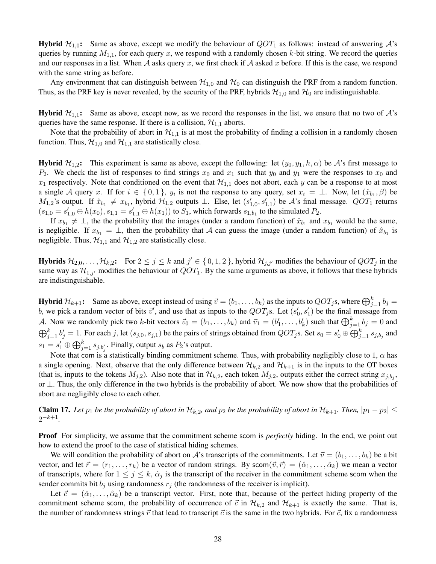**Hybrid**  $\mathcal{H}_{1,0}$ : Same as above, except we modify the behaviour of  $QOT_1$  as follows: instead of answering  $\mathcal{A}$ 's queries by running  $M_{1,1}$ , for each query x, we respond with a randomly chosen k-bit string. We record the queries and our responses in a list. When A asks query x, we first check if A asked x before. If this is the case, we respond with the same string as before.

Any environment that can distinguish between  $H_{1,0}$  and  $H_0$  can distinguish the PRF from a random function. Thus, as the PRF key is never revealed, by the security of the PRF, hybrids  $\mathcal{H}_{1,0}$  and  $\mathcal{H}_0$  are indistinguishable.

**Hybrid**  $\mathcal{H}_{1,1}$ : Same as above, except now, as we record the responses in the list, we ensure that no two of  $\mathcal{A}$ 's queries have the same response. If there is a collision,  $\mathcal{H}_{1,1}$  aborts.

Note that the probability of abort in  $\mathcal{H}_{1,1}$  is at most the probability of finding a collision in a randomly chosen function. Thus,  $\mathcal{H}_{1,0}$  and  $\mathcal{H}_{1,1}$  are statistically close.

**Hybrid**  $\mathcal{H}_{1,2}$ : This experiment is same as above, except the following: let  $(y_0, y_1, h, \alpha)$  be A's first message to  $P_2$ . We check the list of responses to find strings  $x_0$  and  $x_1$  such that  $y_0$  and  $y_1$  were the responses to  $x_0$  and  $x_1$  respectively. Note that conditioned on the event that  $\mathcal{H}_{1,1}$  does not abort, each y can be a response to at most a single A query x. If for  $i \in \{0,1\}$ ,  $y_i$  is not the response to any query, set  $x_i = \perp$ . Now, let  $(\hat{x}_{b_1}, \beta)$  be  $M_{1,2}$ 's output. If  $\hat{x}_{b_1} \neq x_{b_1}$ , hybrid  $\mathcal{H}_{1,2}$  outputs  $\perp$ . Else, let  $(s'_{1,0}, s'_{1,1})$  be  $\mathcal{A}$ 's final message.  $QOT_1$  returns  $(s_{1,0} = s'_{1,0} \oplus h(x_0), s_{1,1} = s'_{1,1} \oplus h(x_1))$  to  $S_1$ , which forwards  $s_{1,b_1}$  to the simulated  $P_2$ .

If  $x_{b_1} \neq \perp$ , the the probability that the images (under a random function) of  $\hat{x}_{b_1}$  and  $x_{b_1}$  would be the same, is negligible. If  $x_{b_1} = \perp$ , then the probability that A can guess the image (under a random function) of  $\hat{x}_{b_1}$  is negligible. Thus,  $\mathcal{H}_{1,1}$  and  $\mathcal{H}_{1,2}$  are statistically close.

**Hybrids**  $\mathcal{H}_{2,0}, \ldots, \mathcal{H}_{k,2}$ : For  $2 \leq j \leq k$  and  $j' \in \{0,1,2\}$ , hybrid  $\mathcal{H}_{j,j'}$  modifies the behaviour of  $QOT_j$  in the same way as  $\mathcal{H}_{1,j'}$  modifies the behaviour of  $QOT_1$ . By the same arguments as above, it follows that these hybrids are indistinguishable.

**Hybrid**  $\mathcal{H}_{k+1}$ : Same as above, except instead of using  $\vec{v} = (b_1, \ldots, b_k)$  as the inputs to  $QOT_j$ s, where  $\bigoplus_{j=1}^k b_j =$ b, we pick a random vector of bits  $\vec{v}'$ , and use that as inputs to the  $QOT<sub>j</sub>$ s. Let  $(s'_0, s'_1)$  be the final message from A. Now we randomly pick two k-bit vectors  $\vec{v}_0 = (b_1, \ldots, b_k)$  and  $\vec{v}_1 = (b'_1, \ldots, b'_k)$  such that  $\bigoplus_{j=1}^k b_j = 0$  and  $\bigoplus_{j=1}^k b'_j = 1$ . For each j, let  $(s_{j,0}, s_{j,1})$  be the pairs of strings obtained from  $QOT_j$ s. Set  $s_0 = s'_0 \oplus \bigoplus_{j=1}^k s_{j,b_j}$  and  $s_1 = s'_1 \oplus \bigoplus_{j=1}^k s_{j.b'_j}$ . Finally, output  $s_b$  as  $P_2$ 's output.

Note that com is a statistically binding commitment scheme. Thus, with probability negligibly close to 1,  $\alpha$  has a single opening. Next, observe that the only difference between  $\mathcal{H}_{k,2}$  and  $\mathcal{H}_{k+1}$  is in the inputs to the OT boxes (that is, inputs to the tokens  $M_{j,2}$ ). Also note that in  $\mathcal{H}_{k,2}$ , each token  $M_{j,2}$ , outputs either the correct string  $x_{j,b_j}$ , or ⊥. Thus, the only difference in the two hybrids is the probability of abort. We now show that the probabilities of abort are negligibly close to each other.

**Claim 17.** Let  $p_1$  be the probability of abort in  $\mathcal{H}_{k,2}$ , and  $p_2$  be the probability of abort in  $\mathcal{H}_{k+1}$ . Then,  $|p_1 - p_2| \le$  $2^{-k+1}$ .

**Proof** For simplicity, we assume that the commitment scheme scom is *perfectly* hiding. In the end, we point out how to extend the proof to the case of statistical hiding schemes.

We will condition the probability of abort on A's transcripts of the commitments. Let  $\vec{v} = (b_1, \ldots, b_k)$  be a bit vector, and let  $\vec{r} = (r_1, \ldots, r_k)$  be a vector of random strings. By scom $(\vec{v}, \vec{r}) = (\hat{\alpha}_1, \ldots, \hat{\alpha}_k)$  we mean a vector of transcripts, where for  $1 \le j \le k$ ,  $\hat{\alpha}_j$  is the transcript of the receiver in the commitment scheme scom when the sender commits bit  $b_j$  using randomness  $r_j$  (the randomness of the receiver is implicit).

Let  $\vec{c} = (\hat{\alpha}_1, \dots, \hat{\alpha}_k)$  be a transcript vector. First, note that, because of the perfect hiding property of the commitment scheme scom, the probability of occurrence of  $\vec{c}$  in  $\mathcal{H}_{k,2}$  and  $\mathcal{H}_{k+1}$  is exactly the same. That is, the number of randomness strings  $\vec{r}$  that lead to transcript  $\vec{c}$  is the same in the two hybrids. For  $\vec{c}$ , fix a randomness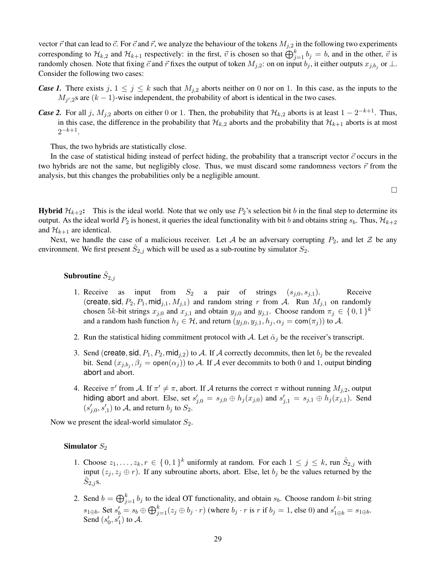vector  $\vec{r}$  that can lead to  $\vec{c}$ . For  $\vec{c}$  and  $\vec{r}$ , we analyze the behaviour of the tokens  $M_{j,2}$  in the following two experiments corresponding to  $H_{k,2}$  and  $H_{k+1}$  respectively: in the first,  $\vec{v}$  is chosen so that  $\bigoplus_{j=1}^{k} b_j = b$ , and in the other,  $\vec{v}$  is randomly chosen. Note that fixing  $\vec{c}$  and  $\vec{r}$  fixes the output of token  $M_{j,2}$ : on on input  $b_j$ , it either outputs  $x_{j,b_j}$  or  $\perp$ . Consider the following two cases:

- *Case 1.* There exists  $j, 1 \leq j \leq k$  such that  $M_{j,2}$  aborts neither on 0 nor on 1. In this case, as the inputs to the  $M_{j',2}$ s are  $(k-1)$ -wise independent, the probability of abort is identical in the two cases.
- *Case 2.* For all j,  $M_{j,2}$  aborts on either 0 or 1. Then, the probability that  $\mathcal{H}_{k,2}$  aborts is at least  $1 2^{-k+1}$ . Thus, in this case, the difference in the probability that  $\mathcal{H}_{k,2}$  aborts and the probability that  $\mathcal{H}_{k+1}$  aborts is at most  $2^{-k+1}$ .

Thus, the two hybrids are statistically close.

In the case of statistical hiding instead of perfect hiding, the probability that a transcript vector  $\vec{c}$  occurs in the two hybrids are not the same, but negligibly close. Thus, we must discard some randomness vectors  $\vec{r}$  from the analysis, but this changes the probabilities only be a negligible amount.

 $\Box$ 

**Hybrid**  $\mathcal{H}_{k+2}$ : This is the ideal world. Note that we only use  $P_2$ 's selection bit b in the final step to determine its output. As the ideal world  $P_2$  is honest, it queries the ideal functionality with bit b and obtains string  $s_b$ . Thus,  $\mathcal{H}_{k+2}$ and  $\mathcal{H}_{k+1}$  are identical.

Next, we handle the case of a malicious receiver. Let A be an adversary corrupting  $P_2$ , and let  $\mathcal Z$  be any environment. We first present  $\hat{S}_{2,j}$  which will be used as a sub-routine by simulator  $S_2$ .

# Subroutine  $\hat{S}_{2,j}$

- 1. Receive as input from  $S_2$  a pair of strings  $(s_{j,0}, s_{j,1})$ . Receive (create, sid,  $P_2$ ,  $P_1$ , mid<sub>j,1</sub>,  $M_{j,1}$ ) and random string r from A. Run  $M_{j,1}$  on randomly chosen 5k-bit strings  $x_{j,0}$  and  $x_{j,1}$  and obtain  $y_{j,0}$  and  $y_{j,1}$ . Choose random  $\pi_j \in \{0,1\}^k$ and a random hash function  $h_j \in H$ , and return  $(y_{j,0}, y_{j,1}, h_j, \alpha_j = \text{com}(\pi_j))$  to A.
- 2. Run the statistical hiding commitment protocol with A. Let  $\hat{\alpha}_j$  be the receiver's transcript.
- 3. Send (create, sid,  $P_1$ ,  $P_2$ , mid<sub>i,2</sub>) to A. If A correctly decommits, then let  $b_j$  be the revealed bit. Send  $(x_{j,b_j}, \beta_j = \mathsf{open}(\alpha_j))$  to A. If A ever decommits to both 0 and 1, output binding abort and abort.
- 4. Receive  $\pi'$  from A. If  $\pi' \neq \pi$ , abort. If A returns the correct  $\pi$  without running  $M_{j,2}$ , output hiding abort and abort. Else, set  $s'_{j,0} = s_{j,0} \oplus h_j(x_{j,0})$  and  $s'_{j,1} = s_{j,1} \oplus h_j(x_{j,1})$ . Send  $(s'_{j,0}, s'_{,1})$  to A, and return  $b_j$  to  $S_2$ .

Now we present the ideal-world simulator  $S_2$ .

#### Simulator  $S_2$

- 1. Choose  $z_1, \ldots, z_k, r \in \{0,1\}^k$  uniformly at random. For each  $1 \leq j \leq k$ , run  $\hat{S}_{2,j}$  with input  $(z_j, z_j \oplus r)$ . If any subroutine aborts, abort. Else, let  $b_j$  be the values returned by the  $\hat{S}_{2,j}$ s.
- 2. Send  $b = \bigoplus_{j=1}^k b_j$  to the ideal OT functionality, and obtain  $s_b$ . Choose random k-bit string  $s_{1\oplus b}$ . Set  $s'_b = s_b \oplus \bigoplus_{j=1}^k (z_j \oplus b_j \cdot r)$  (where  $b_j \cdot r$  is r if  $b_j = 1$ , else 0) and  $s'_{1\oplus b} = s_{1\oplus b}$ . Send  $(s'_0, s'_1)$  to A.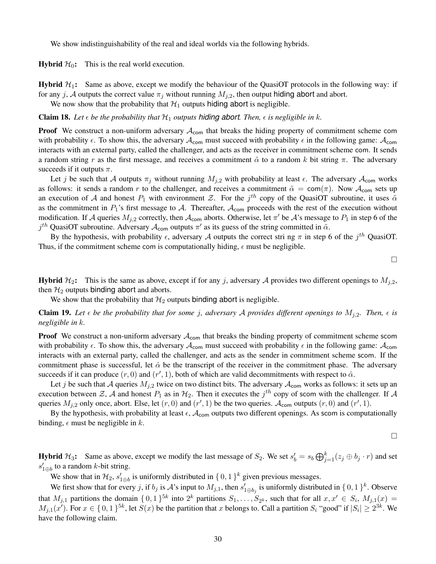We show indistinguishability of the real and ideal worlds via the following hybrids.

**Hybrid**  $\mathcal{H}_0$ : This is the real world execution.

**Hybrid**  $\mathcal{H}_1$ : Same as above, except we modify the behaviour of the QuasiOT protocols in the following way: if for any j, A outputs the correct value  $\pi_j$  without running  $M_{i,2}$ , then output hiding abort and abort.

We now show that the probability that  $\mathcal{H}_1$  outputs hiding abort is negligible.

**Claim 18.** Let  $\epsilon$  be the probability that  $\mathcal{H}_1$  outputs **hiding abort**. Then,  $\epsilon$  is negligible in k.

**Proof** We construct a non-uniform adversary  $A_{com}$  that breaks the hiding property of commitment scheme com with probability  $\epsilon$ . To show this, the adversary  $A_{\text{com}}$  must succeed with probability  $\epsilon$  in the following game:  $A_{\text{com}}$ interacts with an external party, called the challenger, and acts as the receiver in commitment scheme com. It sends a random string r as the first message, and receives a commitment  $\tilde{\alpha}$  to a random k bit string  $\pi$ . The adversary succeeds if it outputs  $\pi$ .

Let j be such that A outputs  $\pi_j$  without running  $M_{j,2}$  with probability at least  $\epsilon$ . The adversary  $\mathcal{A}_{\text{com}}$  works as follows: it sends a random r to the challenger, and receives a commitment  $\tilde{\alpha} = \text{com}(\pi)$ . Now  $\mathcal{A}_{\text{com}}$  sets up an execution of A and honest  $P_1$  with environment  $\mathcal{Z}$ . For the  $j^{th}$  copy of the QuasiOT subroutine, it uses  $\tilde{\alpha}$ as the commitment in  $P_1$ 's first message to A. Thereafter,  $A_{\text{com}}$  proceeds with the rest of the execution without modification. If A queries  $M_{j,2}$  correctly, then  $\mathcal{A}_{\text{com}}$  aborts. Otherwise, let  $\pi'$  be  $\mathcal{A}$ 's message to  $P_1$  in step 6 of the  $j^{th}$  QuasiOT subroutine. Adversary  $A_{\text{com}}$  outputs  $\pi'$  as its guess of the string committed in  $\tilde{\alpha}$ .

By the hypothesis, with probability  $\epsilon$ , adversary A outputs the correct stri ng  $\pi$  in step 6 of the  $j^{th}$  QuasiOT. Thus, if the commitment scheme com is computationally hiding,  $\epsilon$  must be negligible.

 $\Box$ 

**Hybrid**  $\mathcal{H}_2$ : This is the same as above, except if for any j, adversary A provides two different openings to  $M_{j,2}$ , then  $\mathcal{H}_2$  outputs binding abort and aborts.

We show that the probability that  $H_2$  outputs binding abort is negligible.

**Claim 19.** Let  $\epsilon$  be the probability that for some j, adversary A provides different openings to  $M_{j,2}$ . Then,  $\epsilon$  is *negligible in* k*.*

**Proof** We construct a non-uniform adversary  $A_{com}$  that breaks the binding property of commitment scheme scom with probability  $\epsilon$ . To show this, the adversary  $A_{\text{com}}$  must succeed with probability  $\epsilon$  in the following game:  $A_{\text{com}}$ interacts with an external party, called the challenger, and acts as the sender in commitment scheme scom. If the commitment phase is successful, let  $\hat{\alpha}$  be the transcript of the receiver in the commitment phase. The adversary succeeds if it can produce  $(r, 0)$  and  $(r', 1)$ , both of which are valid decommitments with respect to  $\hat{\alpha}$ .

Let j be such that A queries  $M_{i,2}$  twice on two distinct bits. The adversary  $A_{com}$  works as follows: it sets up an execution between Z, A and honest  $P_1$  as in  $H_2$ . Then it executes the  $j<sup>th</sup>$  copy of scom with the challenger. If A queries  $M_{j,2}$  only once, abort. Else, let  $(r, 0)$  and  $(r', 1)$  be the two queries.  $\mathcal{A}_{\text{com}}$  outputs  $(r, 0)$  and  $(r', 1)$ .

By the hypothesis, with probability at least  $\epsilon$ ,  $\mathcal{A}_{com}$  outputs two different openings. As scom is computationally binding,  $\epsilon$  must be negligible in k.

 $\Box$ 

**Hybrid**  $\mathcal{H}_3$ : Same as above, except we modify the last message of  $S_2$ . We set  $s'_b = s_b \bigoplus_{j=1}^k (z_j \oplus b_j \cdot r)$  and set  $s'_{1\oplus b}$  to a random k-bit string.

We show that in  $\mathcal{H}_2$ ,  $s'_{1\oplus b}$  is uniformly distributed in  $\{0,1\}^k$  given previous messages.

We first show that for every j, if  $b_j$  is A's input to  $M_{j,1}$ , then  $s'_{1\oplus b_j}$  is uniformly distributed in  $\{0,1\}^k$ . Observe that  $M_{j,1}$  partitions the domain  $\{0,1\}^{5k}$  into  $2^k$  partitions  $S_1,\ldots,S_{2^k}$ , such that for all  $x, x' \in S_i$ ,  $M_{j,1}(x) =$  $M_{j,1}(x')$ . For  $x \in \{0,1\}^{5k}$ , let  $S(x)$  be the partition that x belongs to. Call a partition  $S_i$  "good" if  $|S_i| \geq 2^{3k}$ . We have the following claim.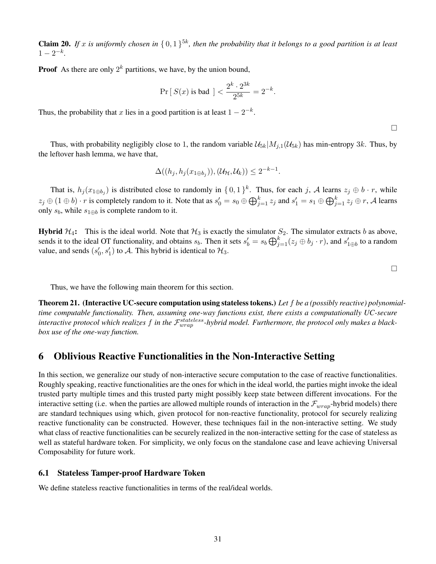**Claim 20.** If x is uniformly chosen in  $\{0,1\}^{5k}$ , then the probability that it belongs to a good partition is at least  $1 - 2^{-k}$ .

**Proof** As there are only  $2^k$  partitions, we have, by the union bound,

$$
\Pr\left[\,S(x)\text{ is bad }\,\right] < \frac{2^k \cdot 2^{3k}}{2^{5k}} = 2^{-k}.
$$

Thus, the probability that x lies in a good partition is at least  $1 - 2^{-k}$ .

 $\Box$ 

Thus, with probability negligibly close to 1, the random variable  $\mathcal{U}_{5k}|M_{j,1}(\mathcal{U}_{5k})$  has min-entropy 3k. Thus, by the leftover hash lemma, we have that,

$$
\Delta((h_j, h_j(x_{1 \oplus b_j})), (\mathcal{U}_{\mathcal{H}}, \mathcal{U}_k)) \leq 2^{-k-1}.
$$

That is,  $h_j(x_{1\oplus b_j})$  is distributed close to randomly in  $\{0,1\}^k$ . Thus, for each j, A learns  $z_j \oplus b \cdot r$ , while  $z_j \oplus (1 \oplus b) \cdot r$  is completely random to it. Note that as  $s'_0 = s_0 \oplus \bigoplus_{j=1}^k z_j$  and  $s'_1 = s_1 \oplus \bigoplus_{j=1}^k z_j \oplus r$ , A learns only  $s_b$ , while  $s_{1 \oplus b}$  is complete random to it.

**Hybrid**  $\mathcal{H}_4$ **:** This is the ideal world. Note that  $\mathcal{H}_3$  is exactly the simulator  $S_2$ . The simulator extracts b as above, sends it to the ideal OT functionality, and obtains  $s_b$ . Then it sets  $s'_b = s_b \bigoplus_{j=1}^k (z_j \oplus b_j \cdot r)$ , and  $s'_{1 \oplus b}$  to a random value, and sends  $(s'_0, s'_1)$  to A. This hybrid is identical to  $\mathcal{H}_3$ .

 $\Box$ 

Thus, we have the following main theorem for this section.

Theorem 21. (Interactive UC-secure computation using stateless tokens.) *Let* f *be a (possibly reactive) polynomialtime computable functionality. Then, assuming one-way functions exist, there exists a computationally UC-secure* interactive protocol which realizes f in the  $\mathcal{F}^{stateless}_{wrap}$ -hybrid model. Furthermore, the protocol only makes a black*box use of the one-way function.*

## 6 Oblivious Reactive Functionalities in the Non-Interactive Setting

In this section, we generalize our study of non-interactive secure computation to the case of reactive functionalities. Roughly speaking, reactive functionalities are the ones for which in the ideal world, the parties might invoke the ideal trusted party multiple times and this trusted party might possibly keep state between different invocations. For the interactive setting (i.e. when the parties are allowed multiple rounds of interaction in the  $\mathcal{F}_{wrap}$ -hybrid models) there are standard techniques using which, given protocol for non-reactive functionality, protocol for securely realizing reactive functionality can be constructed. However, these techniques fail in the non-interactive setting. We study what class of reactive functionalities can be securely realized in the non-interactive setting for the case of stateless as well as stateful hardware token. For simplicity, we only focus on the standalone case and leave achieving Universal Composability for future work.

#### 6.1 Stateless Tamper-proof Hardware Token

We define stateless reactive functionalities in terms of the real/ideal worlds.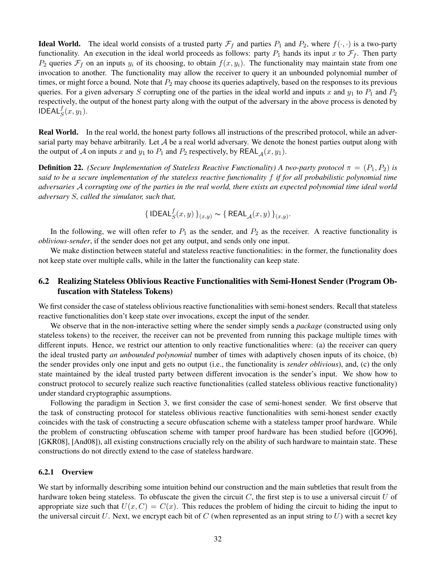**Ideal World.** The ideal world consists of a trusted party  $\mathcal{F}_f$  and parties  $P_1$  and  $P_2$ , where  $f(\cdot, \cdot)$  is a two-party functionality. An execution in the ideal world proceeds as follows: party  $P_1$  hands its input x to  $\mathcal{F}_f$ . Then party  $P_2$  queries  $\mathcal{F}_f$  on an inputs  $y_i$  of its choosing, to obtain  $f(x, y_i)$ . The functionality may maintain state from one invocation to another. The functionality may allow the receiver to query it an unbounded polynomial number of times, or might force a bound. Note that  $P_2$  may choose its queries adaptively, based on the responses to its previous queries. For a given adversary S corrupting one of the parties in the ideal world and inputs x and  $y_1$  to  $P_1$  and  $P_2$ respectively, the output of the honest party along with the output of the adversary in the above process is denoted by IDEAL ${}_{S}^{f}(x, y_1)$ .

Real World. In the real world, the honest party follows all instructions of the prescribed protocol, while an adversarial party may behave arbitrarily. Let  $A$  be a real world adversary. We denote the honest parties output along with the output of A on inputs x and  $y_1$  to  $P_1$  and  $P_2$  respectively, by REAL  $_A(x, y_1)$ .

**Definition 22.** *(Secure Implementation of Stateless Reactive Functionality) A two-party protocol*  $\pi = (P_1, P_2)$  *is said to be a secure implementation of the stateless reactive functionality* f *if for all probabilistic polynomial time adversaries* A *corrupting one of the parties in the real world, there exists an expected polynomial time ideal world adversary* S*, called the simulator, such that,*

$$
\{ \text{ IDEAL}_S^f(x, y) \}_{(x, y)} \sim \{ \text{ REAL}_{\mathcal{A}}(x, y) \}_{(x, y)}.
$$

In the following, we will often refer to  $P_1$  as the sender, and  $P_2$  as the receiver. A reactive functionality is *oblivious-sender*, if the sender does not get any output, and sends only one input.

We make distinction between stateful and stateless reactive functionalities: in the former, the functionality does not keep state over multiple calls, while in the latter the functionality can keep state.

## 6.2 Realizing Stateless Oblivious Reactive Functionalities with Semi-Honest Sender (Program Obfuscation with Stateless Tokens)

We first consider the case of stateless oblivious reactive functionalities with semi-honest senders. Recall that stateless reactive functionalities don't keep state over invocations, except the input of the sender.

We observe that in the non-interactive setting where the sender simply sends a *package* (constructed using only stateless tokens) to the receiver, the receiver can not be prevented from running this package multiple times with different inputs. Hence, we restrict our attention to only reactive functionalities where: (a) the receiver can query the ideal trusted party *an unbounded polynomial* number of times with adaptively chosen inputs of its choice, (b) the sender provides only one input and gets no output (i.e., the functionality is *sender oblivious*), and, (c) the only state maintained by the ideal trusted party between different invocation is the sender's input. We show how to construct protocol to securely realize such reactive functionalities (called stateless oblivious reactive functionality) under standard cryptographic assumptions.

Following the paradigm in Section 3, we first consider the case of semi-honest sender. We first observe that the task of constructing protocol for stateless oblivious reactive functionalities with semi-honest sender exactly coincides with the task of constructing a secure obfuscation scheme with a stateless tamper proof hardware. While the problem of constructing obfuscation scheme with tamper proof hardware has been studied before ([GO96], [GKR08], [And08]), all existing constructions crucially rely on the ability of such hardware to maintain state. These constructions do not directly extend to the case of stateless hardware.

#### 6.2.1 Overview

We start by informally describing some intuition behind our construction and the main subtleties that result from the hardware token being stateless. To obfuscate the given the circuit  $C$ , the first step is to use a universal circuit  $U$  of appropriate size such that  $U(x, C) = C(x)$ . This reduces the problem of hiding the circuit to hiding the input to the universal circuit U. Next, we encrypt each bit of C (when represented as an input string to U) with a secret key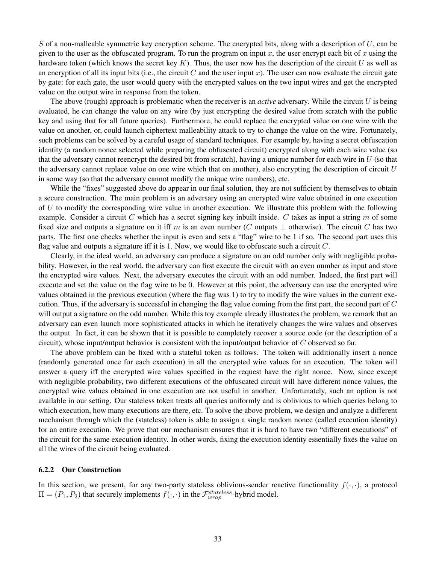S of a non-malleable symmetric key encryption scheme. The encrypted bits, along with a description of  $U$ , can be given to the user as the obfuscated program. To run the program on input x, the user encrypt each bit of x using the hardware token (which knows the secret key K). Thus, the user now has the description of the circuit U as well as an encryption of all its input bits (i.e., the circuit C and the user input x). The user can now evaluate the circuit gate by gate: for each gate, the user would query with the encrypted values on the two input wires and get the encrypted value on the output wire in response from the token.

The above (rough) approach is problematic when the receiver is an *active* adversary. While the circuit U is being evaluated, he can change the value on any wire (by just encrypting the desired value from scratch with the public key and using that for all future queries). Furthermore, he could replace the encrypted value on one wire with the value on another, or, could launch ciphertext malleability attack to try to change the value on the wire. Fortunately, such problems can be solved by a careful usage of standard techniques. For example by, having a secret obfuscation identity (a random nonce selected while preparing the obfuscated circuit) encrypted along with each wire value (so that the adversary cannot reencrypt the desired bit from scratch), having a unique number for each wire in  $U$  (so that the adversary cannot replace value on one wire which that on another), also encrypting the description of circuit U in some way (so that the adversary cannot modify the unique wire numbers), etc.

While the "fixes" suggested above do appear in our final solution, they are not sufficient by themselves to obtain a secure construction. The main problem is an adversary using an encrypted wire value obtained in one execution of  $U$  to modify the corresponding wire value in another execution. We illustrate this problem with the following example. Consider a circuit C which has a secret signing key inbuilt inside. C takes as input a string  $m$  of some fixed size and outputs a signature on it iff m is an even number (C outputs  $\perp$  otherwise). The circuit C has two parts. The first one checks whether the input is even and sets a "flag" wire to be 1 if so. The second part uses this flag value and outputs a signature iff it is 1. Now, we would like to obfuscate such a circuit C.

Clearly, in the ideal world, an adversary can produce a signature on an odd number only with negligible probability. However, in the real world, the adversary can first execute the circuit with an even number as input and store the encrypted wire values. Next, the adversary executes the circuit with an odd number. Indeed, the first part will execute and set the value on the flag wire to be 0. However at this point, the adversary can use the encrypted wire values obtained in the previous execution (where the flag was 1) to try to modify the wire values in the current execution. Thus, if the adversary is successful in changing the flag value coming from the first part, the second part of  $C$ will output a signature on the odd number. While this toy example already illustrates the problem, we remark that an adversary can even launch more sophisticated attacks in which he iteratively changes the wire values and observes the output. In fact, it can be shown that it is possible to completely recover a source code (or the description of a circuit), whose input/output behavior is consistent with the input/output behavior of  $C$  observed so far.

The above problem can be fixed with a stateful token as follows. The token will additionally insert a nonce (randomly generated once for each execution) in all the encrypted wire values for an execution. The token will answer a query iff the encrypted wire values specified in the request have the right nonce. Now, since except with negligible probability, two different executions of the obfuscated circuit will have different nonce values, the encrypted wire values obtained in one execution are not useful in another. Unfortunately, such an option is not available in our setting. Our stateless token treats all queries uniformly and is oblivious to which queries belong to which execution, how many executions are there, etc. To solve the above problem, we design and analyze a different mechanism through which the (stateless) token is able to assign a single random nonce (called execution identity) for an entire execution. We prove that our mechanism ensures that it is hard to have two "different executions" of the circuit for the same execution identity. In other words, fixing the execution identity essentially fixes the value on all the wires of the circuit being evaluated.

#### 6.2.2 Our Construction

In this section, we present, for any two-party stateless oblivious-sender reactive functionality  $f(\cdot, \cdot)$ , a protocol  $\Pi = (P_1, P_2)$  that securely implements  $f(\cdot, \cdot)$  in the  $\mathcal{F}^{stateless}_{wrap}$ -hybrid model.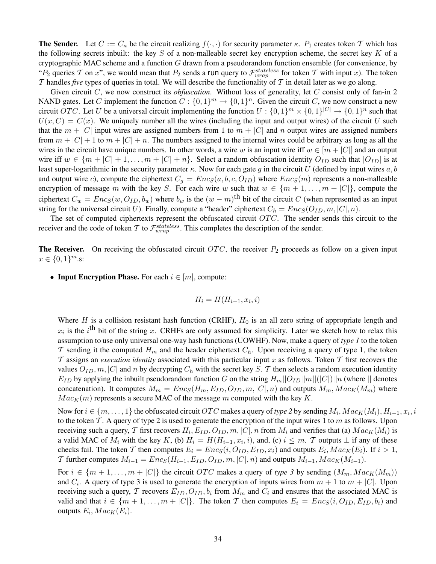**The Sender.** Let  $C := C_{\kappa}$  be the circuit realizing  $f(\cdot, \cdot)$  for security parameter  $\kappa$ .  $P_1$  creates token T which has the following secrets inbuilt: the key  $S$  of a non-malleable secret key encryption scheme, the secret key  $K$  of a cryptographic MAC scheme and a function  $G$  drawn from a pseudorandom function ensemble (for convenience, by " $P_2$  queries T on x", we would mean that  $P_2$  sends a run query to  $\mathcal{F}^{stateless}_{wrap}$  for token T with input x). The token  $T$  handles *five* types of queries in total. We will describe the functionality of  $T$  in detail later as we go along.

Given circuit C, we now construct its *obfuscation*. Without loss of generality, let C consist only of fan-in 2 NAND gates. Let C implement the function  $C: \{0,1\}^m \to \{0,1\}^n$ . Given the circuit C, we now construct a new circuit OTC. Let U be a universal circuit implementing the function  $U: \{0,1\}^m \times \{0,1\}^{|C|} \to \{0,1\}^n$  such that  $U(x, C) = C(x)$ . We uniquely number all the wires (including the input and output wires) of the circuit U such that the  $m + |C|$  input wires are assigned numbers from 1 to  $m + |C|$  and n output wires are assigned numbers from  $m + |C| + 1$  to  $m + |C| + n$ . The numbers assigned to the internal wires could be arbitrary as long as all the wires in the circuit have unique numbers. In other words, a wire w is an input wire iff  $w \in [m + |C|]$  and an output wire iff  $w \in \{m + |C| + 1, \ldots, m + |C| + n\}$ . Select a random obfuscation identity  $O_{ID}$  such that  $|O_{ID}|$  is at least super-logarithmic in the security parameter  $\kappa$ . Now for each gate g in the circuit U (defined by input wires a, b and output wire c), compute the ciphertext  $C_g = Enc_S(a, b, c, O_{ID})$  where  $Enc_S(m)$  represents a non-malleable encryption of message m with the key S. For each wire w such that  $w \in \{m+1,\ldots,m+|C|\}$ , compute the ciphertext  $C_w = Enc_S(w, O_{ID}, b_w)$  where  $b_w$  is the  $(w - m)$ <sup>th</sup> bit of the circuit C (when represented as an input string for the universal circuit U). Finally, compute a "header" ciphertext  $C_h = Enc_S(O_{ID}, m, |C|, n)$ .

The set of computed ciphertexts represent the obfuscated circuit  $OTC$ . The sender sends this circuit to the receiver and the code of token T to  $\mathcal{F}^{stateless}_{wrap}$ . This completes the description of the sender.

The Receiver. On receiving the obfuscated circuit  $OTC$ , the receiver  $P_2$  proceeds as follow on a given input  $x \in \{0,1\}^m$ .s:

• Input Encryption Phase. For each  $i \in [m]$ , compute:

$$
H_i = H(H_{i-1}, x_i, i)
$$

Where H is a collision resistant hash function (CRHF),  $H_0$  is an all zero string of appropriate length and  $x_i$  is the i<sup>th</sup> bit of the string x. CRHFs are only assumed for simplicity. Later we sketch how to relax this assumption to use only universal one-way hash functions (UOWHF). Now, make a query of *type 1* to the token T sending it the computed  $H_m$  and the header ciphertext  $C_h$ . Upon receiving a query of type 1, the token  $\tau$  assigns an *execution identity* associated with this particular input  $x$  as follows. Token  $\tau$  first recovers the values  $O_{ID}, m, |C|$  and n by decrypting  $C_h$  with the secret key S. T then selects a random execution identity  $E_{ID}$  by applying the inbuilt pseudorandom function G on the string  $H_m||O_{ID}||m||(|C|)||n$  (where  $||$  denotes concatenation). It computes  $M_m = Enc_S(H_m, E_{ID}, O_{ID}, m, |C|, n)$  and outputs  $M_m, Mac_K(M_m)$  where  $Mac<sub>K</sub>(m)$  represents a secure MAC of the message m computed with the key K.

Now for  $i \in \{m, \ldots, 1\}$  the obfuscated circuit  $OTC$  makes a query of *type* 2 by sending  $M_i, Mac_K(M_i), H_{i-1}, x_i, i$ to the token T. A query of type 2 is used to generate the encryption of the input wires 1 to m as follows. Upon receiving such a query, T first recovers  $H_i$ ,  $E_{ID}$ ,  $O_{ID}$ ,  $m$ ,  $|C|$ ,  $n$  from  $M_i$  and verifies that (a)  $Mac_K(M_i)$  is a valid MAC of  $M_i$  with the key  $K$ , (b)  $H_i = H(H_{i-1}, x_i, i)$ , and, (c)  $i \leq m$ . T outputs  $\perp$  if any of these checks fail. The token T then computes  $E_i = Enc_S(i, O_{ID}, E_{ID}, x_i)$  and outputs  $E_i, Mac_K(E_i)$ . If  $i > 1$ , T further computes  $M_{i-1} = Enc_S(H_{i-1}, E_{ID}, O_{ID}, m, |C|, n)$  and outputs  $M_{i-1}, Mac_K(M_{i-1}).$ 

For  $i \in \{m+1,\ldots,m+|C|\}$  the circuit OTC makes a query of *type 3* by sending  $(M_m, Mac_K(M_m))$ and  $C_i$ . A query of type 3 is used to generate the encryption of inputs wires from  $m + 1$  to  $m + |C|$ . Upon receiving such a query, T recovers  $E_{ID}$ ,  $O_{ID}$ ,  $b_i$  from  $M_m$  and  $C_i$  and ensures that the associated MAC is valid and that  $i \in \{m+1,\ldots,m+|C|\}$ . The token T then computes  $E_i = Enc_S(i, O_{ID}, E_{ID}, b_i)$  and outputs  $E_i$ ,  $Mac_K(E_i)$ .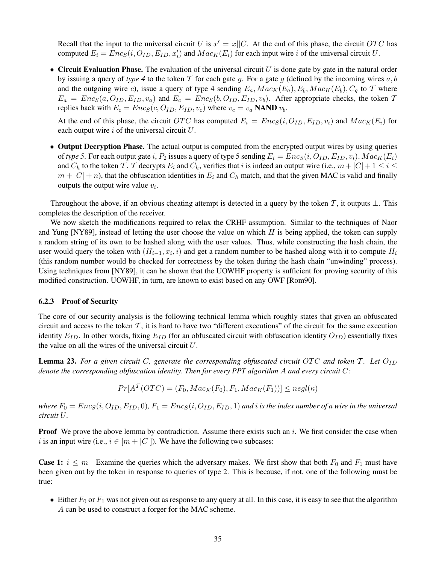Recall that the input to the universal circuit U is  $x' = x||C$ . At the end of this phase, the circuit OTC has computed  $E_i = Enc_S(i, O_{ID}, E_{ID}, x'_i)$  and  $Mac_K(E_i)$  for each input wire i of the universal circuit U.

• Circuit Evaluation Phase. The evaluation of the universal circuit  $U$  is done gate by gate in the natural order by issuing a query of *type 4* to the token  $T$  for each gate g. For a gate g (defined by the incoming wires  $a, b$ and the outgoing wire c), issue a query of type 4 sending  $E_a$ ,  $Mac_K(E_a)$ ,  $E_b$ ,  $Mac_K(E_b)$ ,  $C_q$  to T where  $E_a = Enc_S(a, O_{ID}, E_{ID}, v_a)$  and  $E_c = Enc_S(b, O_{ID}, E_{ID}, v_b)$ . After appropriate checks, the token T replies back with  $E_c = Enc_S(c, O_{ID}, E_{ID}, v_c)$  where  $v_c = v_a$  **NAND**  $v_b$ .

At the end of this phase, the circuit OTC has computed  $E_i = Enc_S(i, O_{ID}, E_{ID}, v_i)$  and  $Mac_K(E_i)$  for each output wire  $i$  of the universal circuit  $U$ .

• Output Decryption Phase. The actual output is computed from the encrypted output wires by using queries of *type* 5. For each output gate i,  $P_2$  issues a query of type 5 sending  $E_i = Enc_S(i, O_{ID}, E_{ID}, v_i)$ ,  $Mac_K(E_i)$ and  $C_h$  to the token T. T decrypts  $E_i$  and  $C_h$ , verifies that i is indeed an output wire (i.e.,  $m + |C| + 1 \le i \le n$  $m + |C| + n$ , that the obfuscation identities in  $E_i$  and  $C_h$  match, and that the given MAC is valid and finally outputs the output wire value  $v_i$ .

Throughout the above, if an obvious cheating attempt is detected in a query by the token T, it outputs  $\perp$ . This completes the description of the receiver.

We now sketch the modifications required to relax the CRHF assumption. Similar to the techniques of Naor and Yung [NY89], instead of letting the user choose the value on which  $H$  is being applied, the token can supply a random string of its own to be hashed along with the user values. Thus, while constructing the hash chain, the user would query the token with  $(H_{i-1}, x_i, i)$  and get a random number to be hashed along with it to compute  $H_i$ (this random number would be checked for correctness by the token during the hash chain "unwinding" process). Using techniques from [NY89], it can be shown that the UOWHF property is sufficient for proving security of this modified construction. UOWHF, in turn, are known to exist based on any OWF [Rom90].

#### 6.2.3 Proof of Security

The core of our security analysis is the following technical lemma which roughly states that given an obfuscated circuit and access to the token  $\mathcal{T}$ , it is hard to have two "different executions" of the circuit for the same execution identity  $E_{ID}$ . In other words, fixing  $E_{ID}$  (for an obfuscated circuit with obfuscation identity  $O_{ID}$ ) essentially fixes the value on all the wires of the universal circuit  $U$ .

**Lemma 23.** For a given circuit C, generate the corresponding obfuscated circuit OTC and token T. Let  $O_{ID}$ *denote the corresponding obfuscation identity. Then for every PPT algorithm* A *and every circuit* C*:*

$$
Pr[AT(OTC) = (F_0, Mac_K(F_0), F_1, Mac_K(F_1))] \leq negl(\kappa)
$$

*where*  $F_0 = Enc_S(i, O_{ID}, E_{ID}, 0)$ ,  $F_1 = Enc_S(i, O_{ID}, E_{ID}, 1)$  *and i is the index number of a wire in the universal circuit* U*.*

**Proof** We prove the above lemma by contradiction. Assume there exists such an  $i$ . We first consider the case when i is an input wire (i.e.,  $i \in [m + |C|]$ ). We have the following two subcases:

**Case 1:**  $i \leq m$  Examine the queries which the adversary makes. We first show that both  $F_0$  and  $F_1$  must have been given out by the token in response to queries of type 2. This is because, if not, one of the following must be true:

• Either  $F_0$  or  $F_1$  was not given out as response to any query at all. In this case, it is easy to see that the algorithm A can be used to construct a forger for the MAC scheme.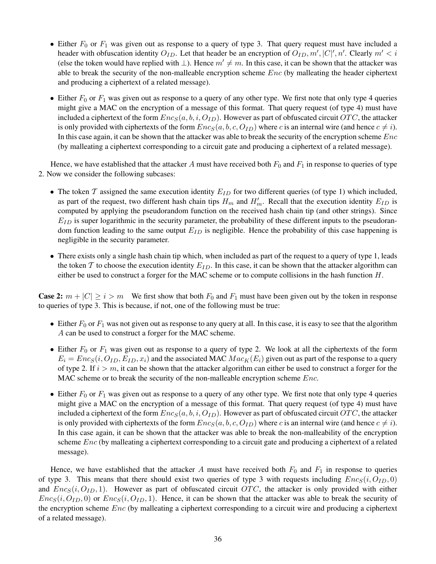- Either  $F_0$  or  $F_1$  was given out as response to a query of type 3. That query request must have included a header with obfuscation identity  $O_{ID}$ . Let that header be an encryption of  $O_{ID}, m', |C|', n'$ . Clearly  $m' < i$ (else the token would have replied with  $\perp$ ). Hence  $m' \neq m$ . In this case, it can be shown that the attacker was able to break the security of the non-malleable encryption scheme  $Enc$  (by malleating the header ciphertext and producing a ciphertext of a related message).
- Either  $F_0$  or  $F_1$  was given out as response to a query of any other type. We first note that only type 4 queries might give a MAC on the encryption of a message of this format. That query request (of type 4) must have included a ciphertext of the form  $Enc_S(a, b, i, O_{ID})$ . However as part of obfuscated circuit  $OTC$ , the attacker is only provided with ciphertexts of the form  $Enc_S(a, b, c, O_{ID})$  where c is an internal wire (and hence  $c \neq i$ ). In this case again, it can be shown that the attacker was able to break the security of the encryption scheme  $Enc$ (by malleating a ciphertext corresponding to a circuit gate and producing a ciphertext of a related message).

Hence, we have established that the attacker A must have received both  $F_0$  and  $F_1$  in response to queries of type 2. Now we consider the following subcases:

- The token  $\mathcal T$  assigned the same execution identity  $E_{ID}$  for two different queries (of type 1) which included, as part of the request, two different hash chain tips  $H_m$  and  $H'_m$ . Recall that the execution identity  $E_{ID}$  is computed by applying the pseudorandom function on the received hash chain tip (and other strings). Since  $E_{ID}$  is super logarithmic in the security parameter, the probability of these different inputs to the pseudorandom function leading to the same output  $E_{ID}$  is negligible. Hence the probability of this case happening is negligible in the security parameter.
- There exists only a single hash chain tip which, when included as part of the request to a query of type 1, leads the token T to choose the execution identity  $E_{ID}$ . In this case, it can be shown that the attacker algorithm can either be used to construct a forger for the MAC scheme or to compute collisions in the hash function  $H$ .

**Case 2:**  $m + |C| \ge i > m$  We first show that both  $F_0$  and  $F_1$  must have been given out by the token in response to queries of type 3. This is because, if not, one of the following must be true:

- Either  $F_0$  or  $F_1$  was not given out as response to any query at all. In this case, it is easy to see that the algorithm A can be used to construct a forger for the MAC scheme.
- Either  $F_0$  or  $F_1$  was given out as response to a query of type 2. We look at all the ciphertexts of the form  $E_i = Enc_S(i, O_{ID}, E_{ID}, x_i)$  and the associated MAC  $Mac_K(E_i)$  given out as part of the response to a query of type 2. If  $i > m$ , it can be shown that the attacker algorithm can either be used to construct a forger for the MAC scheme or to break the security of the non-malleable encryption scheme  $Enc$ .
- Either  $F_0$  or  $F_1$  was given out as response to a query of any other type. We first note that only type 4 queries might give a MAC on the encryption of a message of this format. That query request (of type 4) must have included a ciphertext of the form  $Enc_S(a, b, i, O_{ID})$ . However as part of obfuscated circuit  $OTC$ , the attacker is only provided with ciphertexts of the form  $Enc_S(a, b, c, O_{ID})$  where c is an internal wire (and hence  $c \neq i$ ). In this case again, it can be shown that the attacker was able to break the non-malleability of the encryption scheme *Enc* (by malleating a ciphertext corresponding to a circuit gate and producing a ciphertext of a related message).

Hence, we have established that the attacker A must have received both  $F_0$  and  $F_1$  in response to queries of type 3. This means that there should exist two queries of type 3 with requests including  $Enc_S(i, O_{ID}, 0)$ and  $Enc_S(i, O_{ID}, 1)$ . However as part of obfuscated circuit OTC, the attacker is only provided with either  $Enc_S(i, O_{ID}, 0)$  or  $Enc_S(i, O_{ID}, 1)$ . Hence, it can be shown that the attacker was able to break the security of the encryption scheme *Enc* (by malleating a ciphertext corresponding to a circuit wire and producing a ciphertext of a related message).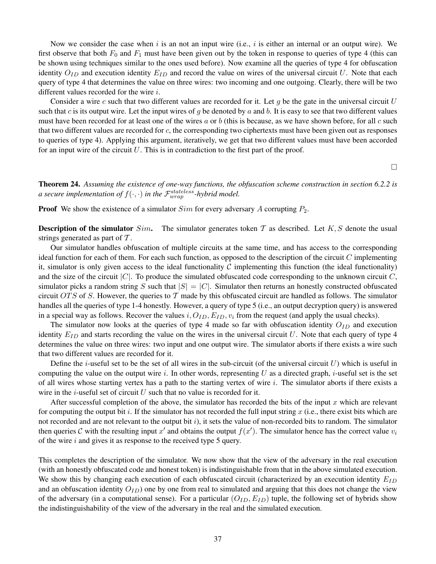Now we consider the case when  $i$  is an not an input wire (i.e.,  $i$  is either an internal or an output wire). We first observe that both  $F_0$  and  $F_1$  must have been given out by the token in response to queries of type 4 (this can be shown using techniques similar to the ones used before). Now examine all the queries of type 4 for obfuscation identity  $O_{ID}$  and execution identity  $E_{ID}$  and record the value on wires of the universal circuit U. Note that each query of type 4 that determines the value on three wires: two incoming and one outgoing. Clearly, there will be two different values recorded for the wire i.

Consider a wire c such that two different values are recorded for it. Let g be the gate in the universal circuit  $U$ such that c is its output wire. Let the input wires of g be denoted by a and b. It is easy to see that two different values must have been recorded for at least one of the wires a or b (this is because, as we have shown before, for all c such that two different values are recorded for  $c$ , the corresponding two ciphertexts must have been given out as responses to queries of type 4). Applying this argument, iteratively, we get that two different values must have been accorded for an input wire of the circuit  $U$ . This is in contradiction to the first part of the proof.

 $\Box$ 

Theorem 24. *Assuming the existence of one-way functions, the obfuscation scheme construction in section 6.2.2 is a secure implementation of*  $f(\cdot, \cdot)$  *in the*  $\mathcal{F}^{stateless}_{wrap}$ *-hybrid model.* 

**Proof** We show the existence of a simulator  $Sim$  for every adversary A corrupting  $P_2$ .

**Description of the simulator** Sim. The simulator generates token T as described. Let K, S denote the usual strings generated as part of  $\mathcal T$ .

Our simulator handles obfuscation of multiple circuits at the same time, and has access to the corresponding ideal function for each of them. For each such function, as opposed to the description of the circuit  $C$  implementing it, simulator is only given access to the ideal functionality  $\mathcal C$  implementing this function (the ideal functionality) and the size of the circuit  $|C|$ . To produce the simulated obfuscated code corresponding to the unknown circuit C, simulator picks a random string S such that  $|S| = |C|$ . Simulator then returns an honestly constructed obfuscated circuit OTS of S. However, the queries to T made by this obfuscated circuit are handled as follows. The simulator handles all the queries of type 1-4 honestly. However, a query of type 5 (i.e., an output decryption query) is answered in a special way as follows. Recover the values  $i, O_{ID}, E_{ID}, v_i$  from the request (and apply the usual checks).

The simulator now looks at the queries of type 4 made so far with obfuscation identity  $O_{ID}$  and execution identity  $E_{ID}$  and starts recording the value on the wires in the universal circuit U. Note that each query of type 4 determines the value on three wires: two input and one output wire. The simulator aborts if there exists a wire such that two different values are recorded for it.

Define the *i*-useful set to be the set of all wires in the sub-circuit (of the universal circuit  $U$ ) which is useful in computing the value on the output wire  $i$ . In other words, representing  $U$  as a directed graph,  $i$ -useful set is the set of all wires whose starting vertex has a path to the starting vertex of wire  $i$ . The simulator aborts if there exists a wire in the *i*-useful set of circuit  $U$  such that no value is recorded for it.

After successful completion of the above, the simulator has recorded the bits of the input x which are relevant for computing the output bit i. If the simulator has not recorded the full input string  $x$  (i.e., there exist bits which are not recorded and are not relevant to the output bit  $i$ ), it sets the value of non-recorded bits to random. The simulator then queries C with the resulting input x' and obtains the output  $f(x')$ . The simulator hence has the correct value  $v_i$ of the wire i and gives it as response to the received type 5 query.

This completes the description of the simulator. We now show that the view of the adversary in the real execution (with an honestly obfuscated code and honest token) is indistinguishable from that in the above simulated execution. We show this by changing each execution of each obfuscated circuit (characterized by an execution identity  $E_{ID}$ and an obfuscation identity  $O_{ID}$ ) one by one from real to simulated and arguing that this does not change the view of the adversary (in a computational sense). For a particular  $(O_{ID}, E_{ID})$  tuple, the following set of hybrids show the indistinguishability of the view of the adversary in the real and the simulated execution.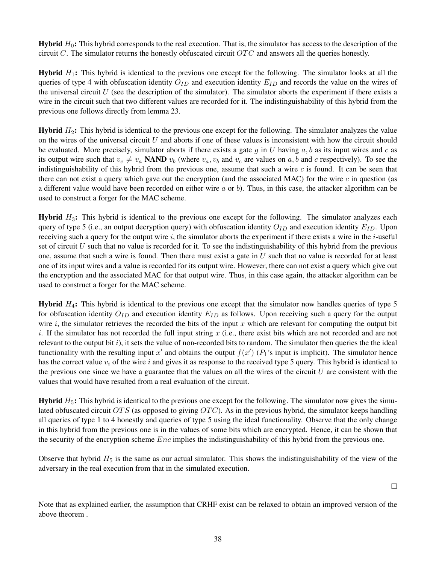**Hybrid**  $H_0$ : This hybrid corresponds to the real execution. That is, the simulator has access to the description of the circuit C. The simulator returns the honestly obfuscated circuit  $OTC$  and answers all the queries honestly.

**Hybrid**  $H_1$ : This hybrid is identical to the previous one except for the following. The simulator looks at all the queries of type 4 with obfuscation identity  $O_{ID}$  and execution identity  $E_{ID}$  and records the value on the wires of the universal circuit  $U$  (see the description of the simulator). The simulator aborts the experiment if there exists a wire in the circuit such that two different values are recorded for it. The indistinguishability of this hybrid from the previous one follows directly from lemma 23.

**Hybrid**  $H_2$ : This hybrid is identical to the previous one except for the following. The simulator analyzes the value on the wires of the universal circuit  $U$  and aborts if one of these values is inconsistent with how the circuit should be evaluated. More precisely, simulator aborts if there exists a gate q in U having  $a, b$  as its input wires and c as its output wire such that  $v_c \neq v_a$  NAND  $v_b$  (where  $v_a, v_b$  and  $v_c$  are values on  $a, b$  and  $c$  respectively). To see the indistinguishability of this hybrid from the previous one, assume that such a wire  $c$  is found. It can be seen that there can not exist a query which gave out the encryption (and the associated MAC) for the wire  $c$  in question (as a different value would have been recorded on either wire  $a$  or  $b$ ). Thus, in this case, the attacker algorithm can be used to construct a forger for the MAC scheme.

**Hybrid**  $H_3$ : This hybrid is identical to the previous one except for the following. The simulator analyzes each query of type 5 (i.e., an output decryption query) with obfuscation identity  $O_{ID}$  and execution identity  $E_{ID}$ . Upon receiving such a query for the output wire i, the simulator aborts the experiment if there exists a wire in the  $i$ -useful set of circuit  $U$  such that no value is recorded for it. To see the indistinguishability of this hybrid from the previous one, assume that such a wire is found. Then there must exist a gate in  $U$  such that no value is recorded for at least one of its input wires and a value is recorded for its output wire. However, there can not exist a query which give out the encryption and the associated MAC for that output wire. Thus, in this case again, the attacker algorithm can be used to construct a forger for the MAC scheme.

**Hybrid**  $H_4$ : This hybrid is identical to the previous one except that the simulator now handles queries of type 5 for obfuscation identity  $O_{ID}$  and execution identity  $E_{ID}$  as follows. Upon receiving such a query for the output wire  $i$ , the simulator retrieves the recorded the bits of the input  $x$  which are relevant for computing the output bit i. If the simulator has not recorded the full input string  $x$  (i.e., there exist bits which are not recorded and are not relevant to the output bit  $i$ ), it sets the value of non-recorded bits to random. The simulator then queries the the ideal functionality with the resulting input  $x'$  and obtains the output  $f(x')$  ( $P_1$ 's input is implicit). The simulator hence has the correct value  $v_i$  of the wire i and gives it as response to the received type 5 query. This hybrid is identical to the previous one since we have a guarantee that the values on all the wires of the circuit  $U$  are consistent with the values that would have resulted from a real evaluation of the circuit.

**Hybrid**  $H_5$ : This hybrid is identical to the previous one except for the following. The simulator now gives the simulated obfuscated circuit  $OTS$  (as opposed to giving  $OTC$ ). As in the previous hybrid, the simulator keeps handling all queries of type 1 to 4 honestly and queries of type 5 using the ideal functionality. Observe that the only change in this hybrid from the previous one is in the values of some bits which are encrypted. Hence, it can be shown that the security of the encryption scheme  $Enc$  implies the indistinguishability of this hybrid from the previous one.

Observe that hybrid  $H_5$  is the same as our actual simulator. This shows the indistinguishability of the view of the adversary in the real execution from that in the simulated execution.

 $\Box$ 

Note that as explained earlier, the assumption that CRHF exist can be relaxed to obtain an improved version of the above theorem .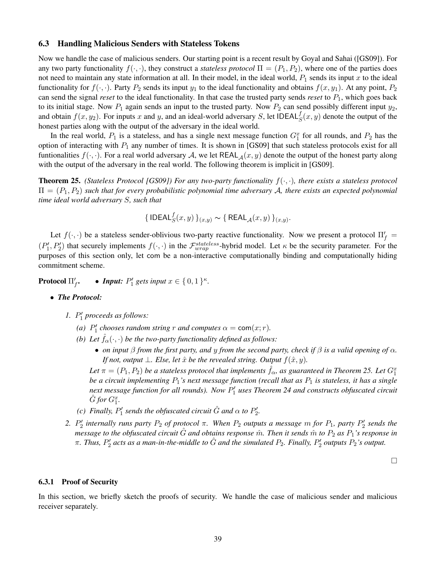#### 6.3 Handling Malicious Senders with Stateless Tokens

Now we handle the case of malicious senders. Our starting point is a recent result by Goyal and Sahai ([GS09]). For any two party functionality  $f(\cdot, \cdot)$ , they construct a *stateless protocol*  $\Pi = (P_1, P_2)$ , where one of the parties does not need to maintain any state information at all. In their model, in the ideal world,  $P_1$  sends its input x to the ideal functionality for  $f(\cdot, \cdot)$ . Party  $P_2$  sends its input  $y_1$  to the ideal functionality and obtains  $f(x, y_1)$ . At any point,  $P_2$ can send the signal *reset* to the ideal functionality. In that case the trusted party sends *reset* to  $P_1$ , which goes back to its initial stage. Now  $P_1$  again sends an input to the trusted party. Now  $P_2$  can send possibly different input  $y_2$ , and obtain  $f(x, y_2)$ . For inputs x and y, and an ideal-world adversary S, let IDEAL $f(x, y)$  denote the output of the honest parties along with the output of the adversary in the ideal world.

In the real world,  $P_1$  is a stateless, and has a single next message function  $G_1^x$  for all rounds, and  $P_2$  has the option of interacting with  $P_1$  any number of times. It is shown in [GS09] that such stateless protocols exist for all funtionalities  $f(\cdot, \cdot)$ . For a real world adversary A, we let REAL  $_A(x, y)$  denote the output of the honest party along with the output of the adversary in the real world. The following theorem is implicit in [GS09].

**Theorem 25.** *(Stateless Protocol [GS09]) For any two-party functionality*  $f(\cdot, \cdot)$ *, there exists a stateless protocol*  $\Pi = (P_1, P_2)$  such that for every probabilistic polynomial time adversary A, there exists an expected polynomial *time ideal world adversary* S*, such that*

$$
\{ \text{IDEAL}_S^f(x, y) \}_{(x, y)} \sim \{ \text{REAL}_{\mathcal{A}}(x, y) \}_{(x, y)}.
$$

Let  $f(\cdot, \cdot)$  be a stateless sender-oblivious two-party reactive functionality. Now we present a protocol  $\Pi'_f$  $(P'_1, P'_2)$  that securely implements  $f(\cdot, \cdot)$  in the  $\mathcal{F}^{stateless}_{wrap}$ -hybrid model. Let  $\kappa$  be the security parameter. For the purposes of this section only, let com be a non-interactive computationally binding and computationally hiding commitment scheme.

Protocol  $\Pi_f'$ **.** • **Input:**  $P'_1$  gets input  $x \in \{0, 1\}^{\kappa}$ .

- *The Protocol:*
	- *1.*  $P'_1$  proceeds as follows:
		- (*a*)  $P'_1$  *chooses random string r and computes*  $\alpha = \text{com}(x; r)$ *.*
		- *(b)* Let  $\hat{f}_{\alpha}(\cdot,\cdot)$  *be the two-party functionality defined as follows:* 
			- *on input*  $\beta$  *from the first party, and y from the second party, check if*  $\beta$  *is a valid opening of*  $\alpha$ *. If not, output*  $\perp$ *. Else, let*  $\hat{x}$  *be the revealed string. Output*  $f(\hat{x}, y)$ *.*

Let  $\pi=(P_1,P_2)$  be a stateless protocol that implements  $\hat f_\alpha$ , as guaranteed in Theorem 25. Let  $G_1^x$ *be a circuit implementing*  $P_1$ *'s next message function (recall that as*  $P_1$  *is stateless, it has a single* next message function for all rounds). Now  $P'_1$  uses Theorem 24 and constructs obfuscated circuit  $\hat{G}$  for  $G_1^x$ .

- (c) Finally,  $P'_1$  sends the obfuscated circuit  $\hat{G}$  and  $\alpha$  to  $P'_2$ .
- **2.**  $P'_2$  internally runs party  $P_2$  of protocol π. When  $P_2$  outputs a message m for  $P_1$ , party  $P'_2$  sends the *message to the obfuscated circuit*  $\ddot{G}$  *and obtains response*  $\hat{m}$ *. Then it sends*  $\hat{m}$  *to*  $P_2$  *as*  $P_1$ *'s response in*  $\pi$ . Thus,  $P'_2$  acts as a man-in-the-middle to  $\hat{G}$  and the simulated  $P_2$ . Finally,  $P'_2$  outputs  $P_2$ 's output.

 $\Box$ 

#### 6.3.1 Proof of Security

In this section, we briefly sketch the proofs of security. We handle the case of malicious sender and malicious receiver separately.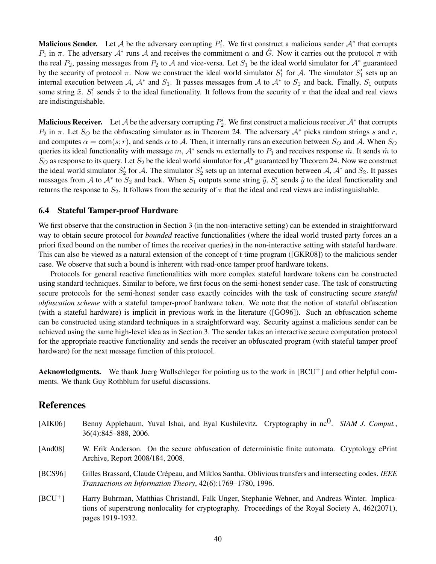**Malicious Sender.** Let A be the adversary corrupting  $P'_1$ . We first construct a malicious sender  $A^*$  that corrupts  $P_1$  in  $\pi$ . The adversary  $\mathcal{A}^*$  runs  $\mathcal A$  and receives the commitment  $\alpha$  and  $\hat G$ . Now it carries out the protocol  $\pi$  with the real  $P_2$ , passing messages from  $P_2$  to A and vice-versa. Let  $S_1$  be the ideal world simulator for  $A^*$  guaranteed by the security of protocol  $\pi$ . Now we construct the ideal world simulator  $S'_1$  for A. The simulator  $S'_1$  sets up an internal execution between A,  $A^*$  and  $S_1$ . It passes messages from A to  $A^*$  to  $S_1$  and back. Finally,  $S_1$  outputs some string  $\tilde{x}$ .  $S'_1$  sends  $\tilde{x}$  to the ideal functionality. It follows from the security of  $\pi$  that the ideal and real views are indistinguishable.

**Malicious Receiver.** Let A be the adversary corrupting  $P'_2$ . We first construct a malicious receiver  $A^*$  that corrupts  $P_2$  in  $\pi$ . Let  $S_O$  be the obfuscating simulator as in Theorem 24. The adversary  $A^*$  picks random strings s and r, and computes  $\alpha = \text{com}(s; r)$ , and sends  $\alpha$  to A. Then, it internally runs an execution between  $S_O$  and A. When  $S_O$ queries its ideal functionality with message m,  $A^*$  sends m externally to  $P_1$  and receives response  $\hat{m}$ . It sends  $\hat{m}$  to S<sub>O</sub> as response to its query. Let S<sub>2</sub> be the ideal world simulator for  $A^*$  guaranteed by Theorem 24. Now we construct the ideal world simulator  $S'_2$  for A. The simulator  $S'_2$  sets up an internal execution between A,  $A^*$  and  $S_2$ . It passes messages from A to  $A^*$  to  $S_2$  and back. When  $S_1$  outputs some string  $\tilde{y}$ ,  $S'_1$  sends  $\tilde{y}$  to the ideal functionality and returns the response to  $S_2$ . It follows from the security of  $\pi$  that the ideal and real views are indistinguishable.

#### 6.4 Stateful Tamper-proof Hardware

We first observe that the construction in Section 3 (in the non-interactive setting) can be extended in straightforward way to obtain secure protocol for *bounded* reactive functionalities (where the ideal world trusted party forces an a priori fixed bound on the number of times the receiver queries) in the non-interactive setting with stateful hardware. This can also be viewed as a natural extension of the concept of t-time program ([GKR08]) to the malicious sender case. We observe that such a bound is inherent with read-once tamper proof hardware tokens.

Protocols for general reactive functionalities with more complex stateful hardware tokens can be constructed using standard techniques. Similar to before, we first focus on the semi-honest sender case. The task of constructing secure protocols for the semi-honest sender case exactly coincides with the task of constructing secure *stateful obfuscation scheme* with a stateful tamper-proof hardware token. We note that the notion of stateful obfuscation (with a stateful hardware) is implicit in previous work in the literature ([GO96]). Such an obfuscation scheme can be constructed using standard techniques in a straightforward way. Security against a malicious sender can be achieved using the same high-level idea as in Section 3. The sender takes an interactive secure computation protocol for the appropriate reactive functionality and sends the receiver an obfuscated program (with stateful tamper proof hardware) for the next message function of this protocol.

Acknowledgments. We thank Juerg Wullschleger for pointing us to the work in [BCU<sup>+</sup>] and other helpful comments. We thank Guy Rothblum for useful discussions.

## References

| [AIK06]     | Benny Applebaum, Yuval Ishai, and Eyal Kushilevitz. Cryptography in nc <sup>0</sup> . SIAM J. Comput.,<br>36(4):845-888, 2006.                                                                                          |
|-------------|-------------------------------------------------------------------------------------------------------------------------------------------------------------------------------------------------------------------------|
| [And $08$ ] | W. Erik Anderson. On the secure obfuscation of deterministic finite automata. Cryptology ePrint<br>Archive, Report 2008/184, 2008.                                                                                      |
| [BCS96]     | Gilles Brassard, Claude Crépeau, and Miklos Santha. Oblivious transfers and intersecting codes. IEEE<br>Transactions on Information Theory, 42(6):1769–1780, 1996.                                                      |
| $[BCU^+]$   | Harry Buhrman, Matthias Christandl, Falk Unger, Stephanie Wehner, and Andreas Winter. Implica-<br>tions of superstrong nonlocality for cryptography. Proceedings of the Royal Society A, 462(2071),<br>pages 1919-1932. |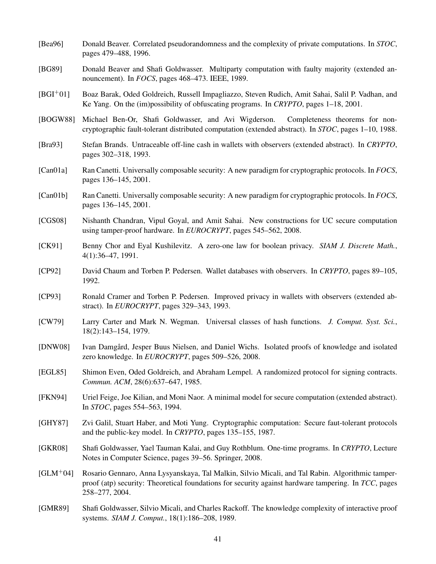[Bea96] Donald Beaver. Correlated pseudorandomness and the complexity of private computations. In *STOC*, pages 479–488, 1996. [BG89] Donald Beaver and Shafi Goldwasser. Multiparty computation with faulty majority (extended announcement). In *FOCS*, pages 468–473. IEEE, 1989. [BGI+01] Boaz Barak, Oded Goldreich, Russell Impagliazzo, Steven Rudich, Amit Sahai, Salil P. Vadhan, and Ke Yang. On the (im)possibility of obfuscating programs. In *CRYPTO*, pages 1–18, 2001. [BOGW88] Michael Ben-Or, Shafi Goldwasser, and Avi Wigderson. Completeness theorems for noncryptographic fault-tolerant distributed computation (extended abstract). In *STOC*, pages 1–10, 1988. [Bra93] Stefan Brands. Untraceable off-line cash in wallets with observers (extended abstract). In *CRYPTO*, pages 302–318, 1993. [Can01a] Ran Canetti. Universally composable security: A new paradigm for cryptographic protocols. In *FOCS*, pages 136–145, 2001. [Can01b] Ran Canetti. Universally composable security: A new paradigm for cryptographic protocols. In *FOCS*, pages 136–145, 2001. [CGS08] Nishanth Chandran, Vipul Goyal, and Amit Sahai. New constructions for UC secure computation using tamper-proof hardware. In *EUROCRYPT*, pages 545–562, 2008. [CK91] Benny Chor and Eyal Kushilevitz. A zero-one law for boolean privacy. *SIAM J. Discrete Math.*, 4(1):36–47, 1991. [CP92] David Chaum and Torben P. Pedersen. Wallet databases with observers. In *CRYPTO*, pages 89–105, 1992. [CP93] Ronald Cramer and Torben P. Pedersen. Improved privacy in wallets with observers (extended abstract). In *EUROCRYPT*, pages 329–343, 1993. [CW79] Larry Carter and Mark N. Wegman. Universal classes of hash functions. *J. Comput. Syst. Sci.*, 18(2):143–154, 1979. [DNW08] Ivan Damgård, Jesper Buus Nielsen, and Daniel Wichs. Isolated proofs of knowledge and isolated zero knowledge. In *EUROCRYPT*, pages 509–526, 2008. [EGL85] Shimon Even, Oded Goldreich, and Abraham Lempel. A randomized protocol for signing contracts. *Commun. ACM*, 28(6):637–647, 1985. [FKN94] Uriel Feige, Joe Kilian, and Moni Naor. A minimal model for secure computation (extended abstract). In *STOC*, pages 554–563, 1994. [GHY87] Zvi Galil, Stuart Haber, and Moti Yung. Cryptographic computation: Secure faut-tolerant protocols and the public-key model. In *CRYPTO*, pages 135–155, 1987. [GKR08] Shafi Goldwasser, Yael Tauman Kalai, and Guy Rothblum. One-time programs. In *CRYPTO*, Lecture Notes in Computer Science, pages 39–56. Springer, 2008. [GLM+04] Rosario Gennaro, Anna Lysyanskaya, Tal Malkin, Silvio Micali, and Tal Rabin. Algorithmic tamperproof (atp) security: Theoretical foundations for security against hardware tampering. In *TCC*, pages 258–277, 2004. [GMR89] Shafi Goldwasser, Silvio Micali, and Charles Rackoff. The knowledge complexity of interactive proof systems. *SIAM J. Comput.*, 18(1):186–208, 1989.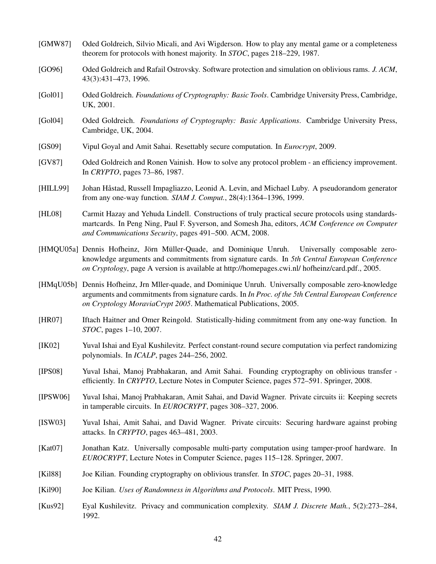- [GMW87] Oded Goldreich, Silvio Micali, and Avi Wigderson. How to play any mental game or a completeness theorem for protocols with honest majority. In *STOC*, pages 218–229, 1987.
- [GO96] Oded Goldreich and Rafail Ostrovsky. Software protection and simulation on oblivious rams. *J. ACM*, 43(3):431–473, 1996.
- [Gol01] Oded Goldreich. *Foundations of Cryptography: Basic Tools*. Cambridge University Press, Cambridge, UK, 2001.
- [Gol04] Oded Goldreich. *Foundations of Cryptography: Basic Applications*. Cambridge University Press, Cambridge, UK, 2004.
- [GS09] Vipul Goyal and Amit Sahai. Resettably secure computation. In *Eurocrypt*, 2009.
- [GV87] Oded Goldreich and Ronen Vainish. How to solve any protocol problem an efficiency improvement. In *CRYPTO*, pages 73–86, 1987.
- [HILL99] Johan Håstad, Russell Impagliazzo, Leonid A. Levin, and Michael Luby. A pseudorandom generator from any one-way function. *SIAM J. Comput.*, 28(4):1364–1396, 1999.

[HL08] Carmit Hazay and Yehuda Lindell. Constructions of truly practical secure protocols using standardsmartcards. In Peng Ning, Paul F. Syverson, and Somesh Jha, editors, *ACM Conference on Computer and Communications Security*, pages 491–500. ACM, 2008.

- [HMQU05a] Dennis Hofheinz, Jörn Müller-Quade, and Dominique Unruh. Universally composable zeroknowledge arguments and commitments from signature cards. In *5th Central European Conference on Cryptology*, page A version is available at http://homepages.cwi.nl/ hofheinz/card.pdf., 2005.
- [HMqU05b] Dennis Hofheinz, Jrn Mller-quade, and Dominique Unruh. Universally composable zero-knowledge arguments and commitments from signature cards. In *In Proc. of the 5th Central European Conference on Cryptology MoraviaCrypt 2005*. Mathematical Publications, 2005.
- [HR07] Iftach Haitner and Omer Reingold. Statistically-hiding commitment from any one-way function. In *STOC*, pages 1–10, 2007.
- [IK02] Yuval Ishai and Eyal Kushilevitz. Perfect constant-round secure computation via perfect randomizing polynomials. In *ICALP*, pages 244–256, 2002.
- [IPS08] Yuval Ishai, Manoj Prabhakaran, and Amit Sahai. Founding cryptography on oblivious transfer efficiently. In *CRYPTO*, Lecture Notes in Computer Science, pages 572–591. Springer, 2008.
- [IPSW06] Yuval Ishai, Manoj Prabhakaran, Amit Sahai, and David Wagner. Private circuits ii: Keeping secrets in tamperable circuits. In *EUROCRYPT*, pages 308–327, 2006.
- [ISW03] Yuval Ishai, Amit Sahai, and David Wagner. Private circuits: Securing hardware against probing attacks. In *CRYPTO*, pages 463–481, 2003.
- [Kat07] Jonathan Katz. Universally composable multi-party computation using tamper-proof hardware. In *EUROCRYPT*, Lecture Notes in Computer Science, pages 115–128. Springer, 2007.
- [Kil88] Joe Kilian. Founding cryptography on oblivious transfer. In *STOC*, pages 20–31, 1988.
- [Kil90] Joe Kilian. *Uses of Randomness in Algorithms and Protocols*. MIT Press, 1990.
- [Kus92] Eyal Kushilevitz. Privacy and communication complexity. *SIAM J. Discrete Math.*, 5(2):273–284, 1992.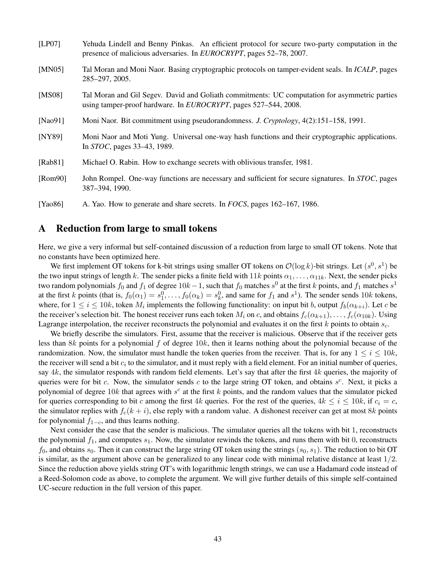| [LP07]      | Yehuda Lindell and Benny Pinkas. An efficient protocol for secure two-party computation in the<br>presence of malicious adversaries. In <i>EUROCRYPT</i> , pages 52–78, 2007. |
|-------------|-------------------------------------------------------------------------------------------------------------------------------------------------------------------------------|
| [MN05]      | Tal Moran and Moni Naor. Basing cryptographic protocols on tamper-evident seals. In <i>ICALP</i> , pages<br>285-297, 2005.                                                    |
| [MS08]      | Tal Moran and Gil Segev. David and Goliath commitments: UC computation for asymmetric parties<br>using tamper-proof hardware. In <i>EUROCRYPT</i> , pages 527–544, 2008.      |
| [Nao $91$ ] | Moni Naor. Bit commitment using pseudorandomness. J. Cryptology, 4(2):151–158, 1991.                                                                                          |
| [NY89]      | Moni Naor and Moti Yung. Universal one-way hash functions and their cryptographic applications.<br>In <i>STOC</i> , pages 33–43, 1989.                                        |
| [ $Rab81$ ] | Michael O. Rabin. How to exchange secrets with oblivious transfer, 1981.                                                                                                      |
| [Rom90]     | John Rompel. One-way functions are necessary and sufficient for secure signatures. In STOC, pages<br>387-394, 1990.                                                           |
|             |                                                                                                                                                                               |

[Yao86] A. Yao. How to generate and share secrets. In *FOCS*, pages 162–167, 1986.

## A Reduction from large to small tokens

Here, we give a very informal but self-contained discussion of a reduction from large to small OT tokens. Note that no constants have been optimized here.

We first implement OT tokens for k-bit strings using smaller OT tokens on  $\mathcal{O}(\log k)$ -bit strings. Let  $(s^0, s^1)$  be the two input strings of length k. The sender picks a finite field with  $11k$  points  $\alpha_1, \ldots, \alpha_{11k}$ . Next, the sender picks two random polynomials  $f_0$  and  $f_1$  of degree  $10k-1$ , such that  $f_0$  matches  $s^0$  at the first  $k$  points, and  $f_1$  matches  $s^1$ at the first k points (that is,  $f_0(\alpha_1) = s_1^0, \dots, f_0(\alpha_k) = s_k^0$ , and same for  $f_1$  and  $s^1$ ). The sender sends  $10k$  tokens, where, for  $1 \le i \le 10k$ , token  $M_i$  implements the following functionality: on input bit b, output  $f_b(\alpha_{k+i})$ . Let c be the receiver's selection bit. The honest receiver runs each token  $M_i$  on c, and obtains  $f_c(\alpha_{k+1}), \ldots, f_c(\alpha_{10k})$ . Using Lagrange interpolation, the receiver reconstructs the polynomial and evaluates it on the first  $k$  points to obtain  $s_c$ .

We briefly describe the simulators. First, assume that the receiver is malicious. Observe that if the receiver gets less than 8k points for a polynomial f of degree  $10k$ , then it learns nothing about the polynomial because of the randomization. Now, the simulator must handle the token queries from the receiver. That is, for any  $1 \le i \le 10k$ , the receiver will send a bit  $c_i$  to the simulator, and it must reply with a field element. For an initial number of queries, say  $4k$ , the simulator responds with random field elements. Let's say that after the first  $4k$  queries, the majority of queries were for bit c. Now, the simulator sends c to the large string OT token, and obtains  $s^c$ . Next, it picks a polynomial of degree 10k that agrees with  $s^c$  at the first k points, and the random values that the simulator picked for queries corresponding to bit c among the first 4k queries. For the rest of the queries,  $4k \le i \le 10k$ , if  $c_i = c$ , the simulator replies with  $f_c(k + i)$ , else reply with a random value. A dishonest receiver can get at most 8k points for polynomial  $f_{1-c}$ , and thus learns nothing.

Next consider the case that the sender is malicious. The simulator queries all the tokens with bit 1, reconstructs the polynomial  $f_1$ , and computes  $s_1$ . Now, the simulator rewinds the tokens, and runs them with bit 0, reconstructs  $f_0$ , and obtains  $s_0$ . Then it can construct the large string OT token using the strings  $(s_0, s_1)$ . The reduction to bit OT is similar, as the argument above can be generalized to any linear code with minimal relative distance at least  $1/2$ . Since the reduction above yields string OT's with logarithmic length strings, we can use a Hadamard code instead of a Reed-Solomon code as above, to complete the argument. We will give further details of this simple self-contained UC-secure reduction in the full version of this paper.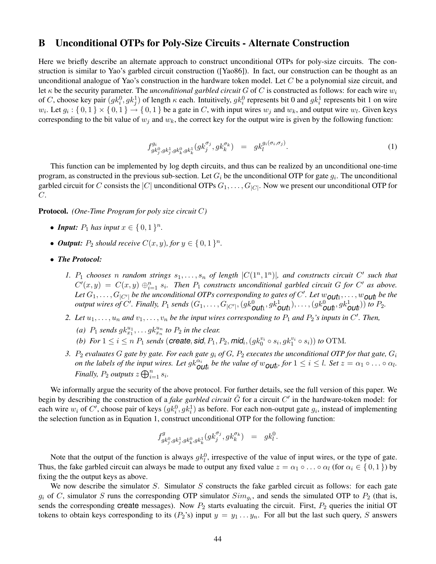## B Unconditional OTPs for Poly-Size Circuits - Alternate Construction

Here we briefly describe an alternate approach to construct unconditional OTPs for poly-size circuits. The construction is similar to Yao's garbled circuit construction ([Yao86]). In fact, our construction can be thought as an unconditional analogue of Yao's construction in the hardware token model. Let  $C$  be a polynomial size circuit, and let  $\kappa$  be the security parameter. The *unconditional garbled circuit* G of C is constructed as follows: for each wire  $w_i$ of C, choose key pair  $(gk_i^0, gk_j^1)$  of length  $\kappa$  each. Intuitively,  $gk_i^0$  represents bit 0 and  $gk_i^1$  represents bit 1 on wire  $w_i$ . Let  $g_i: \{0,1\} \times \{0,1\} \to \{0,1\}$  be a gate in C, with input wires  $w_j$  and  $w_k$ , and output wire  $w_l$ . Given keys corresponding to the bit value of  $w_j$  and  $w_k$ , the correct key for the output wire is given by the following function:

$$
f_{g k_j^0, g k_j^1, g k_k^0, g k_k^1}^{g_i}(g k_j^{\sigma_j}, g k_k^{\sigma_k}) = g k_l^{g_i(\sigma_i, \sigma_j)}.
$$
\n(1)

This function can be implemented by log depth circuits, and thus can be realized by an unconditional one-time program, as constructed in the previous sub-section. Let  $G_i$  be the unconditional OTP for gate  $g_i$ . The unconditional garbled circuit for C consists the  $|C|$  unconditional OTPs  $G_1, \ldots, G_{|C|}$ . Now we present our unconditional OTP for C.

Protocol. *(One-Time Program for poly size circuit* C*)*

- **Input:**  $P_1$  has input  $x \in \{0, 1\}^n$ .
- *Output:*  $P_2$  *should receive*  $C(x, y)$ *, for*  $y \in \{0, 1\}^n$ *.*
- *The Protocol:*
	- 1.  $P_1$  *chooses* n *random strings*  $s_1, \ldots, s_n$  *of length*  $|C(1^n, 1^n)|$ , and *constructs circuit* C' *such that*  $C'(x,y) = C(x,y) \bigoplus_{i=1}^n s_i$ . Then  $P_1$  constructs unconditional garbled circuit G for  $C'$  as above. Let  $G_1, \ldots, G_{|C'|}$  be the unconditional OTPs corresponding to gates of  $C'$ . Let  $w$  out $_1, \ldots, w$  out $_l$  be the *output wires of* C'. Finally,  $P_1$  sends  $(G_1, \ldots, G_{|C'|}, (gk_{\text{Out}1}^0, gk_{\text{Out}1}^1), \ldots, (gk_{\text{Out}1}^0, gk_{\text{Out}1}^1))$  to  $P_2$ .
	- 2. Let  $u_1, \ldots, u_n$  and  $v_1, \ldots, v_n$  be the input wires corresponding to  $P_1$  and  $P_2$ 's inputs in  $C'$ . Then,
		- (a)  $P_1$  *sends*  $g k_{x_1}^{u_1}, \ldots g k_{x_n}^{u_n}$  to  $P_2$  *in the clear.*
		- *(b)* For  $1 \leq i \leq n$   $P_1$  sends (create, sid,  $P_1, P_2$ ,  $mid_i$ ,  $(gk_0^{v_i} \circ s_i, gk_1^{v_i} \circ s_i)$ ) to OTM.
	- *3.*  $P_2$  *evaluates G gate* by *gate. For each gate*  $g_i$  *of G*,  $P_2$  *executes the unconditional OTP for that gate,*  $G_i$ *on the labels of the input wires. Let*  $g k_{\text{OUlt}}^{\alpha_i}$  *be the value of*  $w_{\text{OUlt}_i}$ *, for*  $1 \leq i \leq l$ *. Set*  $z = \alpha_1 \circ \ldots \circ \alpha_l$ *. Finally, P*<sub>2</sub> *outputs*  $z \bigoplus_{i=1}^n s_i$ *.*

We informally argue the security of the above protocol. For further details, see the full version of this paper. We begin by describing the construction of a *fake garbled circuit*  $\tilde{G}$  for a circuit  $C'$  in the hardware-token model: for each wire  $w_i$  of C', choose pair of keys  $(gk_i^0, gk_i^1)$  as before. For each non-output gate  $g_i$ , instead of implementing the selection function as in Equation 1, construct unconditional OTP for the following function:

$$
f^g_{g k^0_j, g k^1_j, g k^0_k, g k^1_k} (g k^{\sigma_j}_j, g k^{\sigma_k}_k) \;\; = \;\; g k^0_l.
$$

Note that the output of the function is always  $g k_l^0$ , irrespective of the value of input wires, or the type of gate. Thus, the fake garbled circuit can always be made to output any fixed value  $z = \alpha_1 \circ \ldots \circ \alpha_l$  (for  $\alpha_i \in \{0, 1\}$ ) by fixing the the output keys as above.

We now describe the simulator S. Simulator S constructs the fake garbled circuit as follows: for each gate  $g_i$  of C, simulator S runs the corresponding OTP simulator  $Sim_{g_i}$ , and sends the simulated OTP to  $P_2$  (that is, sends the corresponding create messages). Now  $P_2$  starts evaluating the circuit. First,  $P_2$  queries the initial OT tokens to obtain keys corresponding to its  $(P_2)$ 's) input  $y = y_1 \ldots y_n$ . For all but the last such query, S answers